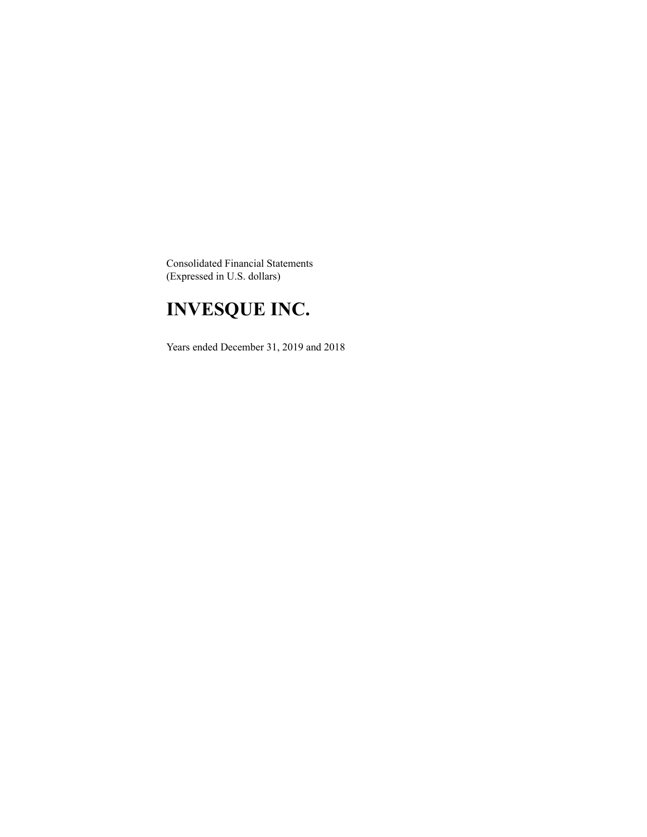Consolidated Financial Statements (Expressed in U.S. dollars)

# **INVESQUE INC.**

Years ended December 31, 2019 and 2018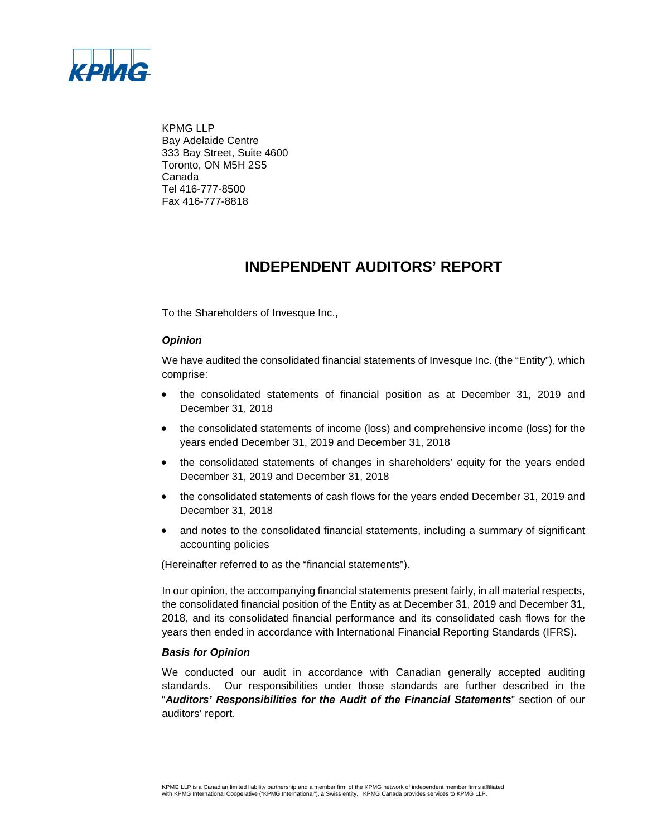

KPMG LLP Bay Adelaide Centre 333 Bay Street, Suite 4600 Toronto, ON M5H 2S5 Canada Tel 416-777-8500 Fax 416-777-8818

### **INDEPENDENT AUDITORS' REPORT**

To the Shareholders of Invesque Inc.,

### *Opinion*

We have audited the consolidated financial statements of Invesque Inc. (the "Entity"), which comprise:

- the consolidated statements of financial position as at December 31, 2019 and December 31, 2018
- the consolidated statements of income (loss) and comprehensive income (loss) for the years ended December 31, 2019 and December 31, 2018
- the consolidated statements of changes in shareholders' equity for the years ended December 31, 2019 and December 31, 2018
- the consolidated statements of cash flows for the years ended December 31, 2019 and December 31, 2018
- and notes to the consolidated financial statements, including a summary of significant accounting policies

(Hereinafter referred to as the "financial statements").

In our opinion, the accompanying financial statements present fairly, in all material respects, the consolidated financial position of the Entity as at December 31, 2019 and December 31, 2018, and its consolidated financial performance and its consolidated cash flows for the years then ended in accordance with International Financial Reporting Standards (IFRS).

#### *Basis for Opinion*

We conducted our audit in accordance with Canadian generally accepted auditing standards. Our responsibilities under those standards are further described in the "*Auditors' Responsibilities for the Audit of the Financial Statements*" section of our auditors' report.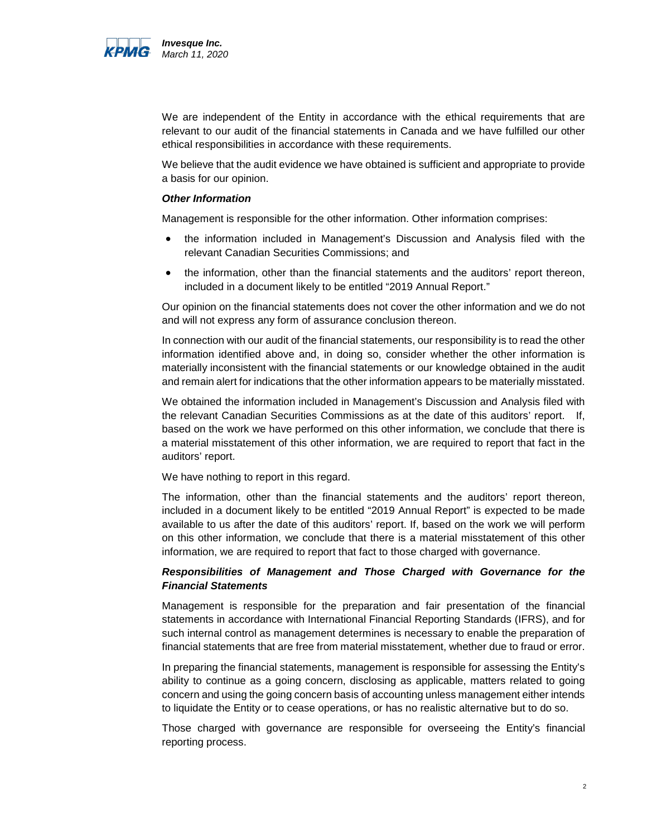

We are independent of the Entity in accordance with the ethical requirements that are relevant to our audit of the financial statements in Canada and we have fulfilled our other ethical responsibilities in accordance with these requirements.

We believe that the audit evidence we have obtained is sufficient and appropriate to provide a basis for our opinion.

#### *Other Information*

Management is responsible for the other information. Other information comprises:

- the information included in Management's Discussion and Analysis filed with the relevant Canadian Securities Commissions; and
- the information, other than the financial statements and the auditors' report thereon, included in a document likely to be entitled "2019 Annual Report."

Our opinion on the financial statements does not cover the other information and we do not and will not express any form of assurance conclusion thereon.

In connection with our audit of the financial statements, our responsibility is to read the other information identified above and, in doing so, consider whether the other information is materially inconsistent with the financial statements or our knowledge obtained in the audit and remain alert for indications that the other information appears to be materially misstated.

We obtained the information included in Management's Discussion and Analysis filed with the relevant Canadian Securities Commissions as at the date of this auditors' report. If, based on the work we have performed on this other information, we conclude that there is a material misstatement of this other information, we are required to report that fact in the auditors' report.

We have nothing to report in this regard.

The information, other than the financial statements and the auditors' report thereon, included in a document likely to be entitled "2019 Annual Report" is expected to be made available to us after the date of this auditors' report. If, based on the work we will perform on this other information, we conclude that there is a material misstatement of this other information, we are required to report that fact to those charged with governance.

#### *Responsibilities of Management and Those Charged with Governance for the Financial Statements*

Management is responsible for the preparation and fair presentation of the financial statements in accordance with International Financial Reporting Standards (IFRS), and for such internal control as management determines is necessary to enable the preparation of financial statements that are free from material misstatement, whether due to fraud or error.

In preparing the financial statements, management is responsible for assessing the Entity's ability to continue as a going concern, disclosing as applicable, matters related to going concern and using the going concern basis of accounting unless management either intends to liquidate the Entity or to cease operations, or has no realistic alternative but to do so.

Those charged with governance are responsible for overseeing the Entity's financial reporting process.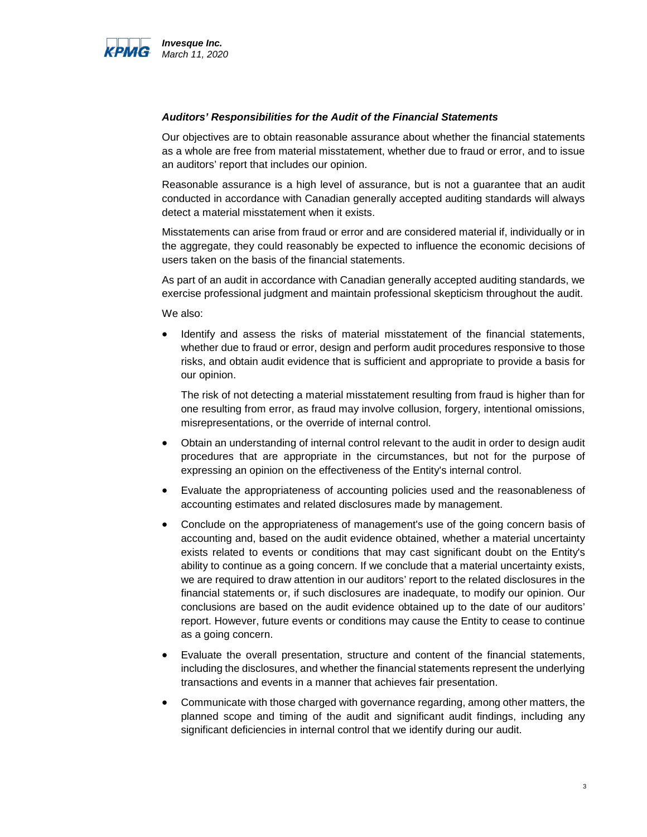

#### *Auditors' Responsibilities for the Audit of the Financial Statements*

Our objectives are to obtain reasonable assurance about whether the financial statements as a whole are free from material misstatement, whether due to fraud or error, and to issue an auditors' report that includes our opinion.

Reasonable assurance is a high level of assurance, but is not a guarantee that an audit conducted in accordance with Canadian generally accepted auditing standards will always detect a material misstatement when it exists.

Misstatements can arise from fraud or error and are considered material if, individually or in the aggregate, they could reasonably be expected to influence the economic decisions of users taken on the basis of the financial statements.

As part of an audit in accordance with Canadian generally accepted auditing standards, we exercise professional judgment and maintain professional skepticism throughout the audit.

We also:

• Identify and assess the risks of material misstatement of the financial statements, whether due to fraud or error, design and perform audit procedures responsive to those risks, and obtain audit evidence that is sufficient and appropriate to provide a basis for our opinion.

The risk of not detecting a material misstatement resulting from fraud is higher than for one resulting from error, as fraud may involve collusion, forgery, intentional omissions, misrepresentations, or the override of internal control.

- Obtain an understanding of internal control relevant to the audit in order to design audit procedures that are appropriate in the circumstances, but not for the purpose of expressing an opinion on the effectiveness of the Entity's internal control.
- Evaluate the appropriateness of accounting policies used and the reasonableness of accounting estimates and related disclosures made by management.
- Conclude on the appropriateness of management's use of the going concern basis of accounting and, based on the audit evidence obtained, whether a material uncertainty exists related to events or conditions that may cast significant doubt on the Entity's ability to continue as a going concern. If we conclude that a material uncertainty exists, we are required to draw attention in our auditors' report to the related disclosures in the financial statements or, if such disclosures are inadequate, to modify our opinion. Our conclusions are based on the audit evidence obtained up to the date of our auditors' report. However, future events or conditions may cause the Entity to cease to continue as a going concern.
- Evaluate the overall presentation, structure and content of the financial statements, including the disclosures, and whether the financial statements represent the underlying transactions and events in a manner that achieves fair presentation.
- Communicate with those charged with governance regarding, among other matters, the planned scope and timing of the audit and significant audit findings, including any significant deficiencies in internal control that we identify during our audit.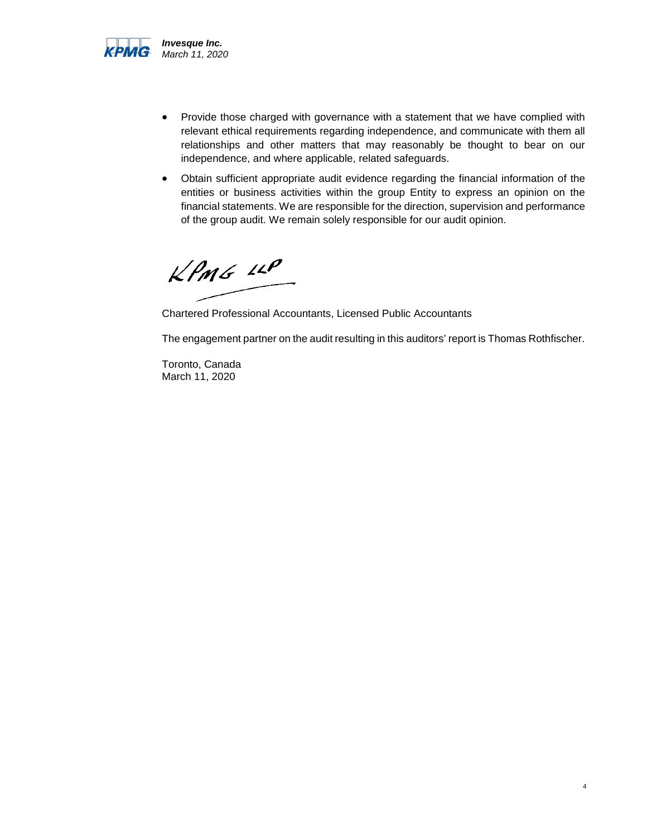

- Provide those charged with governance with a statement that we have complied with relevant ethical requirements regarding independence, and communicate with them all relationships and other matters that may reasonably be thought to bear on our independence, and where applicable, related safeguards.
- Obtain sufficient appropriate audit evidence regarding the financial information of the entities or business activities within the group Entity to express an opinion on the financial statements. We are responsible for the direction, supervision and performance of the group audit. We remain solely responsible for our audit opinion.

 $KPMG$   $IP$ 

Chartered Professional Accountants, Licensed Public Accountants

The engagement partner on the audit resulting in this auditors' report is Thomas Rothfischer.

Toronto, Canada March 11, 2020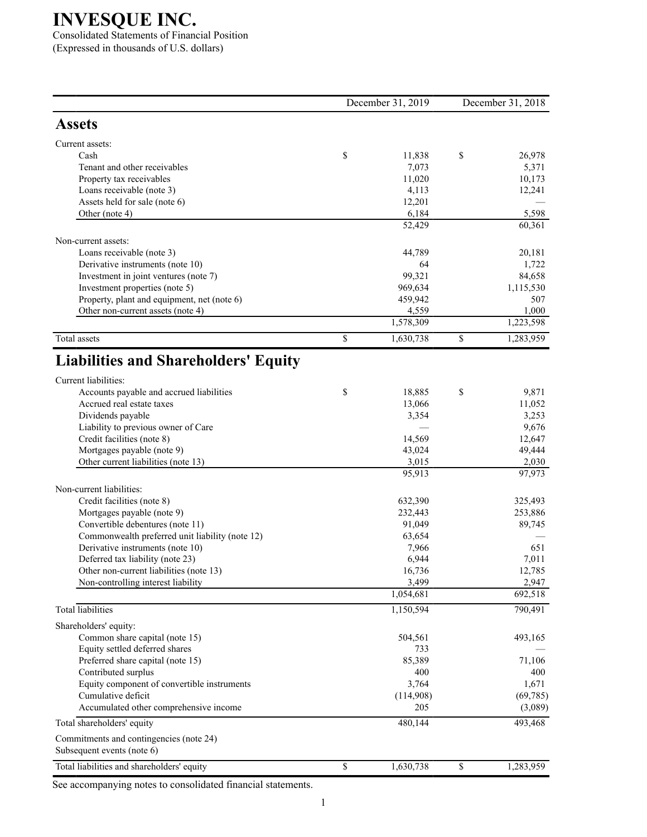Consolidated Statements of Financial Position (Expressed in thousands of U.S. dollars)

|                                                                      | December 31, 2019 | December 31, 2018 |                 |  |
|----------------------------------------------------------------------|-------------------|-------------------|-----------------|--|
| <b>Assets</b>                                                        |                   |                   |                 |  |
| Current assets:                                                      |                   |                   |                 |  |
| Cash                                                                 | \$<br>11,838      | \$                | 26,978          |  |
| Tenant and other receivables                                         | 7,073             |                   | 5,371           |  |
| Property tax receivables                                             | 11,020            |                   | 10,173          |  |
| Loans receivable (note 3)                                            | 4,113             |                   | 12,241          |  |
| Assets held for sale (note 6)                                        | 12,201            |                   |                 |  |
| Other (note 4)                                                       | 6,184             |                   | 5,598           |  |
|                                                                      | 52,429            |                   | 60,361          |  |
| Non-current assets:                                                  |                   |                   |                 |  |
| Loans receivable (note 3)                                            | 44,789            |                   | 20,181          |  |
| Derivative instruments (note 10)                                     | 64                |                   | 1,722           |  |
| Investment in joint ventures (note 7)                                | 99,321            |                   | 84,658          |  |
| Investment properties (note 5)                                       | 969,634           |                   | 1,115,530       |  |
| Property, plant and equipment, net (note 6)                          | 459,942           |                   | 507             |  |
| Other non-current assets (note 4)                                    | 4,559             |                   | 1,000           |  |
|                                                                      | 1,578,309         |                   | 1,223,598       |  |
| Total assets                                                         | \$<br>1,630,738   | \$                | 1,283,959       |  |
| <b>Liabilities and Shareholders' Equity</b>                          |                   |                   |                 |  |
| Current liabilities:                                                 |                   |                   |                 |  |
| Accounts payable and accrued liabilities                             | \$<br>18,885      | \$                | 9,871           |  |
| Accrued real estate taxes                                            | 13,066            |                   | 11,052          |  |
| Dividends payable                                                    | 3,354             |                   | 3,253           |  |
| Liability to previous owner of Care                                  |                   |                   | 9,676           |  |
| Credit facilities (note 8)                                           | 14,569            |                   | 12,647          |  |
| Mortgages payable (note 9)                                           | 43,024            |                   | 49,444          |  |
| Other current liabilities (note 13)                                  | 3,015             |                   | 2,030<br>97,973 |  |
|                                                                      | 95,913            |                   |                 |  |
| Non-current liabilities:                                             |                   |                   |                 |  |
| Credit facilities (note 8)                                           | 632,390           |                   | 325,493         |  |
| Mortgages payable (note 9)                                           | 232,443           |                   | 253,886         |  |
| Convertible debentures (note 11)                                     | 91,049            |                   | 89,745          |  |
| Commonwealth preferred unit liability (note 12)                      | 63,654            |                   |                 |  |
| Derivative instruments (note 10)<br>Deferred tax liability (note 23) | 7,966<br>6,944    |                   | 651<br>7,011    |  |
| Other non-current liabilities (note 13)                              | 16,736            |                   | 12,785          |  |
| Non-controlling interest liability                                   | 3,499             |                   | 2,947           |  |
|                                                                      | 1,054,681         |                   | 692,518         |  |
| <b>Total</b> liabilities                                             | 1,150,594         |                   | 790,491         |  |
| Shareholders' equity:                                                |                   |                   |                 |  |
| Common share capital (note 15)                                       | 504,561           |                   | 493,165         |  |
| Equity settled deferred shares                                       | 733               |                   |                 |  |
| Preferred share capital (note 15)                                    | 85,389            |                   | 71,106          |  |
| Contributed surplus                                                  | 400               |                   | 400             |  |
| Equity component of convertible instruments                          | 3,764             |                   | 1,671           |  |
| Cumulative deficit                                                   | (114,908)         |                   | (69, 785)       |  |
| Accumulated other comprehensive income                               | 205               |                   | (3,089)         |  |
| Total shareholders' equity                                           | 480,144           |                   | 493,468         |  |
| Commitments and contingencies (note 24)                              |                   |                   |                 |  |
| Subsequent events (note 6)                                           |                   |                   |                 |  |
| Total liabilities and shareholders' equity                           | \$<br>1,630,738   | \$                | 1,283,959       |  |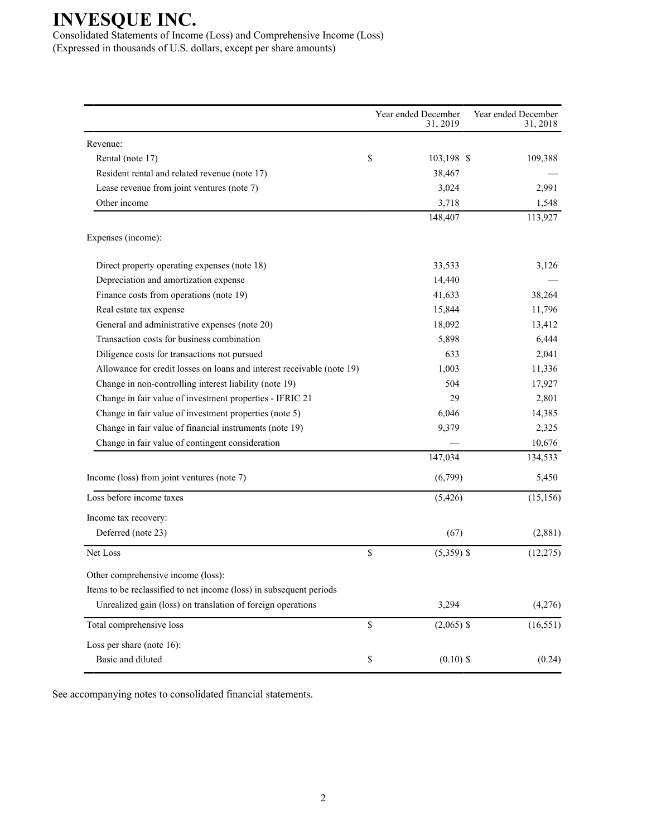Consolidated Statements of Income (Loss) and Comprehensive Income (Loss) (Expressed in thousands of U.S. dollars, except per share amounts)

|                                                                        | Year ended December<br>31, 2019 | Year ended December<br>31, 2018 |
|------------------------------------------------------------------------|---------------------------------|---------------------------------|
| Revenue:                                                               |                                 |                                 |
| Rental (note 17)                                                       | \$<br>103,198 \$                | 109,388                         |
| Resident rental and related revenue (note 17)                          | 38,467                          |                                 |
| Lease revenue from joint ventures (note 7)                             | 3,024                           | 2,991                           |
| Other income                                                           | 3,718                           | 1,548                           |
|                                                                        | 148,407                         | 113,927                         |
| Expenses (income):                                                     |                                 |                                 |
| Direct property operating expenses (note 18)                           | 33,533                          | 3,126                           |
| Depreciation and amortization expense                                  | 14,440                          |                                 |
| Finance costs from operations (note 19)                                | 41,633                          | 38,264                          |
| Real estate tax expense                                                | 15,844                          | 11,796                          |
| General and administrative expenses (note 20)                          | 18,092                          | 13,412                          |
| Transaction costs for business combination                             | 5,898                           | 6,444                           |
| Diligence costs for transactions not pursued                           | 633                             | 2,041                           |
| Allowance for credit losses on loans and interest receivable (note 19) | 1,003                           | 11,336                          |
| Change in non-controlling interest liability (note 19)                 | 504                             | 17,927                          |
| Change in fair value of investment properties - IFRIC 21               | 29                              | 2,801                           |
| Change in fair value of investment properties (note 5)                 | 6,046                           | 14,385                          |
| Change in fair value of financial instruments (note 19)                | 9,379                           | 2,325                           |
| Change in fair value of contingent consideration                       |                                 | 10,676                          |
|                                                                        | 147,034                         | 134,533                         |
| Income (loss) from joint ventures (note 7)                             | (6,799)                         | 5,450                           |
| Loss before income taxes                                               | (5, 426)                        | (15, 156)                       |
| Income tax recovery:                                                   |                                 |                                 |
| Deferred (note 23)                                                     | (67)                            | (2,881)                         |
| Net Loss                                                               | \$<br>$(5,359)$ \$              | (12, 275)                       |
| Other comprehensive income (loss):                                     |                                 |                                 |
| Items to be reclassified to net income (loss) in subsequent periods    |                                 |                                 |
| Unrealized gain (loss) on translation of foreign operations            | 3,294                           | (4,276)                         |
| Total comprehensive loss                                               | \$<br>$(2,065)$ \$              | (16, 551)                       |
| Loss per share (note 16):                                              |                                 |                                 |
| Basic and diluted                                                      | \$<br>$(0.10)$ \$               | (0.24)                          |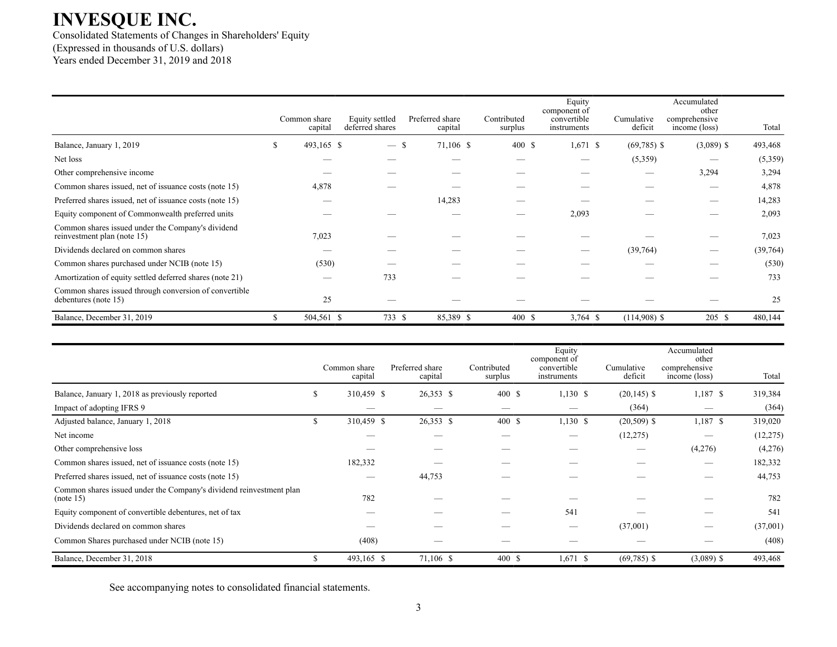Consolidated Statements of Changes in Shareholders' Equity (Expressed in thousands of U.S. dollars) Years ended December 31, 2019 and 2018

|                                                                                  | Common share<br>capital | Equity settled<br>deferred shares | Preferred share<br>capital | Contributed<br>surplus | Equity<br>component of<br>convertible<br>instruments | Cumulative<br>deficit | Accumulated<br>other<br>comprehensive<br>income (loss) | Total    |
|----------------------------------------------------------------------------------|-------------------------|-----------------------------------|----------------------------|------------------------|------------------------------------------------------|-----------------------|--------------------------------------------------------|----------|
| Balance, January 1, 2019                                                         | 493,165 \$<br>S.        | $-$ \$                            | 71,106 \$                  | 400 \$                 | $1,671$ \$                                           | $(69,785)$ \$         | $(3,089)$ \$                                           | 493,468  |
| Net loss                                                                         |                         |                                   |                            |                        | --                                                   | (5,359)               |                                                        | (5,359)  |
| Other comprehensive income                                                       |                         |                                   |                            |                        |                                                      |                       | 3,294                                                  | 3,294    |
| Common shares issued, net of issuance costs (note 15)                            | 4,878                   |                                   |                            |                        |                                                      |                       |                                                        | 4,878    |
| Preferred shares issued, net of issuance costs (note 15)                         |                         |                                   | 14,283                     |                        |                                                      |                       |                                                        | 14,283   |
| Equity component of Commonwealth preferred units                                 |                         |                                   |                            |                        | 2,093                                                |                       |                                                        | 2,093    |
| Common shares issued under the Company's dividend<br>reinvestment plan (note 15) | 7,023                   |                                   |                            |                        |                                                      |                       |                                                        | 7,023    |
| Dividends declared on common shares                                              |                         |                                   |                            |                        |                                                      | (39,764)              |                                                        | (39,764) |
| Common shares purchased under NCIB (note 15)                                     | (530)                   |                                   |                            |                        |                                                      |                       |                                                        | (530)    |
| Amortization of equity settled deferred shares (note 21)                         |                         | 733                               |                            |                        |                                                      |                       |                                                        | 733      |
| Common shares issued through conversion of convertible<br>debentures (note 15)   | 25                      |                                   |                            |                        |                                                      |                       |                                                        | 25       |
| Balance, December 31, 2019                                                       | 504,561 \$              | 733 \$                            | 85,389 \$                  | 400 \$                 | $3,764$ \$                                           | $(114,908)$ \$        | 205S                                                   | 480,144  |

|                                                                                  |               | Common share<br>capital | Preferred share<br>capital | Contributed<br>surplus | Equity<br>component of<br>convertible<br>instruments | Cumulative<br>deficit | Accumulated<br>other<br>comprehensive<br>income (loss) | Total     |  |
|----------------------------------------------------------------------------------|---------------|-------------------------|----------------------------|------------------------|------------------------------------------------------|-----------------------|--------------------------------------------------------|-----------|--|
| Balance, January 1, 2018 as previously reported                                  |               | 310,459 \$              | 26,353 \$                  | 400S                   | $1,130$ \$                                           | $(20, 145)$ \$        | $1,187$ \$                                             | 319,384   |  |
| Impact of adopting IFRS 9                                                        |               |                         |                            | __                     |                                                      | (364)                 |                                                        | (364)     |  |
| Adjusted balance, January 1, 2018                                                |               | 310,459 \$              | 26,353 \$                  | 400S                   | 1,130S                                               | $(20,509)$ \$         | $1,187$ \$                                             | 319,020   |  |
| Net income                                                                       |               |                         |                            |                        | --                                                   | (12, 275)             |                                                        | (12, 275) |  |
| Other comprehensive loss                                                         |               |                         |                            |                        |                                                      |                       | (4,276)                                                | (4,276)   |  |
| Common shares issued, net of issuance costs (note 15)                            |               | 182,332                 |                            |                        |                                                      |                       |                                                        | 182,332   |  |
| Preferred shares issued, net of issuance costs (note 15)                         |               | __                      | 44,753                     |                        |                                                      |                       |                                                        | 44,753    |  |
| Common shares issued under the Company's dividend reinvestment plan<br>(note 15) |               | 782                     |                            |                        |                                                      |                       |                                                        | 782       |  |
| Equity component of convertible debentures, net of tax                           |               |                         |                            |                        | 541                                                  |                       |                                                        | 541       |  |
| Dividends declared on common shares                                              |               |                         |                            |                        |                                                      | (37,001)              |                                                        | (37,001)  |  |
| Common Shares purchased under NCIB (note 15)                                     |               | (408)                   |                            |                        |                                                      |                       |                                                        | (408)     |  |
| Balance, December 31, 2018                                                       | $\mathcal{L}$ | 493,165 \$              | 71,106 \$                  | 400S                   | $1,671$ \$                                           | $(69,785)$ \$         | $(3,089)$ \$                                           | 493,468   |  |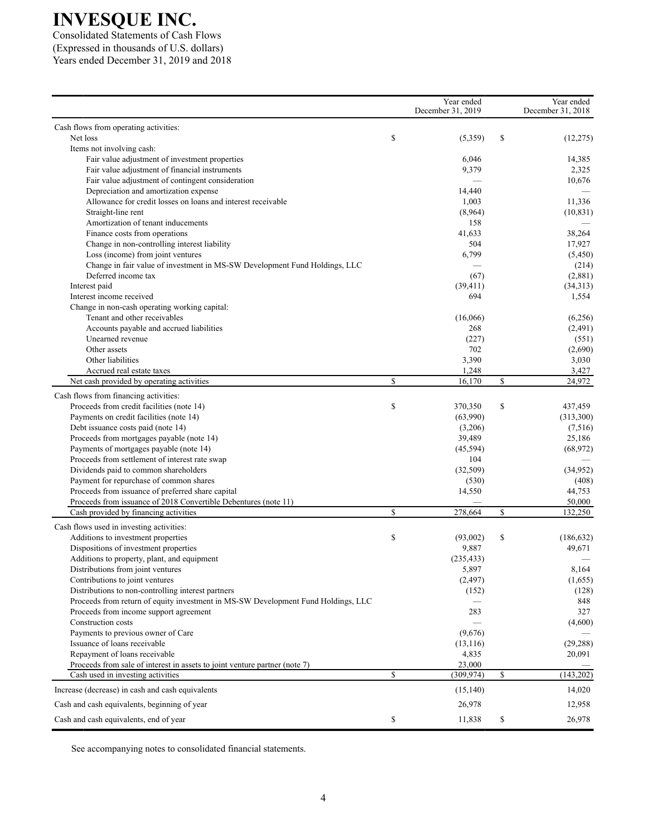Consolidated Statements of Cash Flows (Expressed in thousands of U.S. dollars) Years ended December 31, 2019 and 2018

|                                                                                        | Year ended<br>December 31, 2019 |                                             | Year ended<br>December 31, 2018 |
|----------------------------------------------------------------------------------------|---------------------------------|---------------------------------------------|---------------------------------|
| Cash flows from operating activities:                                                  |                                 |                                             |                                 |
| Net loss                                                                               | \$<br>(5,359)                   | \$                                          | (12, 275)                       |
| Items not involving cash:                                                              |                                 |                                             |                                 |
| Fair value adjustment of investment properties                                         | 6,046                           |                                             | 14,385                          |
| Fair value adjustment of financial instruments                                         | 9,379                           |                                             | 2,325                           |
| Fair value adjustment of contingent consideration                                      |                                 |                                             | 10,676                          |
| Depreciation and amortization expense                                                  | 14,440                          |                                             |                                 |
| Allowance for credit losses on loans and interest receivable                           | 1,003                           |                                             | 11,336                          |
| Straight-line rent                                                                     | (8,964)                         |                                             | (10, 831)                       |
| Amortization of tenant inducements                                                     | 158                             |                                             |                                 |
| Finance costs from operations                                                          | 41,633                          |                                             | 38,264                          |
| Change in non-controlling interest liability                                           | 504                             |                                             | 17,927                          |
| Loss (income) from joint ventures                                                      | 6,799                           |                                             | (5,450)                         |
| Change in fair value of investment in MS-SW Development Fund Holdings, LLC             |                                 |                                             | (214)                           |
| Deferred income tax                                                                    | (67)                            |                                             | (2,881)                         |
| Interest paid                                                                          | (39, 411)                       |                                             | (34,313)                        |
| Interest income received                                                               | 694                             |                                             | 1,554                           |
| Change in non-cash operating working capital:                                          |                                 |                                             |                                 |
| Tenant and other receivables                                                           | (16,066)                        |                                             | (6,256)                         |
| Accounts payable and accrued liabilities                                               | 268                             |                                             | (2,491)                         |
| Unearned revenue                                                                       | (227)                           |                                             | (551)                           |
| Other assets                                                                           | 702                             |                                             | (2,690)                         |
| Other liabilities                                                                      | 3,390                           |                                             | 3,030                           |
| Accrued real estate taxes                                                              | 1,248                           |                                             | 3,427                           |
| Net cash provided by operating activities                                              | \$<br>16,170                    | $\mathbb{S}% _{n}^{X\rightarrow\mathbb{R}}$ | 24,972                          |
|                                                                                        |                                 |                                             |                                 |
| Cash flows from financing activities:                                                  |                                 |                                             |                                 |
| Proceeds from credit facilities (note 14)                                              | \$<br>370,350                   | \$                                          | 437,459                         |
| Payments on credit facilities (note 14)                                                | (63,990)                        |                                             | (313,300)                       |
| Debt issuance costs paid (note 14)                                                     | (3,206)                         |                                             | (7,516)                         |
| Proceeds from mortgages payable (note 14)                                              | 39,489                          |                                             | 25,186                          |
| Payments of mortgages payable (note 14)                                                | (45, 594)                       |                                             | (68, 972)                       |
| Proceeds from settlement of interest rate swap                                         | 104                             |                                             |                                 |
| Dividends paid to common shareholders                                                  | (32,509)                        |                                             | (34,952)                        |
| Payment for repurchase of common shares                                                | (530)                           |                                             | (408)                           |
| Proceeds from issuance of preferred share capital                                      | 14,550                          |                                             | 44,753                          |
| Proceeds from issuance of 2018 Convertible Debentures (note 11)                        |                                 |                                             | 50,000                          |
| Cash provided by financing activities                                                  | \$<br>278,664                   | $\mathbb{S}% _{n}^{X\rightarrow\mathbb{R}}$ | 132,250                         |
| Cash flows used in investing activities:                                               |                                 |                                             |                                 |
| Additions to investment properties                                                     | \$<br>(93,002)                  | \$                                          | (186, 632)                      |
| Dispositions of investment properties                                                  | 9,887                           |                                             | 49,671                          |
| Additions to property, plant, and equipment                                            | (235, 433)                      |                                             |                                 |
| Distributions from joint ventures                                                      | 5,897                           |                                             | 8,164                           |
| Contributions to joint ventures                                                        | (2, 497)                        |                                             | (1,655)                         |
| Distributions to non-controlling interest partners                                     | (152)                           |                                             | (128)                           |
| Proceeds from return of equity investment in MS-SW Development Fund Holdings, LLC      |                                 |                                             | 848                             |
| Proceeds from income support agreement                                                 | 283                             |                                             | 327                             |
| Construction costs                                                                     |                                 |                                             | (4,600)                         |
| Payments to previous owner of Care                                                     | (9,676)                         |                                             |                                 |
| Issuance of loans receivable                                                           | (13, 116)                       |                                             | (29, 288)                       |
| Repayment of loans receivable                                                          | 4,835                           |                                             | 20,091                          |
| Proceeds from sale of interest in assets to joint venture partner (note 7)             | 23,000                          |                                             |                                 |
| Cash used in investing activities                                                      | \$<br>(309, 974)                | \$                                          | (143, 202)                      |
| Increase (decrease) in cash and cash equivalents                                       | (15, 140)                       |                                             | 14,020                          |
|                                                                                        |                                 |                                             |                                 |
| Cash and cash equivalents, beginning of year<br>Cash and cash equivalents, end of year | \$<br>26,978<br>11,838          |                                             | 12,958<br>26,978                |
|                                                                                        |                                 | \$                                          |                                 |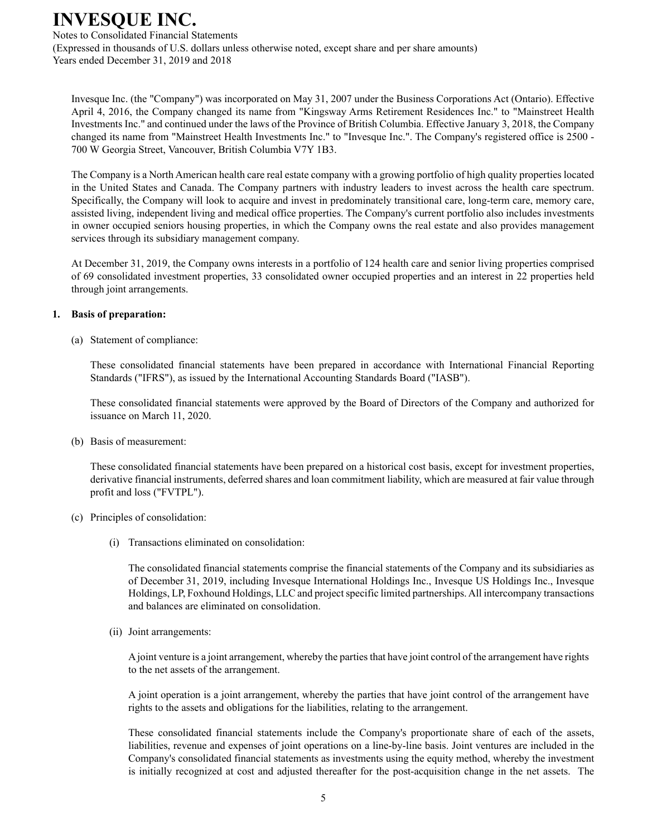Notes to Consolidated Financial Statements (Expressed in thousands of U.S. dollars unless otherwise noted, except share and per share amounts) Years ended December 31, 2019 and 2018

Invesque Inc. (the "Company") was incorporated on May 31, 2007 under the Business Corporations Act (Ontario). Effective April 4, 2016, the Company changed its name from "Kingsway Arms Retirement Residences Inc." to "Mainstreet Health Investments Inc." and continued under the laws of the Province of British Columbia. Effective January 3, 2018, the Company changed its name from "Mainstreet Health Investments Inc." to "Invesque Inc.". The Company's registered office is 2500 - 700 W Georgia Street, Vancouver, British Columbia V7Y 1B3.

The Company is a North American health care real estate company with a growing portfolio of high quality properties located in the United States and Canada. The Company partners with industry leaders to invest across the health care spectrum. Specifically, the Company will look to acquire and invest in predominately transitional care, long-term care, memory care, assisted living, independent living and medical office properties. The Company's current portfolio also includes investments in owner occupied seniors housing properties, in which the Company owns the real estate and also provides management services through its subsidiary management company.

At December 31, 2019, the Company owns interests in a portfolio of 124 health care and senior living properties comprised of 69 consolidated investment properties, 33 consolidated owner occupied properties and an interest in 22 properties held through joint arrangements.

### **1. Basis of preparation:**

(a) Statement of compliance:

These consolidated financial statements have been prepared in accordance with International Financial Reporting Standards ("IFRS"), as issued by the International Accounting Standards Board ("IASB").

These consolidated financial statements were approved by the Board of Directors of the Company and authorized for issuance on March 11, 2020.

(b) Basis of measurement:

These consolidated financial statements have been prepared on a historical cost basis, except for investment properties, derivative financial instruments, deferred shares and loan commitment liability, which are measured at fair value through profit and loss ("FVTPL").

#### (c) Principles of consolidation:

(i) Transactions eliminated on consolidation:

The consolidated financial statements comprise the financial statements of the Company and its subsidiaries as of December 31, 2019, including Invesque International Holdings Inc., Invesque US Holdings Inc., Invesque Holdings, LP, Foxhound Holdings, LLC and project specific limited partnerships. All intercompany transactions and balances are eliminated on consolidation.

(ii) Joint arrangements:

Ajoint venture is a joint arrangement, whereby the parties that have joint control of the arrangement have rights to the net assets of the arrangement.

A joint operation is a joint arrangement, whereby the parties that have joint control of the arrangement have rights to the assets and obligations for the liabilities, relating to the arrangement.

These consolidated financial statements include the Company's proportionate share of each of the assets, liabilities, revenue and expenses of joint operations on a line-by-line basis. Joint ventures are included in the Company's consolidated financial statements as investments using the equity method, whereby the investment is initially recognized at cost and adjusted thereafter for the post-acquisition change in the net assets. The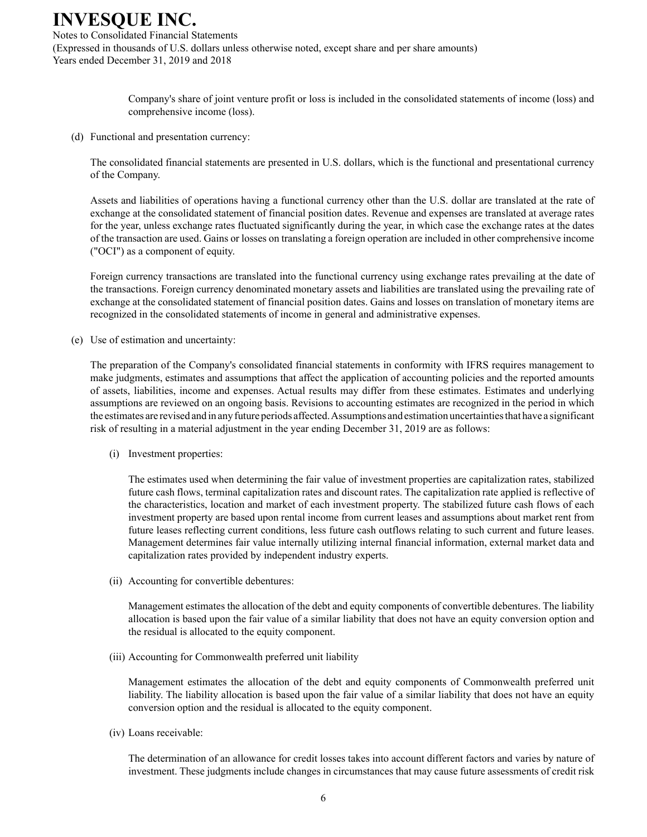Notes to Consolidated Financial Statements (Expressed in thousands of U.S. dollars unless otherwise noted, except share and per share amounts) Years ended December 31, 2019 and 2018

> Company's share of joint venture profit or loss is included in the consolidated statements of income (loss) and comprehensive income (loss).

(d) Functional and presentation currency:

The consolidated financial statements are presented in U.S. dollars, which is the functional and presentational currency of the Company.

Assets and liabilities of operations having a functional currency other than the U.S. dollar are translated at the rate of exchange at the consolidated statement of financial position dates. Revenue and expenses are translated at average rates for the year, unless exchange rates fluctuated significantly during the year, in which case the exchange rates at the dates of the transaction are used. Gains or losses on translating a foreign operation are included in other comprehensive income ("OCI") as a component of equity.

Foreign currency transactions are translated into the functional currency using exchange rates prevailing at the date of the transactions. Foreign currency denominated monetary assets and liabilities are translated using the prevailing rate of exchange at the consolidated statement of financial position dates. Gains and losses on translation of monetary items are recognized in the consolidated statements of income in general and administrative expenses.

(e) Use of estimation and uncertainty:

The preparation of the Company's consolidated financial statements in conformity with IFRS requires management to make judgments, estimates and assumptions that affect the application of accounting policies and the reported amounts of assets, liabilities, income and expenses. Actual results may differ from these estimates. Estimates and underlying assumptions are reviewed on an ongoing basis. Revisions to accounting estimates are recognized in the period in which the estimates are revised and in any future periods affected. Assumptions and estimation uncertainties that have a significant risk of resulting in a material adjustment in the year ending December 31, 2019 are as follows:

(i) Investment properties:

The estimates used when determining the fair value of investment properties are capitalization rates, stabilized future cash flows, terminal capitalization rates and discount rates. The capitalization rate applied is reflective of the characteristics, location and market of each investment property. The stabilized future cash flows of each investment property are based upon rental income from current leases and assumptions about market rent from future leases reflecting current conditions, less future cash outflows relating to such current and future leases. Management determines fair value internally utilizing internal financial information, external market data and capitalization rates provided by independent industry experts.

(ii) Accounting for convertible debentures:

Management estimates the allocation of the debt and equity components of convertible debentures. The liability allocation is based upon the fair value of a similar liability that does not have an equity conversion option and the residual is allocated to the equity component.

(iii) Accounting for Commonwealth preferred unit liability

Management estimates the allocation of the debt and equity components of Commonwealth preferred unit liability. The liability allocation is based upon the fair value of a similar liability that does not have an equity conversion option and the residual is allocated to the equity component.

(iv) Loans receivable:

The determination of an allowance for credit losses takes into account different factors and varies by nature of investment. These judgments include changes in circumstances that may cause future assessments of credit risk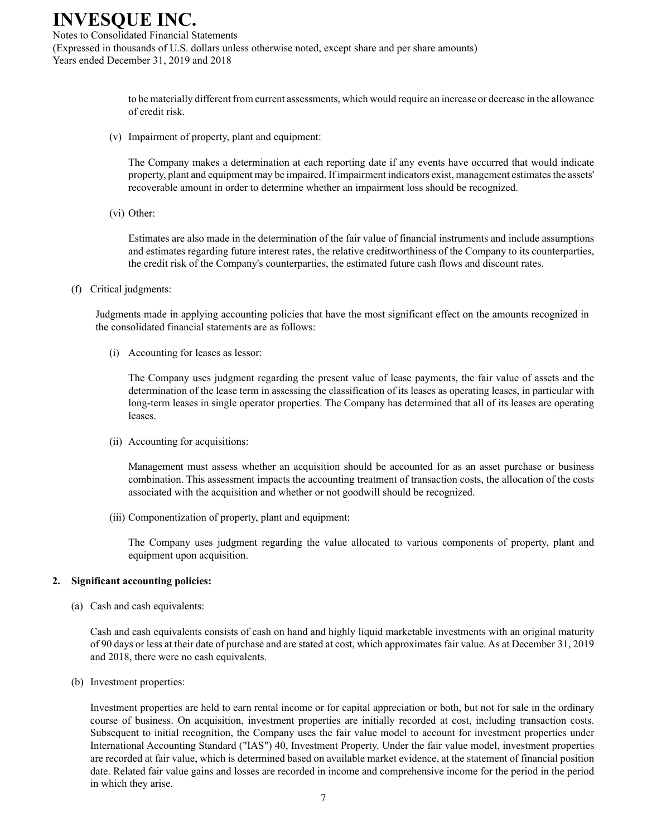Notes to Consolidated Financial Statements (Expressed in thousands of U.S. dollars unless otherwise noted, except share and per share amounts) Years ended December 31, 2019 and 2018

> to be materially different from current assessments, which would require an increase or decrease in the allowance of credit risk.

(v) Impairment of property, plant and equipment:

The Company makes a determination at each reporting date if any events have occurred that would indicate property, plant and equipment may be impaired. If impairment indicators exist, management estimates the assets' recoverable amount in order to determine whether an impairment loss should be recognized.

(vi) Other:

Estimates are also made in the determination of the fair value of financial instruments and include assumptions and estimates regarding future interest rates, the relative creditworthiness of the Company to its counterparties, the credit risk of the Company's counterparties, the estimated future cash flows and discount rates.

(f) Critical judgments:

Judgments made in applying accounting policies that have the most significant effect on the amounts recognized in the consolidated financial statements are as follows:

(i) Accounting for leases as lessor:

The Company uses judgment regarding the present value of lease payments, the fair value of assets and the determination of the lease term in assessing the classification of its leases as operating leases, in particular with long-term leases in single operator properties. The Company has determined that all of its leases are operating leases.

(ii) Accounting for acquisitions:

Management must assess whether an acquisition should be accounted for as an asset purchase or business combination. This assessment impacts the accounting treatment of transaction costs, the allocation of the costs associated with the acquisition and whether or not goodwill should be recognized.

(iii) Componentization of property, plant and equipment:

The Company uses judgment regarding the value allocated to various components of property, plant and equipment upon acquisition.

#### **2. Significant accounting policies:**

(a) Cash and cash equivalents:

Cash and cash equivalents consists of cash on hand and highly liquid marketable investments with an original maturity of 90 days or less at their date of purchase and are stated at cost, which approximates fair value. As at December 31, 2019 and 2018, there were no cash equivalents.

(b) Investment properties:

Investment properties are held to earn rental income or for capital appreciation or both, but not for sale in the ordinary course of business. On acquisition, investment properties are initially recorded at cost, including transaction costs. Subsequent to initial recognition, the Company uses the fair value model to account for investment properties under International Accounting Standard ("IAS") 40, Investment Property. Under the fair value model, investment properties are recorded at fair value, which is determined based on available market evidence, at the statement of financial position date. Related fair value gains and losses are recorded in income and comprehensive income for the period in the period in which they arise.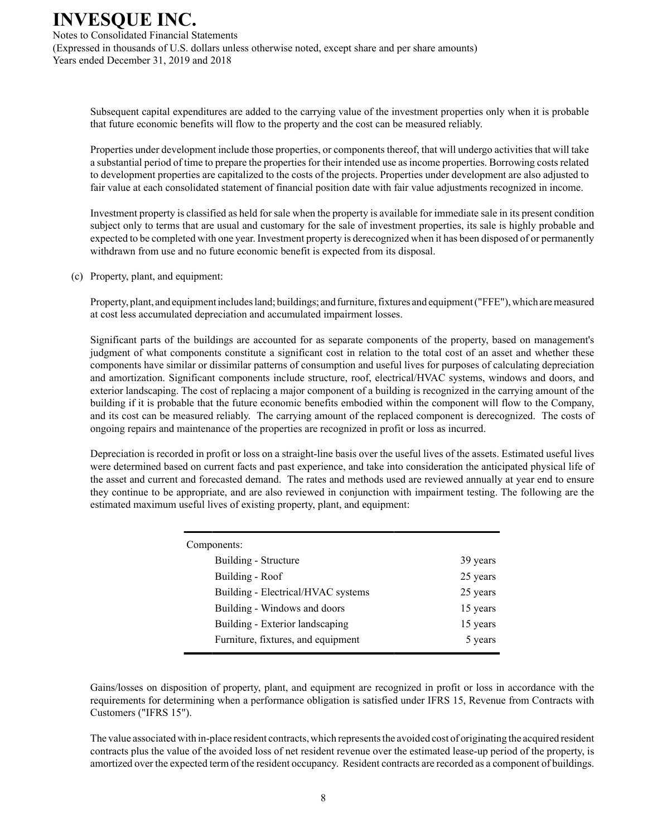Notes to Consolidated Financial Statements (Expressed in thousands of U.S. dollars unless otherwise noted, except share and per share amounts) Years ended December 31, 2019 and 2018

Subsequent capital expenditures are added to the carrying value of the investment properties only when it is probable that future economic benefits will flow to the property and the cost can be measured reliably.

Properties under development include those properties, or components thereof, that will undergo activities that will take a substantial period of time to prepare the properties for their intended use as income properties. Borrowing costs related to development properties are capitalized to the costs of the projects. Properties under development are also adjusted to fair value at each consolidated statement of financial position date with fair value adjustments recognized in income.

Investment property is classified as held for sale when the property is available for immediate sale in its present condition subject only to terms that are usual and customary for the sale of investment properties, its sale is highly probable and expected to be completed with one year. Investment property is derecognized when it has been disposed of or permanently withdrawn from use and no future economic benefit is expected from its disposal.

#### (c) Property, plant, and equipment:

Property, plant, and equipment includes land; buildings; and furniture, fixtures and equipment ("FFE"), which are measured at cost less accumulated depreciation and accumulated impairment losses.

Significant parts of the buildings are accounted for as separate components of the property, based on management's judgment of what components constitute a significant cost in relation to the total cost of an asset and whether these components have similar or dissimilar patterns of consumption and useful lives for purposes of calculating depreciation and amortization. Significant components include structure, roof, electrical/HVAC systems, windows and doors, and exterior landscaping. The cost of replacing a major component of a building is recognized in the carrying amount of the building if it is probable that the future economic benefits embodied within the component will flow to the Company, and its cost can be measured reliably. The carrying amount of the replaced component is derecognized. The costs of ongoing repairs and maintenance of the properties are recognized in profit or loss as incurred.

Depreciation is recorded in profit or loss on a straight-line basis over the useful lives of the assets. Estimated useful lives were determined based on current facts and past experience, and take into consideration the anticipated physical life of the asset and current and forecasted demand. The rates and methods used are reviewed annually at year end to ensure they continue to be appropriate, and are also reviewed in conjunction with impairment testing. The following are the estimated maximum useful lives of existing property, plant, and equipment:

| Components:                        |          |
|------------------------------------|----------|
| Building - Structure               | 39 years |
| Building - Roof                    | 25 years |
| Building - Electrical/HVAC systems | 25 years |
| Building - Windows and doors       | 15 years |
| Building - Exterior landscaping    | 15 years |
| Furniture, fixtures, and equipment | 5 years  |

Gains/losses on disposition of property, plant, and equipment are recognized in profit or loss in accordance with the requirements for determining when a performance obligation is satisfied under IFRS 15, Revenue from Contracts with Customers ("IFRS 15").

The value associated with in-place resident contracts, which represents the avoided cost of originating the acquired resident contracts plus the value of the avoided loss of net resident revenue over the estimated lease-up period of the property, is amortized over the expected term of the resident occupancy. Resident contracts are recorded as a component of buildings.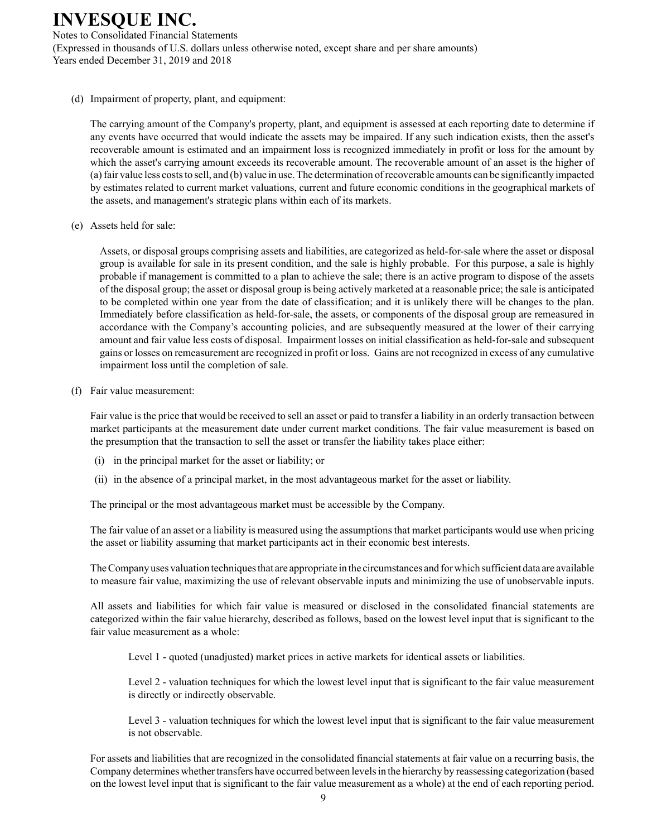Notes to Consolidated Financial Statements (Expressed in thousands of U.S. dollars unless otherwise noted, except share and per share amounts) Years ended December 31, 2019 and 2018

(d) Impairment of property, plant, and equipment:

The carrying amount of the Company's property, plant, and equipment is assessed at each reporting date to determine if any events have occurred that would indicate the assets may be impaired. If any such indication exists, then the asset's recoverable amount is estimated and an impairment loss is recognized immediately in profit or loss for the amount by which the asset's carrying amount exceeds its recoverable amount. The recoverable amount of an asset is the higher of (a) fair value less costs to sell, and (b) value in use. The determination of recoverable amounts can be significantly impacted by estimates related to current market valuations, current and future economic conditions in the geographical markets of the assets, and management's strategic plans within each of its markets.

(e) Assets held for sale:

Assets, or disposal groups comprising assets and liabilities, are categorized as held-for-sale where the asset or disposal group is available for sale in its present condition, and the sale is highly probable. For this purpose, a sale is highly probable if management is committed to a plan to achieve the sale; there is an active program to dispose of the assets of the disposal group; the asset or disposal group is being actively marketed at a reasonable price; the sale is anticipated to be completed within one year from the date of classification; and it is unlikely there will be changes to the plan. Immediately before classification as held-for-sale, the assets, or components of the disposal group are remeasured in accordance with the Company's accounting policies, and are subsequently measured at the lower of their carrying amount and fair value less costs of disposal. Impairment losses on initial classification as held-for-sale and subsequent gains or losses on remeasurement are recognized in profit or loss. Gains are not recognized in excess of any cumulative impairment loss until the completion of sale.

(f) Fair value measurement:

Fair value is the price that would be received to sell an asset or paid to transfer a liability in an orderly transaction between market participants at the measurement date under current market conditions. The fair value measurement is based on the presumption that the transaction to sell the asset or transfer the liability takes place either:

- (i) in the principal market for the asset or liability; or
- (ii) in the absence of a principal market, in the most advantageous market for the asset or liability.

The principal or the most advantageous market must be accessible by the Company.

The fair value of an asset or a liability is measured using the assumptions that market participants would use when pricing the asset or liability assuming that market participants act in their economic best interests.

The Company uses valuation techniques that are appropriate in the circumstances and for which sufficient data are available to measure fair value, maximizing the use of relevant observable inputs and minimizing the use of unobservable inputs.

All assets and liabilities for which fair value is measured or disclosed in the consolidated financial statements are categorized within the fair value hierarchy, described as follows, based on the lowest level input that is significant to the fair value measurement as a whole:

Level 1 - quoted (unadjusted) market prices in active markets for identical assets or liabilities.

Level 2 - valuation techniques for which the lowest level input that is significant to the fair value measurement is directly or indirectly observable.

Level 3 - valuation techniques for which the lowest level input that is significant to the fair value measurement is not observable.

For assets and liabilities that are recognized in the consolidated financial statements at fair value on a recurring basis, the Company determines whether transfers have occurred between levels in the hierarchy by reassessing categorization (based on the lowest level input that is significant to the fair value measurement as a whole) at the end of each reporting period.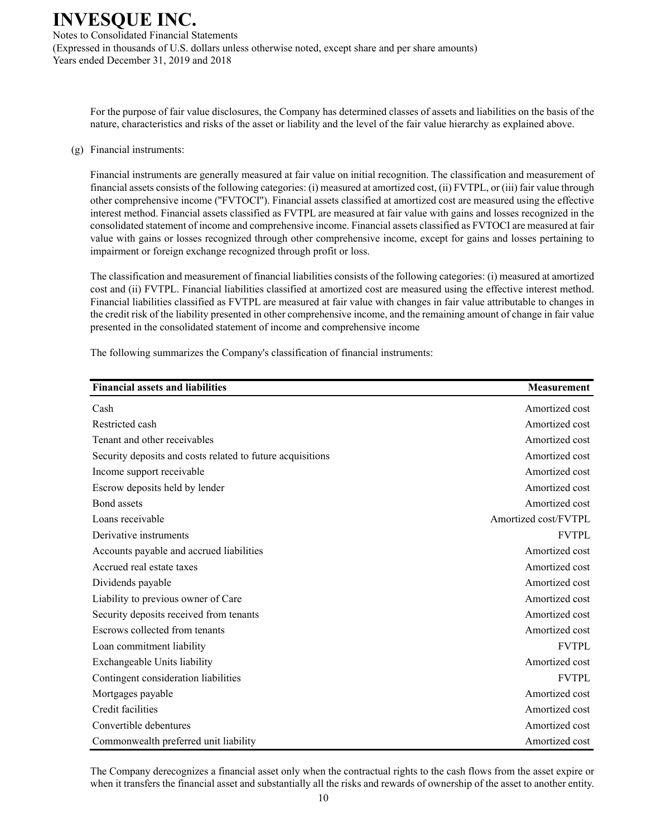Notes to Consolidated Financial Statements (Expressed in thousands of U.S. dollars unless otherwise noted, except share and per share amounts) Years ended December 31, 2019 and 2018

For the purpose of fair value disclosures, the Company has determined classes of assets and liabilities on the basis of the nature, characteristics and risks of the asset or liability and the level of the fair value hierarchy as explained above.

### (g) Financial instruments:

Financial instruments are generally measured at fair value on initial recognition. The classification and measurement of financial assets consists of the following categories: (i) measured at amortized cost, (ii) FVTPL, or (iii) fair value through other comprehensive income (''FVTOCI''). Financial assets classified at amortized cost are measured using the effective interest method. Financial assets classified as FVTPL are measured at fair value with gains and losses recognized in the consolidated statement of income and comprehensive income. Financial assets classified as FVTOCI are measured at fair value with gains or losses recognized through other comprehensive income, except for gains and losses pertaining to impairment or foreign exchange recognized through profit or loss.

The classification and measurement of financial liabilities consists of the following categories: (i) measured at amortized cost and (ii) FVTPL. Financial liabilities classified at amortized cost are measured using the effective interest method. Financial liabilities classified as FVTPL are measured at fair value with changes in fair value attributable to changes in the credit risk of the liability presented in other comprehensive income, and the remaining amount of change in fair value presented in the consolidated statement of income and comprehensive income

| <b>Financial assets and liabilities</b>                    | <b>Measurement</b>   |
|------------------------------------------------------------|----------------------|
| Cash                                                       | Amortized cost       |
| Restricted cash                                            | Amortized cost       |
| Tenant and other receivables                               | Amortized cost       |
| Security deposits and costs related to future acquisitions | Amortized cost       |
| Income support receivable                                  | Amortized cost       |
| Escrow deposits held by lender                             | Amortized cost       |
| Bond assets                                                | Amortized cost       |
| Loans receivable                                           | Amortized cost/FVTPL |
| Derivative instruments                                     | <b>FVTPL</b>         |
| Accounts payable and accrued liabilities                   | Amortized cost       |
| Accrued real estate taxes                                  | Amortized cost       |
| Dividends payable                                          | Amortized cost       |
| Liability to previous owner of Care                        | Amortized cost       |
| Security deposits received from tenants                    | Amortized cost       |
| Escrows collected from tenants                             | Amortized cost       |
| Loan commitment liability                                  | <b>FVTPL</b>         |
| Exchangeable Units liability                               | Amortized cost       |
| Contingent consideration liabilities                       | <b>FVTPL</b>         |
| Mortgages payable                                          | Amortized cost       |
| Credit facilities                                          | Amortized cost       |
| Convertible debentures                                     | Amortized cost       |
| Commonwealth preferred unit liability                      | Amortized cost       |

The following summarizes the Company's classification of financial instruments:

The Company derecognizes a financial asset only when the contractual rights to the cash flows from the asset expire or when it transfers the financial asset and substantially all the risks and rewards of ownership of the asset to another entity.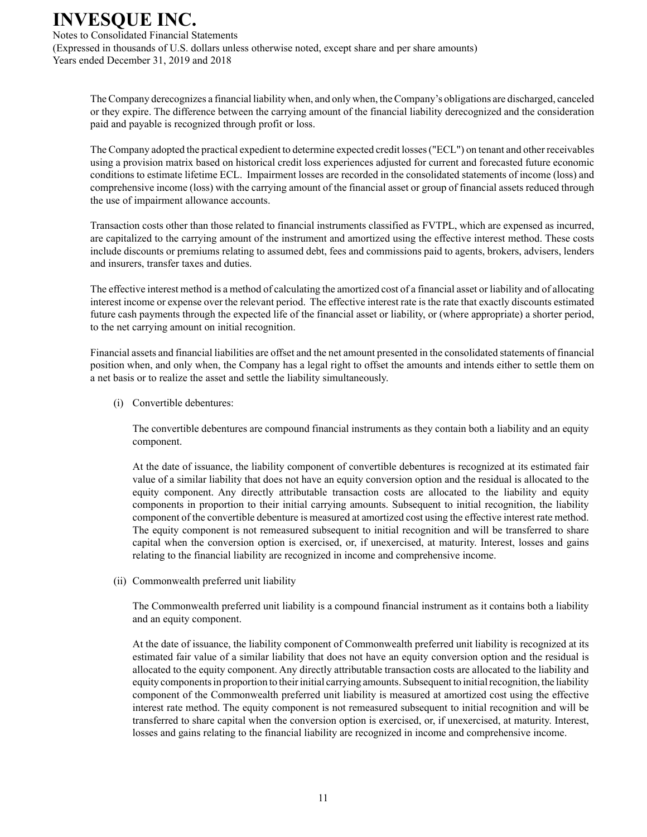Notes to Consolidated Financial Statements (Expressed in thousands of U.S. dollars unless otherwise noted, except share and per share amounts) Years ended December 31, 2019 and 2018

The Company derecognizes a financial liability when, and only when, the Company's obligations are discharged, canceled or they expire. The difference between the carrying amount of the financial liability derecognized and the consideration paid and payable is recognized through profit or loss.

The Company adopted the practical expedient to determine expected credit losses ("ECL") on tenant and other receivables using a provision matrix based on historical credit loss experiences adjusted for current and forecasted future economic conditions to estimate lifetime ECL. Impairment losses are recorded in the consolidated statements of income (loss) and comprehensive income (loss) with the carrying amount of the financial asset or group of financial assets reduced through the use of impairment allowance accounts.

Transaction costs other than those related to financial instruments classified as FVTPL, which are expensed as incurred, are capitalized to the carrying amount of the instrument and amortized using the effective interest method. These costs include discounts or premiums relating to assumed debt, fees and commissions paid to agents, brokers, advisers, lenders and insurers, transfer taxes and duties.

The effective interest method is a method of calculating the amortized cost of a financial asset or liability and of allocating interest income or expense over the relevant period. The effective interest rate is the rate that exactly discounts estimated future cash payments through the expected life of the financial asset or liability, or (where appropriate) a shorter period, to the net carrying amount on initial recognition.

Financial assets and financial liabilities are offset and the net amount presented in the consolidated statements of financial position when, and only when, the Company has a legal right to offset the amounts and intends either to settle them on a net basis or to realize the asset and settle the liability simultaneously.

(i) Convertible debentures:

The convertible debentures are compound financial instruments as they contain both a liability and an equity component.

At the date of issuance, the liability component of convertible debentures is recognized at its estimated fair value of a similar liability that does not have an equity conversion option and the residual is allocated to the equity component. Any directly attributable transaction costs are allocated to the liability and equity components in proportion to their initial carrying amounts. Subsequent to initial recognition, the liability component of the convertible debenture is measured at amortized cost using the effective interest rate method. The equity component is not remeasured subsequent to initial recognition and will be transferred to share capital when the conversion option is exercised, or, if unexercised, at maturity. Interest, losses and gains relating to the financial liability are recognized in income and comprehensive income.

(ii) Commonwealth preferred unit liability

The Commonwealth preferred unit liability is a compound financial instrument as it contains both a liability and an equity component.

At the date of issuance, the liability component of Commonwealth preferred unit liability is recognized at its estimated fair value of a similar liability that does not have an equity conversion option and the residual is allocated to the equity component. Any directly attributable transaction costs are allocated to the liability and equity components in proportion to their initial carrying amounts. Subsequent to initial recognition, the liability component of the Commonwealth preferred unit liability is measured at amortized cost using the effective interest rate method. The equity component is not remeasured subsequent to initial recognition and will be transferred to share capital when the conversion option is exercised, or, if unexercised, at maturity. Interest, losses and gains relating to the financial liability are recognized in income and comprehensive income.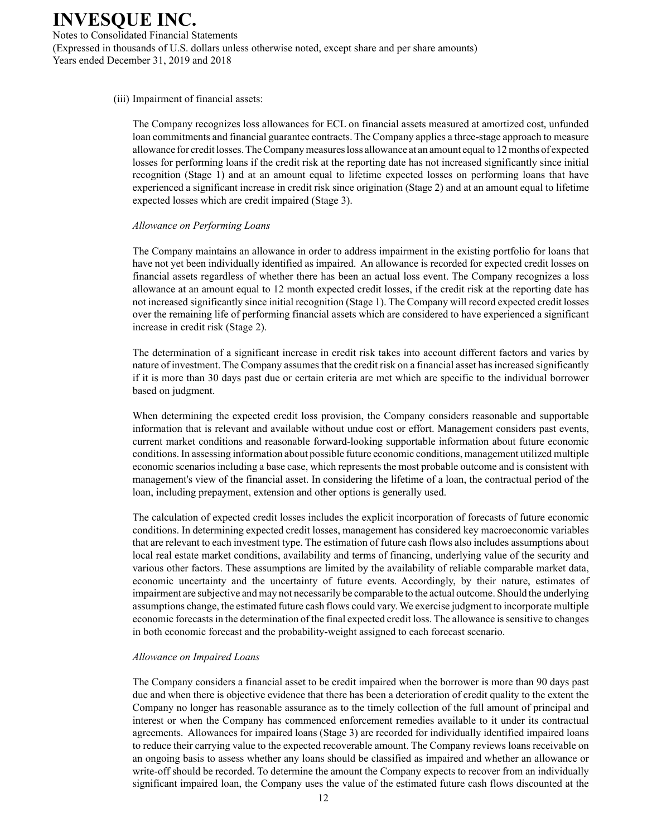Notes to Consolidated Financial Statements (Expressed in thousands of U.S. dollars unless otherwise noted, except share and per share amounts) Years ended December 31, 2019 and 2018

#### (iii) Impairment of financial assets:

The Company recognizes loss allowances for ECL on financial assets measured at amortized cost, unfunded loan commitments and financial guarantee contracts. The Company applies a three-stage approach to measure allowance for credit losses. The Company measures loss allowance at an amount equal to 12 months of expected losses for performing loans if the credit risk at the reporting date has not increased significantly since initial recognition (Stage 1) and at an amount equal to lifetime expected losses on performing loans that have experienced a significant increase in credit risk since origination (Stage 2) and at an amount equal to lifetime expected losses which are credit impaired (Stage 3).

#### *Allowance on Performing Loans*

The Company maintains an allowance in order to address impairment in the existing portfolio for loans that have not yet been individually identified as impaired. An allowance is recorded for expected credit losses on financial assets regardless of whether there has been an actual loss event. The Company recognizes a loss allowance at an amount equal to 12 month expected credit losses, if the credit risk at the reporting date has not increased significantly since initial recognition (Stage 1). The Company will record expected credit losses over the remaining life of performing financial assets which are considered to have experienced a significant increase in credit risk (Stage 2).

The determination of a significant increase in credit risk takes into account different factors and varies by nature of investment. The Company assumes that the credit risk on a financial asset has increased significantly if it is more than 30 days past due or certain criteria are met which are specific to the individual borrower based on judgment.

When determining the expected credit loss provision, the Company considers reasonable and supportable information that is relevant and available without undue cost or effort. Management considers past events, current market conditions and reasonable forward-looking supportable information about future economic conditions. In assessing information about possible future economic conditions, management utilized multiple economic scenarios including a base case, which represents the most probable outcome and is consistent with management's view of the financial asset. In considering the lifetime of a loan, the contractual period of the loan, including prepayment, extension and other options is generally used.

The calculation of expected credit losses includes the explicit incorporation of forecasts of future economic conditions. In determining expected credit losses, management has considered key macroeconomic variables that are relevant to each investment type. The estimation of future cash flows also includes assumptions about local real estate market conditions, availability and terms of financing, underlying value of the security and various other factors. These assumptions are limited by the availability of reliable comparable market data, economic uncertainty and the uncertainty of future events. Accordingly, by their nature, estimates of impairment are subjective and may not necessarily be comparable to the actual outcome. Should the underlying assumptions change, the estimated future cash flows could vary. We exercise judgment to incorporate multiple economic forecasts in the determination of the final expected credit loss. The allowance is sensitive to changes in both economic forecast and the probability-weight assigned to each forecast scenario.

#### *Allowance on Impaired Loans*

The Company considers a financial asset to be credit impaired when the borrower is more than 90 days past due and when there is objective evidence that there has been a deterioration of credit quality to the extent the Company no longer has reasonable assurance as to the timely collection of the full amount of principal and interest or when the Company has commenced enforcement remedies available to it under its contractual agreements. Allowances for impaired loans (Stage 3) are recorded for individually identified impaired loans to reduce their carrying value to the expected recoverable amount. The Company reviews loans receivable on an ongoing basis to assess whether any loans should be classified as impaired and whether an allowance or write-off should be recorded. To determine the amount the Company expects to recover from an individually significant impaired loan, the Company uses the value of the estimated future cash flows discounted at the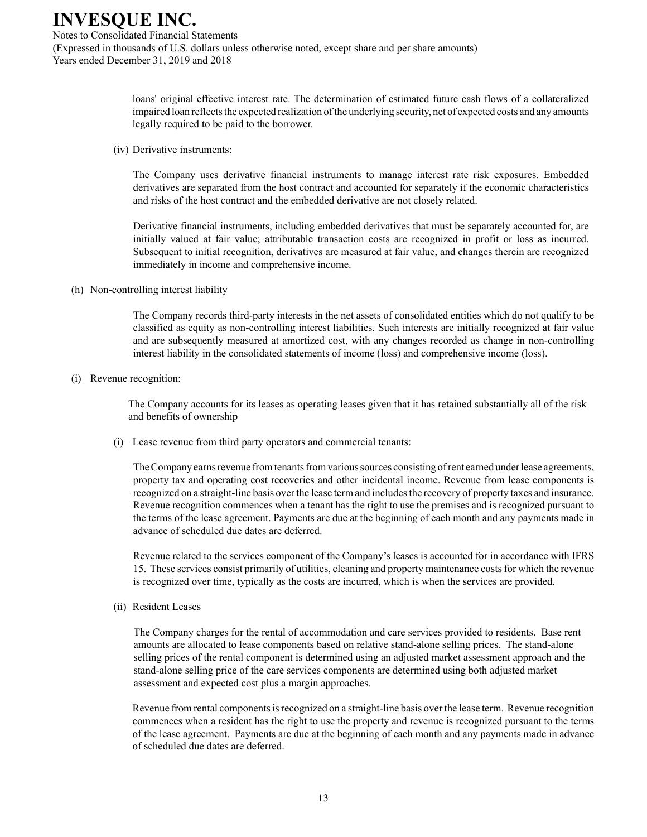Notes to Consolidated Financial Statements (Expressed in thousands of U.S. dollars unless otherwise noted, except share and per share amounts) Years ended December 31, 2019 and 2018

> loans' original effective interest rate. The determination of estimated future cash flows of a collateralized impaired loan reflects the expected realization of the underlying security, net of expected costs and any amounts legally required to be paid to the borrower.

(iv) Derivative instruments:

The Company uses derivative financial instruments to manage interest rate risk exposures. Embedded derivatives are separated from the host contract and accounted for separately if the economic characteristics and risks of the host contract and the embedded derivative are not closely related.

Derivative financial instruments, including embedded derivatives that must be separately accounted for, are initially valued at fair value; attributable transaction costs are recognized in profit or loss as incurred. Subsequent to initial recognition, derivatives are measured at fair value, and changes therein are recognized immediately in income and comprehensive income.

(h) Non-controlling interest liability

The Company records third-party interests in the net assets of consolidated entities which do not qualify to be classified as equity as non-controlling interest liabilities. Such interests are initially recognized at fair value and are subsequently measured at amortized cost, with any changes recorded as change in non-controlling interest liability in the consolidated statements of income (loss) and comprehensive income (loss).

(i) Revenue recognition:

The Company accounts for its leases as operating leases given that it has retained substantially all of the risk and benefits of ownership

(i) Lease revenue from third party operators and commercial tenants:

The Company earns revenue from tenants from various sources consisting of rent earned under lease agreements, property tax and operating cost recoveries and other incidental income. Revenue from lease components is recognized on a straight-line basis over the lease term and includes the recovery of property taxes and insurance. Revenue recognition commences when a tenant has the right to use the premises and is recognized pursuant to the terms of the lease agreement. Payments are due at the beginning of each month and any payments made in advance of scheduled due dates are deferred.

Revenue related to the services component of the Company's leases is accounted for in accordance with IFRS 15. These services consist primarily of utilities, cleaning and property maintenance costs for which the revenue is recognized over time, typically as the costs are incurred, which is when the services are provided.

(ii) Resident Leases

The Company charges for the rental of accommodation and care services provided to residents. Base rent amounts are allocated to lease components based on relative stand-alone selling prices. The stand-alone selling prices of the rental component is determined using an adjusted market assessment approach and the stand-alone selling price of the care services components are determined using both adjusted market assessment and expected cost plus a margin approaches.

Revenue from rental components is recognized on a straight-line basis over the lease term. Revenue recognition commences when a resident has the right to use the property and revenue is recognized pursuant to the terms of the lease agreement. Payments are due at the beginning of each month and any payments made in advance of scheduled due dates are deferred.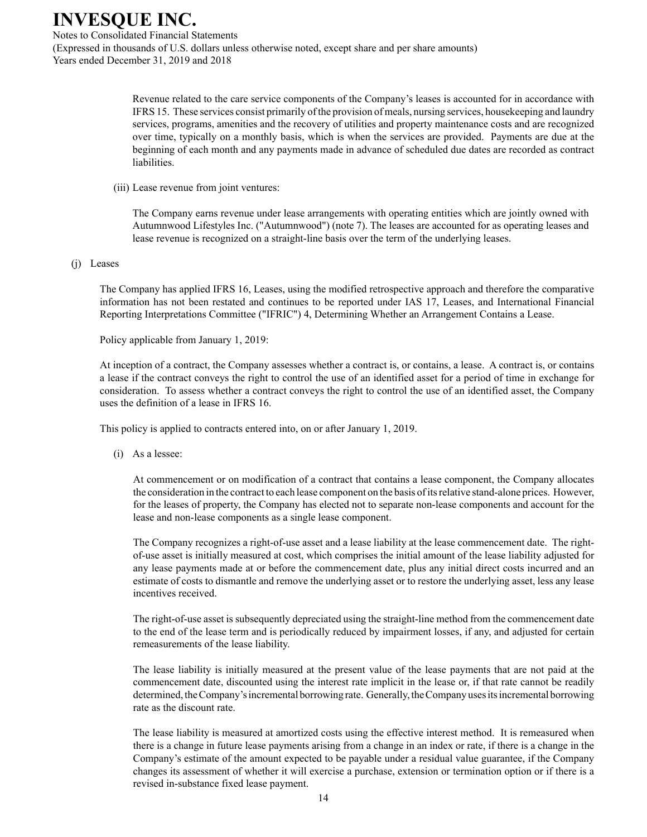Notes to Consolidated Financial Statements (Expressed in thousands of U.S. dollars unless otherwise noted, except share and per share amounts) Years ended December 31, 2019 and 2018

> Revenue related to the care service components of the Company's leases is accounted for in accordance with IFRS 15. These services consist primarily of the provision of meals, nursing services, housekeeping and laundry services, programs, amenities and the recovery of utilities and property maintenance costs and are recognized over time, typically on a monthly basis, which is when the services are provided. Payments are due at the beginning of each month and any payments made in advance of scheduled due dates are recorded as contract liabilities.

(iii) Lease revenue from joint ventures:

The Company earns revenue under lease arrangements with operating entities which are jointly owned with Autumnwood Lifestyles Inc. ("Autumnwood") (note 7). The leases are accounted for as operating leases and lease revenue is recognized on a straight-line basis over the term of the underlying leases.

#### (j) Leases

The Company has applied IFRS 16, Leases, using the modified retrospective approach and therefore the comparative information has not been restated and continues to be reported under IAS 17, Leases, and International Financial Reporting Interpretations Committee ("IFRIC") 4, Determining Whether an Arrangement Contains a Lease.

Policy applicable from January 1, 2019:

At inception of a contract, the Company assesses whether a contract is, or contains, a lease. A contract is, or contains a lease if the contract conveys the right to control the use of an identified asset for a period of time in exchange for consideration. To assess whether a contract conveys the right to control the use of an identified asset, the Company uses the definition of a lease in IFRS 16.

This policy is applied to contracts entered into, on or after January 1, 2019.

(i) As a lessee:

At commencement or on modification of a contract that contains a lease component, the Company allocates the consideration in the contract to each lease component on the basis of its relative stand-alone prices. However, for the leases of property, the Company has elected not to separate non-lease components and account for the lease and non-lease components as a single lease component.

The Company recognizes a right-of-use asset and a lease liability at the lease commencement date. The rightof-use asset is initially measured at cost, which comprises the initial amount of the lease liability adjusted for any lease payments made at or before the commencement date, plus any initial direct costs incurred and an estimate of costs to dismantle and remove the underlying asset or to restore the underlying asset, less any lease incentives received.

The right-of-use asset is subsequently depreciated using the straight-line method from the commencement date to the end of the lease term and is periodically reduced by impairment losses, if any, and adjusted for certain remeasurements of the lease liability.

The lease liability is initially measured at the present value of the lease payments that are not paid at the commencement date, discounted using the interest rate implicit in the lease or, if that rate cannot be readily determined, the Company's incremental borrowing rate. Generally, the Company uses its incremental borrowing rate as the discount rate.

The lease liability is measured at amortized costs using the effective interest method. It is remeasured when there is a change in future lease payments arising from a change in an index or rate, if there is a change in the Company's estimate of the amount expected to be payable under a residual value guarantee, if the Company changes its assessment of whether it will exercise a purchase, extension or termination option or if there is a revised in-substance fixed lease payment.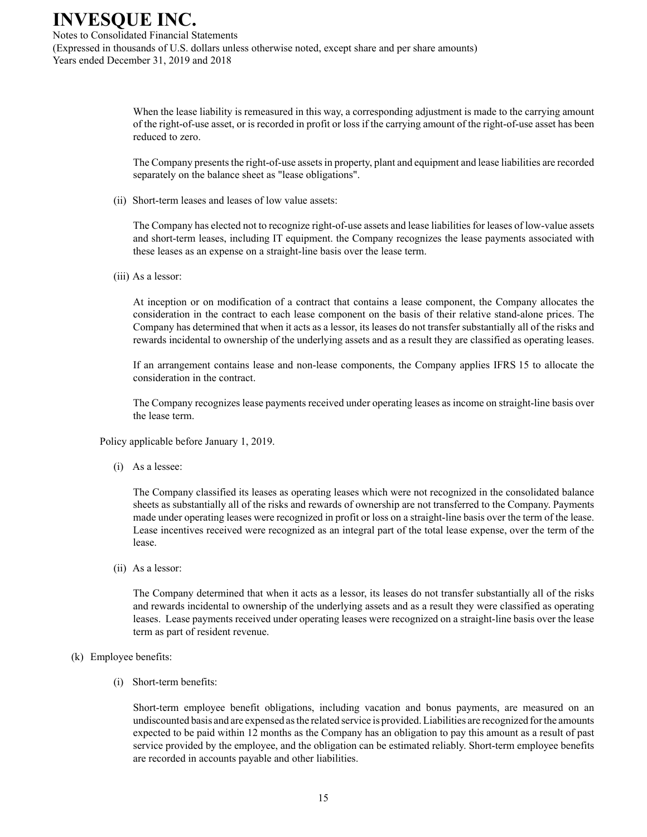Notes to Consolidated Financial Statements (Expressed in thousands of U.S. dollars unless otherwise noted, except share and per share amounts) Years ended December 31, 2019 and 2018

> When the lease liability is remeasured in this way, a corresponding adjustment is made to the carrying amount of the right-of-use asset, or is recorded in profit or loss if the carrying amount of the right-of-use asset has been reduced to zero.

> The Company presents the right-of-use assets in property, plant and equipment and lease liabilities are recorded separately on the balance sheet as "lease obligations".

(ii) Short-term leases and leases of low value assets:

The Company has elected not to recognize right-of-use assets and lease liabilities for leases of low-value assets and short-term leases, including IT equipment. the Company recognizes the lease payments associated with these leases as an expense on a straight-line basis over the lease term.

(iii) As a lessor:

At inception or on modification of a contract that contains a lease component, the Company allocates the consideration in the contract to each lease component on the basis of their relative stand-alone prices. The Company has determined that when it acts as a lessor, its leases do not transfer substantially all of the risks and rewards incidental to ownership of the underlying assets and as a result they are classified as operating leases.

If an arrangement contains lease and non-lease components, the Company applies IFRS 15 to allocate the consideration in the contract.

The Company recognizes lease payments received under operating leases as income on straight-line basis over the lease term.

Policy applicable before January 1, 2019.

(i) As a lessee:

The Company classified its leases as operating leases which were not recognized in the consolidated balance sheets as substantially all of the risks and rewards of ownership are not transferred to the Company. Payments made under operating leases were recognized in profit or loss on a straight-line basis over the term of the lease. Lease incentives received were recognized as an integral part of the total lease expense, over the term of the lease.

(ii) As a lessor:

The Company determined that when it acts as a lessor, its leases do not transfer substantially all of the risks and rewards incidental to ownership of the underlying assets and as a result they were classified as operating leases. Lease payments received under operating leases were recognized on a straight-line basis over the lease term as part of resident revenue.

#### (k) Employee benefits:

(i) Short-term benefits:

Short-term employee benefit obligations, including vacation and bonus payments, are measured on an undiscounted basis and are expensed as the related service is provided. Liabilities are recognized for the amounts expected to be paid within 12 months as the Company has an obligation to pay this amount as a result of past service provided by the employee, and the obligation can be estimated reliably. Short-term employee benefits are recorded in accounts payable and other liabilities.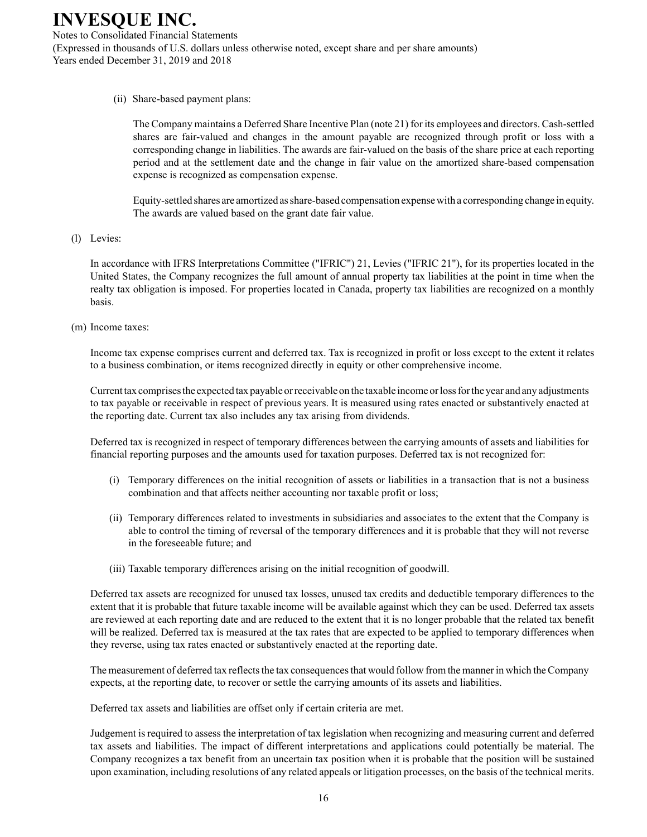Notes to Consolidated Financial Statements (Expressed in thousands of U.S. dollars unless otherwise noted, except share and per share amounts) Years ended December 31, 2019 and 2018

(ii) Share-based payment plans:

The Company maintains a Deferred Share Incentive Plan (note 21) for its employees and directors. Cash-settled shares are fair-valued and changes in the amount payable are recognized through profit or loss with a corresponding change in liabilities. The awards are fair-valued on the basis of the share price at each reporting period and at the settlement date and the change in fair value on the amortized share-based compensation expense is recognized as compensation expense.

Equity-settled shares are amortized as share-based compensation expense with a corresponding change in equity. The awards are valued based on the grant date fair value.

(l) Levies:

In accordance with IFRS Interpretations Committee ("IFRIC") 21, Levies ("IFRIC 21"), for its properties located in the United States, the Company recognizes the full amount of annual property tax liabilities at the point in time when the realty tax obligation is imposed. For properties located in Canada, property tax liabilities are recognized on a monthly basis.

(m) Income taxes:

Income tax expense comprises current and deferred tax. Tax is recognized in profit or loss except to the extent it relates to a business combination, or items recognized directly in equity or other comprehensive income.

Current tax comprises the expected tax payable or receivable on the taxable income or loss for the year and any adjustments to tax payable or receivable in respect of previous years. It is measured using rates enacted or substantively enacted at the reporting date. Current tax also includes any tax arising from dividends.

Deferred tax is recognized in respect of temporary differences between the carrying amounts of assets and liabilities for financial reporting purposes and the amounts used for taxation purposes. Deferred tax is not recognized for:

- (i) Temporary differences on the initial recognition of assets or liabilities in a transaction that is not a business combination and that affects neither accounting nor taxable profit or loss;
- (ii) Temporary differences related to investments in subsidiaries and associates to the extent that the Company is able to control the timing of reversal of the temporary differences and it is probable that they will not reverse in the foreseeable future; and
- (iii) Taxable temporary differences arising on the initial recognition of goodwill.

Deferred tax assets are recognized for unused tax losses, unused tax credits and deductible temporary differences to the extent that it is probable that future taxable income will be available against which they can be used. Deferred tax assets are reviewed at each reporting date and are reduced to the extent that it is no longer probable that the related tax benefit will be realized. Deferred tax is measured at the tax rates that are expected to be applied to temporary differences when they reverse, using tax rates enacted or substantively enacted at the reporting date.

The measurement of deferred tax reflects the tax consequences that would follow from the manner in which the Company expects, at the reporting date, to recover or settle the carrying amounts of its assets and liabilities.

Deferred tax assets and liabilities are offset only if certain criteria are met.

Judgement is required to assess the interpretation of tax legislation when recognizing and measuring current and deferred tax assets and liabilities. The impact of different interpretations and applications could potentially be material. The Company recognizes a tax benefit from an uncertain tax position when it is probable that the position will be sustained upon examination, including resolutions of any related appeals or litigation processes, on the basis of the technical merits.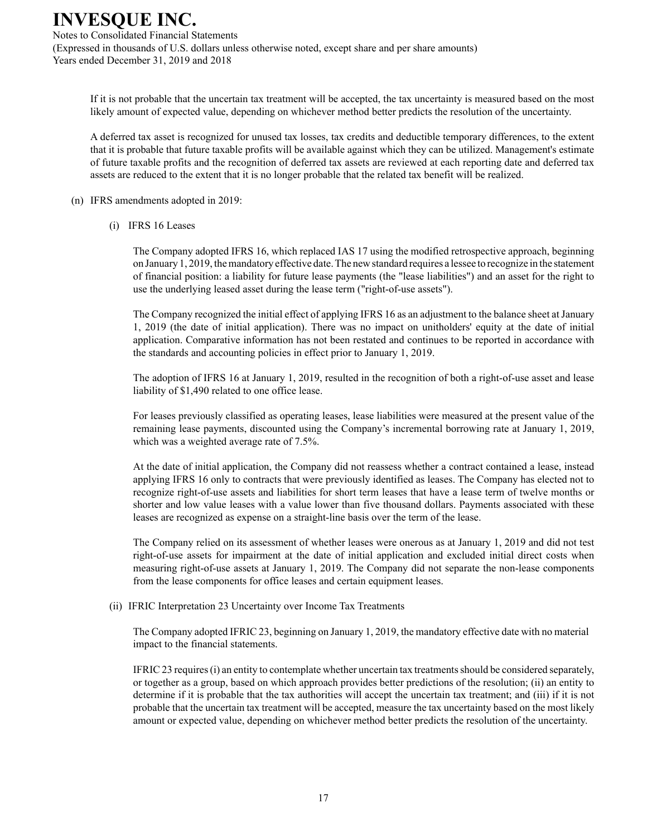Notes to Consolidated Financial Statements (Expressed in thousands of U.S. dollars unless otherwise noted, except share and per share amounts) Years ended December 31, 2019 and 2018

If it is not probable that the uncertain tax treatment will be accepted, the tax uncertainty is measured based on the most likely amount of expected value, depending on whichever method better predicts the resolution of the uncertainty.

A deferred tax asset is recognized for unused tax losses, tax credits and deductible temporary differences, to the extent that it is probable that future taxable profits will be available against which they can be utilized. Management's estimate of future taxable profits and the recognition of deferred tax assets are reviewed at each reporting date and deferred tax assets are reduced to the extent that it is no longer probable that the related tax benefit will be realized.

- (n) IFRS amendments adopted in 2019:
	- (i) IFRS 16 Leases

The Company adopted IFRS 16, which replaced IAS 17 using the modified retrospective approach, beginning on January 1, 2019, the mandatory effective date. The new standard requires a lessee to recognize in the statement of financial position: a liability for future lease payments (the "lease liabilities") and an asset for the right to use the underlying leased asset during the lease term ("right-of-use assets").

The Company recognized the initial effect of applying IFRS 16 as an adjustment to the balance sheet at January 1, 2019 (the date of initial application). There was no impact on unitholders' equity at the date of initial application. Comparative information has not been restated and continues to be reported in accordance with the standards and accounting policies in effect prior to January 1, 2019.

The adoption of IFRS 16 at January 1, 2019, resulted in the recognition of both a right-of-use asset and lease liability of \$1,490 related to one office lease.

For leases previously classified as operating leases, lease liabilities were measured at the present value of the remaining lease payments, discounted using the Company's incremental borrowing rate at January 1, 2019, which was a weighted average rate of 7.5%.

At the date of initial application, the Company did not reassess whether a contract contained a lease, instead applying IFRS 16 only to contracts that were previously identified as leases. The Company has elected not to recognize right-of-use assets and liabilities for short term leases that have a lease term of twelve months or shorter and low value leases with a value lower than five thousand dollars. Payments associated with these leases are recognized as expense on a straight-line basis over the term of the lease.

The Company relied on its assessment of whether leases were onerous as at January 1, 2019 and did not test right-of-use assets for impairment at the date of initial application and excluded initial direct costs when measuring right-of-use assets at January 1, 2019. The Company did not separate the non-lease components from the lease components for office leases and certain equipment leases.

(ii) IFRIC Interpretation 23 Uncertainty over Income Tax Treatments

The Company adopted IFRIC 23, beginning on January 1, 2019, the mandatory effective date with no material impact to the financial statements.

IFRIC 23 requires (i) an entity to contemplate whether uncertain tax treatments should be considered separately, or together as a group, based on which approach provides better predictions of the resolution; (ii) an entity to determine if it is probable that the tax authorities will accept the uncertain tax treatment; and (iii) if it is not probable that the uncertain tax treatment will be accepted, measure the tax uncertainty based on the most likely amount or expected value, depending on whichever method better predicts the resolution of the uncertainty.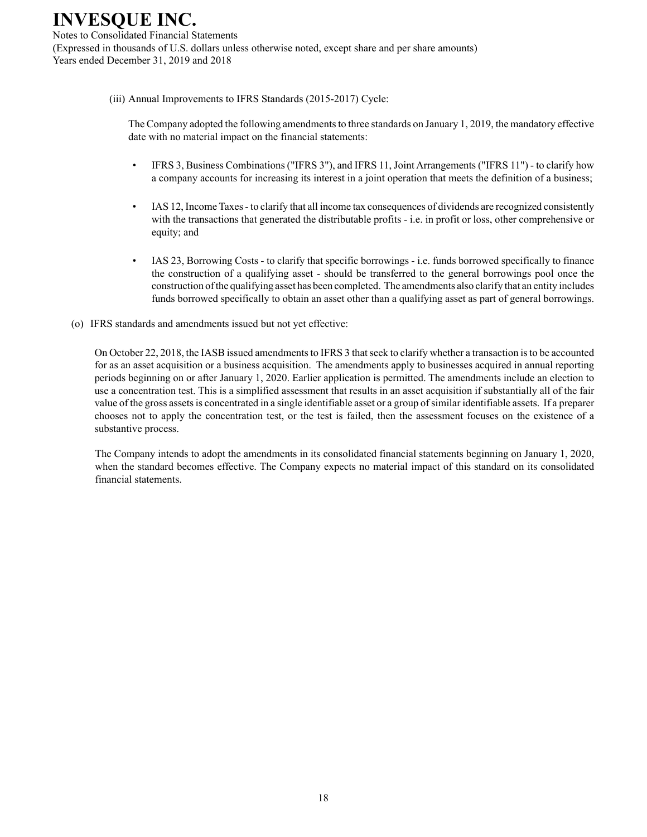Notes to Consolidated Financial Statements (Expressed in thousands of U.S. dollars unless otherwise noted, except share and per share amounts) Years ended December 31, 2019 and 2018

#### (iii) Annual Improvements to IFRS Standards (2015-2017) Cycle:

The Company adopted the following amendments to three standards on January 1, 2019, the mandatory effective date with no material impact on the financial statements:

- IFRS 3, Business Combinations ("IFRS 3"), and IFRS 11, Joint Arrangements ("IFRS 11") to clarify how a company accounts for increasing its interest in a joint operation that meets the definition of a business;
- IAS 12, Income Taxes to clarify that all income tax consequences of dividends are recognized consistently with the transactions that generated the distributable profits - i.e. in profit or loss, other comprehensive or equity; and
- IAS 23, Borrowing Costs to clarify that specific borrowings i.e. funds borrowed specifically to finance the construction of a qualifying asset - should be transferred to the general borrowings pool once the construction of the qualifying asset has been completed. The amendments also clarify that an entity includes funds borrowed specifically to obtain an asset other than a qualifying asset as part of general borrowings.
- (o) IFRS standards and amendments issued but not yet effective:

On October 22, 2018, the IASB issued amendments to IFRS 3 that seek to clarify whether a transaction is to be accounted for as an asset acquisition or a business acquisition. The amendments apply to businesses acquired in annual reporting periods beginning on or after January 1, 2020. Earlier application is permitted. The amendments include an election to use a concentration test. This is a simplified assessment that results in an asset acquisition if substantially all of the fair value of the gross assets is concentrated in a single identifiable asset or a group of similar identifiable assets. If a preparer chooses not to apply the concentration test, or the test is failed, then the assessment focuses on the existence of a substantive process.

The Company intends to adopt the amendments in its consolidated financial statements beginning on January 1, 2020, when the standard becomes effective. The Company expects no material impact of this standard on its consolidated financial statements.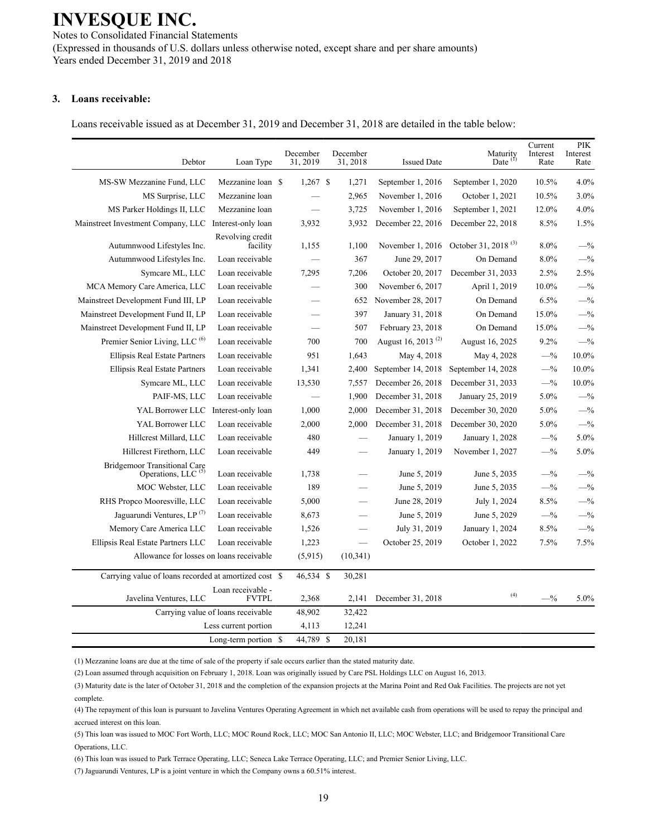Notes to Consolidated Financial Statements (Expressed in thousands of U.S. dollars unless otherwise noted, except share and per share amounts) Years ended December 31, 2019 and 2018

#### **3. Loans receivable:**

Loans receivable issued as at December 31, 2019 and December 31, 2018 are detailed in the table below:

| Debtor                                                                | Loan Type                          | December<br>31, 2019     | December<br>31, 2018 | <b>Issued Date</b>             | Maturity<br>Date $(1)$          | Current<br>Interest<br>Rate | PIK<br>Interest<br>Rate |
|-----------------------------------------------------------------------|------------------------------------|--------------------------|----------------------|--------------------------------|---------------------------------|-----------------------------|-------------------------|
| MS-SW Mezzanine Fund, LLC                                             | Mezzanine loan \$                  | $1,267$ \$               | 1,271                | September 1, 2016              | September 1, 2020               | 10.5%                       | 4.0%                    |
| MS Surprise, LLC                                                      | Mezzanine loan                     |                          | 2,965                | November 1, 2016               | October 1, 2021                 | 10.5%                       | 3.0%                    |
| MS Parker Holdings II, LLC                                            | Mezzanine loan                     | $\overline{\phantom{0}}$ | 3,725                | November 1, 2016               | September 1, 2021               | 12.0%                       | 4.0%                    |
| Mainstreet Investment Company, LLC                                    | Interest-only loan                 | 3,932                    | 3,932                | December 22, 2016              | December 22, 2018               | 8.5%                        | 1.5%                    |
| Autumnwood Lifestyles Inc.                                            | Revolving credit<br>facility       | 1,155                    | 1,100                | November 1, 2016               | October 31, 2018 <sup>(3)</sup> | 8.0%                        | $-$ %                   |
| Autumnwood Lifestyles Inc.                                            | Loan receivable                    |                          | 367                  | June 29, 2017                  | On Demand                       | 8.0%                        | $-$ %                   |
| Symcare ML, LLC                                                       | Loan receivable                    | 7,295                    | 7,206                | October 20, 2017               | December 31, 2033               | 2.5%                        | 2.5%                    |
| MCA Memory Care America, LLC                                          | Loan receivable                    |                          | 300                  | November 6, 2017               | April 1, 2019                   | 10.0%                       | $-$ %                   |
| Mainstreet Development Fund III, LP                                   | Loan receivable                    |                          | 652                  | November 28, 2017              | On Demand                       | 6.5%                        | $-$ %                   |
| Mainstreet Development Fund II, LP                                    | Loan receivable                    |                          | 397                  | January 31, 2018               | On Demand                       | 15.0%                       | $-$ %                   |
| Mainstreet Development Fund II, LP                                    | Loan receivable                    | $\overline{\phantom{0}}$ | 507                  | February 23, 2018              | On Demand                       | 15.0%                       | $-$ %                   |
| Premier Senior Living, LLC <sup>(6)</sup>                             | Loan receivable                    | 700                      | 700                  | August 16, 2013 <sup>(2)</sup> | August 16, 2025                 | 9.2%                        | $-$ %                   |
| <b>Ellipsis Real Estate Partners</b>                                  | Loan receivable                    | 951                      | 1,643                | May 4, 2018                    | May 4, 2028                     | $-$ %                       | 10.0%                   |
| Ellipsis Real Estate Partners                                         | Loan receivable                    | 1,341                    | 2,400                | September 14, 2018             | September 14, 2028              | $-$ %                       | 10.0%                   |
| Symcare ML, LLC                                                       | Loan receivable                    | 13,530                   | 7,557                | December 26, 2018              | December 31, 2033               | $-$ %                       | 10.0%                   |
| PAIF-MS, LLC                                                          | Loan receivable                    |                          | 1,900                | December 31, 2018              | January 25, 2019                | 5.0%                        | $-$ %                   |
| YAL Borrower LLC                                                      | Interest-only loan                 | 1,000                    | 2,000                | December 31, 2018              | December 30, 2020               | 5.0%                        | $-$ %                   |
| YAL Borrower LLC                                                      | Loan receivable                    | 2,000                    | 2,000                | December 31, 2018              | December 30, 2020               | 5.0%                        | $-$ %                   |
| Hillcrest Millard, LLC                                                | Loan receivable                    | 480                      |                      | January 1, 2019                | January 1, 2028                 | $-$ %                       | 5.0%                    |
| Hillcrest Firethorn, LLC                                              | Loan receivable                    | 449                      |                      | January 1, 2019                | November 1, 2027                | $-$ %                       | 5.0%                    |
| <b>Bridgemoor Transitional Care</b><br>Operations, LLC <sup>(5)</sup> | Loan receivable                    | 1,738                    |                      | June 5, 2019                   | June 5, 2035                    | $-$ %                       | $-$ %                   |
| MOC Webster, LLC                                                      | Loan receivable                    | 189                      |                      | June 5, 2019                   | June 5, 2035                    | $-$ %                       | $-$ %                   |
| RHS Propco Mooresville, LLC                                           | Loan receivable                    | 5,000                    |                      | June 28, 2019                  | July 1, 2024                    | 8.5%                        | $- \frac{9}{6}$         |
| Jaguarundi Ventures, LP <sup>(7)</sup>                                | Loan receivable                    | 8,673                    |                      | June 5, 2019                   | June 5, 2029                    | $-$ %                       | $-$ %                   |
| Memory Care America LLC                                               | Loan receivable                    | 1,526                    |                      | July 31, 2019                  | January 1, 2024                 | 8.5%                        | $-$ %                   |
| Ellipsis Real Estate Partners LLC                                     | Loan receivable                    | 1,223                    |                      | October 25, 2019               | October 1, 2022                 | 7.5%                        | 7.5%                    |
| Allowance for losses on loans receivable                              |                                    | (5,915)                  | (10, 341)            |                                |                                 |                             |                         |
| Carrying value of loans recorded at amortized cost \$                 |                                    | 46,534 \$                | 30,281               |                                |                                 |                             |                         |
| Javelina Ventures, LLC                                                | Loan receivable -<br><b>FVTPL</b>  | 2,368                    | 2,141                | December 31, 2018              | (4)                             | $-$ %                       | 5.0%                    |
|                                                                       | Carrying value of loans receivable | 48,902                   | 32,422               |                                |                                 |                             |                         |
|                                                                       | Less current portion               | 4,113                    | 12,241               |                                |                                 |                             |                         |
|                                                                       | Long-term portion \$               | 44,789 \$                | 20,181               |                                |                                 |                             |                         |

(1) Mezzanine loans are due at the time of sale of the property if sale occurs earlier than the stated maturity date.

(2) Loan assumed through acquisition on February 1, 2018. Loan was originally issued by Care PSL Holdings LLC on August 16, 2013.

(3) Maturity date is the later of October 31, 2018 and the completion of the expansion projects at the Marina Point and Red Oak Facilities. The projects are not yet complete.

(4) The repayment of this loan is pursuant to Javelina Ventures Operating Agreement in which net available cash from operations will be used to repay the principal and accrued interest on this loan.

(5) This loan was issued to MOC Fort Worth, LLC; MOC Round Rock, LLC; MOC San Antonio II, LLC; MOC Webster, LLC; and Bridgemoor Transitional Care Operations, LLC.

(6) This loan was issued to Park Terrace Operating, LLC; Seneca Lake Terrace Operating, LLC; and Premier Senior Living, LLC.

(7) Jaguarundi Ventures, LP is a joint venture in which the Company owns a 60.51% interest.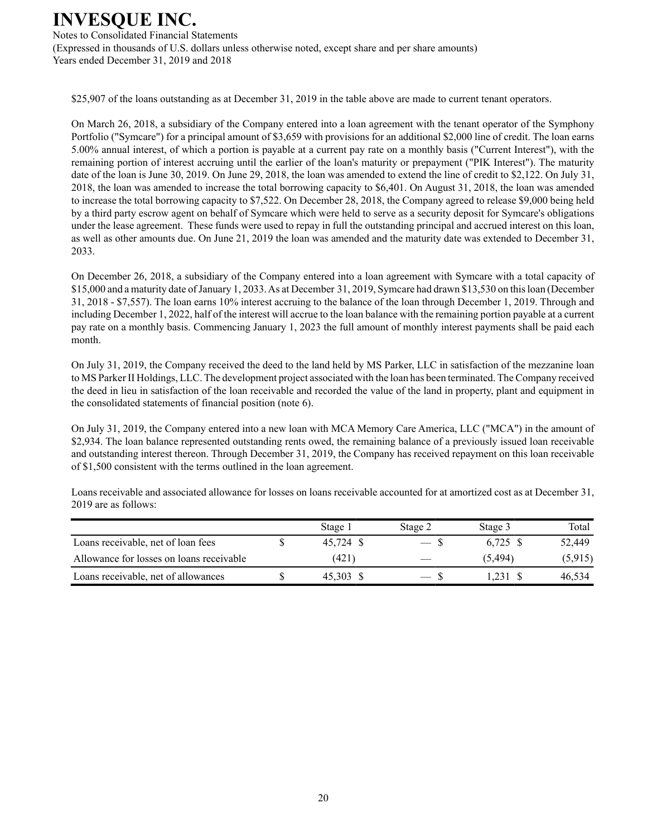Notes to Consolidated Financial Statements (Expressed in thousands of U.S. dollars unless otherwise noted, except share and per share amounts) Years ended December 31, 2019 and 2018

\$25,907 of the loans outstanding as at December 31, 2019 in the table above are made to current tenant operators.

On March 26, 2018, a subsidiary of the Company entered into a loan agreement with the tenant operator of the Symphony Portfolio ("Symcare") for a principal amount of \$3,659 with provisions for an additional \$2,000 line of credit. The loan earns 5.00% annual interest, of which a portion is payable at a current pay rate on a monthly basis ("Current Interest"), with the remaining portion of interest accruing until the earlier of the loan's maturity or prepayment ("PIK Interest"). The maturity date of the loan is June 30, 2019. On June 29, 2018, the loan was amended to extend the line of credit to \$2,122. On July 31, 2018, the loan was amended to increase the total borrowing capacity to \$6,401. On August 31, 2018, the loan was amended to increase the total borrowing capacity to \$7,522. On December 28, 2018, the Company agreed to release \$9,000 being held by a third party escrow agent on behalf of Symcare which were held to serve as a security deposit for Symcare's obligations under the lease agreement. These funds were used to repay in full the outstanding principal and accrued interest on this loan, as well as other amounts due. On June 21, 2019 the loan was amended and the maturity date was extended to December 31, 2033.

On December 26, 2018, a subsidiary of the Company entered into a loan agreement with Symcare with a total capacity of \$15,000 and a maturity date of January 1, 2033. As at December 31, 2019, Symcare had drawn \$13,530 on this loan (December 31, 2018 - \$7,557). The loan earns 10% interest accruing to the balance of the loan through December 1, 2019. Through and including December 1, 2022, half of the interest will accrue to the loan balance with the remaining portion payable at a current pay rate on a monthly basis. Commencing January 1, 2023 the full amount of monthly interest payments shall be paid each month.

On July 31, 2019, the Company received the deed to the land held by MS Parker, LLC in satisfaction of the mezzanine loan to MS Parker II Holdings, LLC. The development project associated with the loan has been terminated. The Company received the deed in lieu in satisfaction of the loan receivable and recorded the value of the land in property, plant and equipment in the consolidated statements of financial position (note 6).

On July 31, 2019, the Company entered into a new loan with MCA Memory Care America, LLC ("MCA") in the amount of \$2,934. The loan balance represented outstanding rents owed, the remaining balance of a previously issued loan receivable and outstanding interest thereon. Through December 31, 2019, the Company has received repayment on this loan receivable of \$1,500 consistent with the terms outlined in the loan agreement.

Loans receivable and associated allowance for losses on loans receivable accounted for at amortized cost as at December 31, 2019 are as follows:

|                                          | Stage 1   | Stage 2       | Stage 3  | Total   |
|------------------------------------------|-----------|---------------|----------|---------|
| Loans receivable, net of loan fees       | 45.724 \$ | — s           | 6.725 \$ | 52.449  |
| Allowance for losses on loans receivable | (421)     |               | (5, 494) | (5,915) |
| Loans receivable, net of allowances      | 45.303 \$ | $ \mathbf{v}$ | 1.231    | 46.534  |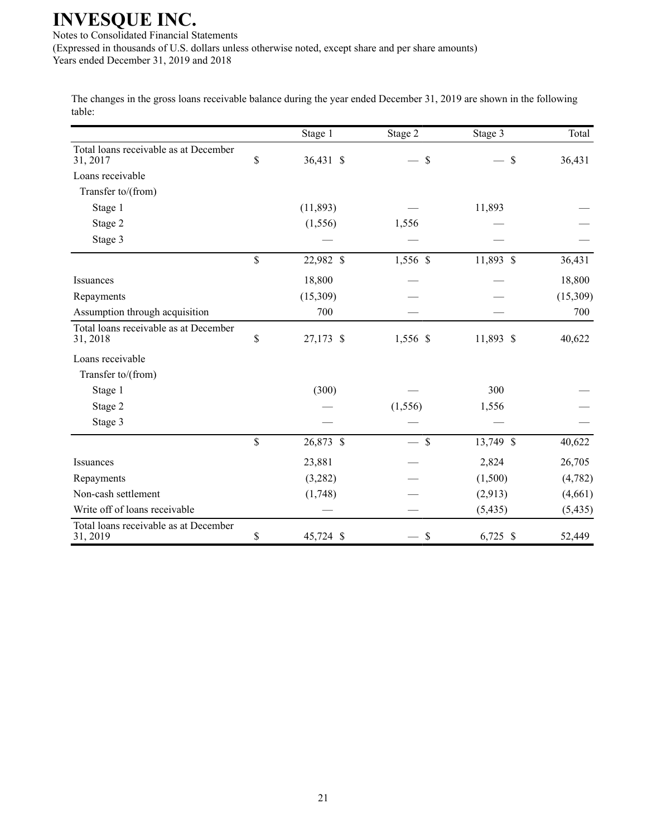Notes to Consolidated Financial Statements (Expressed in thousands of U.S. dollars unless otherwise noted, except share and per share amounts) Years ended December 31, 2019 and 2018

The changes in the gross loans receivable balance during the year ended December 31, 2019 are shown in the following table:

|                                                   | Stage 1         | Stage 2                   | Stage 3    | Total    |
|---------------------------------------------------|-----------------|---------------------------|------------|----------|
| Total loans receivable as at December<br>31, 2017 | \$<br>36,431 \$ | \$                        | \$         | 36,431   |
| Loans receivable                                  |                 |                           |            |          |
| Transfer to/(from)                                |                 |                           |            |          |
| Stage 1                                           | (11,893)        |                           | 11,893     |          |
| Stage 2                                           | (1, 556)        | 1,556                     |            |          |
| Stage 3                                           |                 |                           |            |          |
|                                                   | \$<br>22,982 \$ | 1,556 \$                  | 11,893 \$  | 36,431   |
| Issuances                                         | 18,800          |                           |            | 18,800   |
| Repayments                                        | (15,309)        |                           |            | (15,309) |
| Assumption through acquisition                    | 700             |                           |            | 700      |
| Total loans receivable as at December<br>31, 2018 | \$<br>27,173 \$ | 1,556 \$                  | 11,893 \$  | 40,622   |
| Loans receivable                                  |                 |                           |            |          |
| Transfer to/(from)                                |                 |                           |            |          |
| Stage 1                                           | (300)           |                           | 300        |          |
| Stage 2                                           |                 | (1, 556)                  | 1,556      |          |
| Stage 3                                           |                 |                           |            |          |
|                                                   | \$<br>26,873 \$ | $\mathcal{S}$             | 13,749 \$  | 40,622   |
| Issuances                                         | 23,881          |                           | 2,824      | 26,705   |
| Repayments                                        | (3,282)         |                           | (1,500)    | (4,782)  |
| Non-cash settlement                               | (1,748)         |                           | (2,913)    | (4,661)  |
| Write off of loans receivable                     |                 |                           | (5, 435)   | (5, 435) |
| Total loans receivable as at December<br>31, 2019 | \$<br>45,724 \$ | $\boldsymbol{\mathsf{S}}$ | $6,725$ \$ | 52,449   |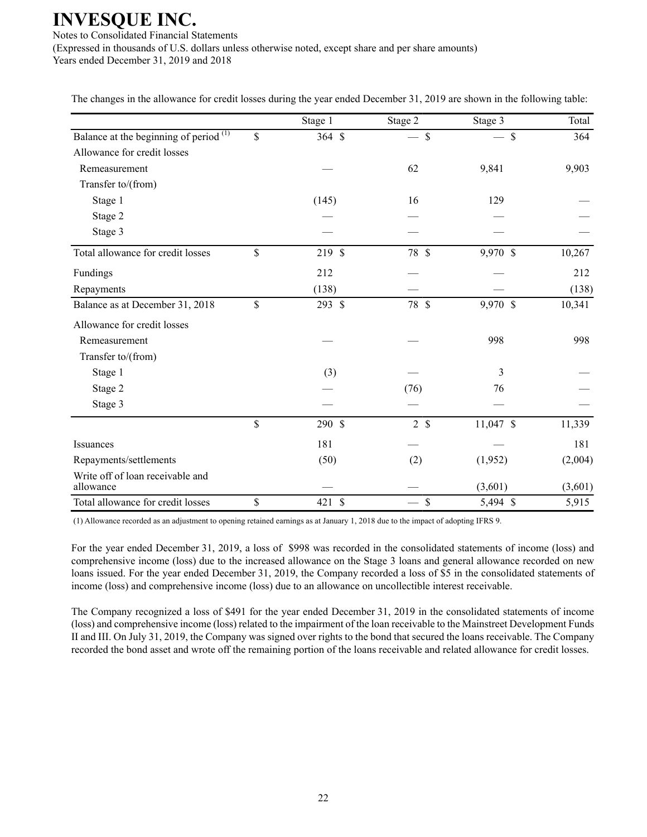Notes to Consolidated Financial Statements (Expressed in thousands of U.S. dollars unless otherwise noted, except share and per share amounts) Years ended December 31, 2019 and 2018

The changes in the allowance for credit losses during the year ended December 31, 2019 are shown in the following table:

|                                                   | Stage 1      | Stage 2       | Stage 3   | Total   |
|---------------------------------------------------|--------------|---------------|-----------|---------|
| Balance at the beginning of period <sup>(1)</sup> | \$<br>364 \$ | $\mathcal{S}$ | \$        | 364     |
| Allowance for credit losses                       |              |               |           |         |
| Remeasurement                                     |              | 62            | 9,841     | 9,903   |
| Transfer to/(from)                                |              |               |           |         |
| Stage 1                                           | (145)        | 16            | 129       |         |
| Stage 2                                           |              |               |           |         |
| Stage 3                                           |              |               |           |         |
| Total allowance for credit losses                 | \$<br>219 \$ | 78 \$         | 9,970 \$  | 10,267  |
| Fundings                                          | 212          |               |           | 212     |
| Repayments                                        | (138)        |               |           | (138)   |
| Balance as at December 31, 2018                   | \$<br>293 \$ | 78 \$         | 9,970 \$  | 10,341  |
| Allowance for credit losses                       |              |               |           |         |
| Remeasurement                                     |              |               | 998       | 998     |
| Transfer to/(from)                                |              |               |           |         |
| Stage 1                                           | (3)          |               | 3         |         |
| Stage 2                                           |              | (76)          | 76        |         |
| Stage 3                                           |              |               |           |         |
|                                                   | \$<br>290 \$ | $2 \sqrt{s}$  | 11,047 \$ | 11,339  |
| Issuances                                         | 181          |               |           | 181     |
| Repayments/settlements                            | (50)         | (2)           | (1,952)   | (2,004) |
| Write off of loan receivable and<br>allowance     |              |               | (3,601)   | (3,601) |
| Total allowance for credit losses                 | \$<br>421 \$ | $\mathcal{S}$ | 5,494 \$  | 5,915   |

(1) Allowance recorded as an adjustment to opening retained earnings as at January 1, 2018 due to the impact of adopting IFRS 9.

For the year ended December 31, 2019, a loss of \$998 was recorded in the consolidated statements of income (loss) and comprehensive income (loss) due to the increased allowance on the Stage 3 loans and general allowance recorded on new loans issued. For the year ended December 31, 2019, the Company recorded a loss of \$5 in the consolidated statements of income (loss) and comprehensive income (loss) due to an allowance on uncollectible interest receivable.

The Company recognized a loss of \$491 for the year ended December 31, 2019 in the consolidated statements of income (loss) and comprehensive income (loss) related to the impairment of the loan receivable to the Mainstreet Development Funds II and III. On July 31, 2019, the Company was signed over rights to the bond that secured the loans receivable. The Company recorded the bond asset and wrote off the remaining portion of the loans receivable and related allowance for credit losses.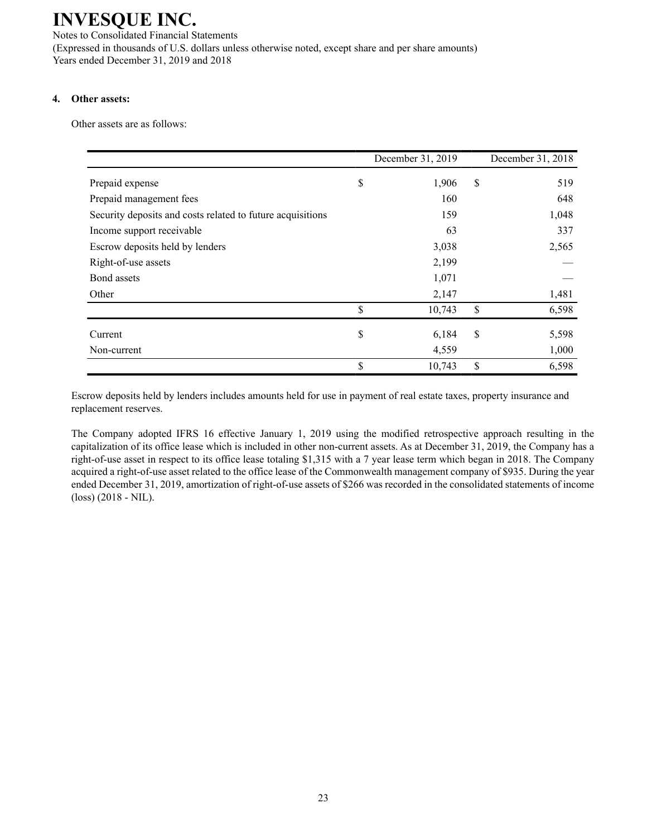Notes to Consolidated Financial Statements (Expressed in thousands of U.S. dollars unless otherwise noted, except share and per share amounts) Years ended December 31, 2019 and 2018

### **4. Other assets:**

Other assets are as follows:

|                                                            | December 31, 2019 | December 31, 2018 |
|------------------------------------------------------------|-------------------|-------------------|
| Prepaid expense                                            | \$<br>1,906       | \$<br>519         |
| Prepaid management fees                                    | 160               | 648               |
| Security deposits and costs related to future acquisitions | 159               | 1,048             |
| Income support receivable                                  | 63                | 337               |
| Escrow deposits held by lenders                            | 3,038             | 2,565             |
| Right-of-use assets                                        | 2,199             |                   |
| Bond assets                                                | 1,071             |                   |
| Other                                                      | 2,147             | 1,481             |
|                                                            | \$<br>10,743      | \$<br>6,598       |
| Current                                                    | \$<br>6,184       | \$<br>5,598       |
| Non-current                                                | 4,559             | 1,000             |
|                                                            | \$<br>10,743      | \$<br>6,598       |

Escrow deposits held by lenders includes amounts held for use in payment of real estate taxes, property insurance and replacement reserves.

The Company adopted IFRS 16 effective January 1, 2019 using the modified retrospective approach resulting in the capitalization of its office lease which is included in other non-current assets. As at December 31, 2019, the Company has a right-of-use asset in respect to its office lease totaling \$1,315 with a 7 year lease term which began in 2018. The Company acquired a right-of-use asset related to the office lease of the Commonwealth management company of \$935. During the year ended December 31, 2019, amortization of right-of-use assets of \$266 was recorded in the consolidated statements of income (loss) (2018 - NIL).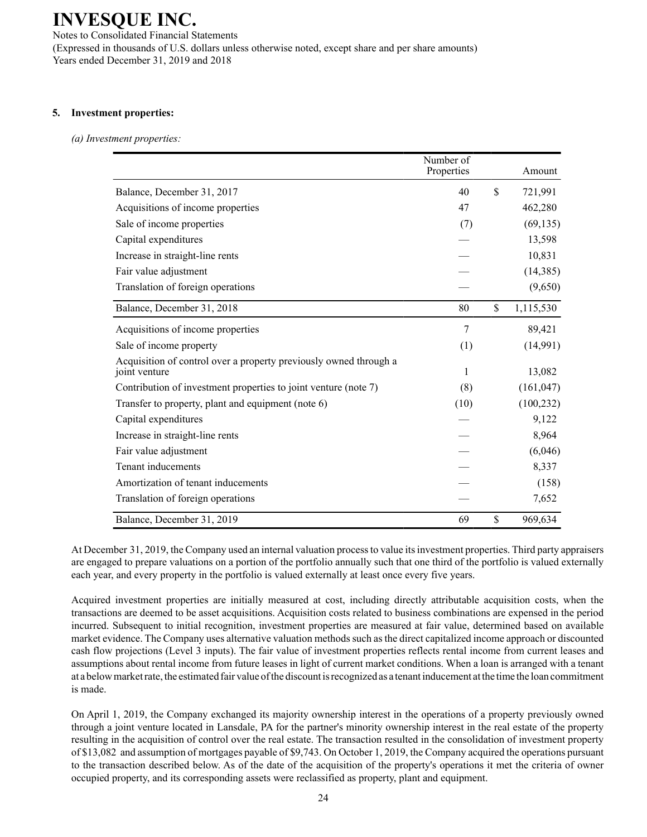Notes to Consolidated Financial Statements (Expressed in thousands of U.S. dollars unless otherwise noted, except share and per share amounts) Years ended December 31, 2019 and 2018

### **5. Investment properties:**

#### *(a) Investment properties:*

|                                                                                    | Number of<br>Properties | Amount          |
|------------------------------------------------------------------------------------|-------------------------|-----------------|
| Balance, December 31, 2017                                                         | 40                      | \$<br>721,991   |
| Acquisitions of income properties                                                  | 47                      | 462,280         |
| Sale of income properties                                                          | (7)                     | (69, 135)       |
| Capital expenditures                                                               |                         | 13,598          |
| Increase in straight-line rents                                                    |                         | 10,831          |
| Fair value adjustment                                                              |                         | (14, 385)       |
| Translation of foreign operations                                                  |                         | (9,650)         |
| Balance, December 31, 2018                                                         | 80                      | \$<br>1,115,530 |
| Acquisitions of income properties                                                  | 7                       | 89,421          |
| Sale of income property                                                            | (1)                     | (14,991)        |
| Acquisition of control over a property previously owned through a<br>joint venture | 1                       | 13,082          |
| Contribution of investment properties to joint venture (note 7)                    | (8)                     | (161, 047)      |
| Transfer to property, plant and equipment (note 6)                                 | (10)                    | (100, 232)      |
| Capital expenditures                                                               |                         | 9,122           |
| Increase in straight-line rents                                                    |                         | 8,964           |
| Fair value adjustment                                                              |                         | (6,046)         |
| Tenant inducements                                                                 |                         | 8,337           |
| Amortization of tenant inducements                                                 |                         | (158)           |
| Translation of foreign operations                                                  |                         | 7,652           |
| Balance, December 31, 2019                                                         | 69                      | \$<br>969,634   |

At December 31, 2019, the Company used an internal valuation process to value its investment properties. Third party appraisers are engaged to prepare valuations on a portion of the portfolio annually such that one third of the portfolio is valued externally each year, and every property in the portfolio is valued externally at least once every five years.

Acquired investment properties are initially measured at cost, including directly attributable acquisition costs, when the transactions are deemed to be asset acquisitions. Acquisition costs related to business combinations are expensed in the period incurred. Subsequent to initial recognition, investment properties are measured at fair value, determined based on available market evidence. The Company uses alternative valuation methods such as the direct capitalized income approach or discounted cash flow projections (Level 3 inputs). The fair value of investment properties reflects rental income from current leases and assumptions about rental income from future leases in light of current market conditions. When a loan is arranged with a tenant at a below market rate, the estimated fair value of the discount is recognized as a tenant inducement at the time the loan commitment is made.

On April 1, 2019, the Company exchanged its majority ownership interest in the operations of a property previously owned through a joint venture located in Lansdale, PA for the partner's minority ownership interest in the real estate of the property resulting in the acquisition of control over the real estate. The transaction resulted in the consolidation of investment property of \$13,082 and assumption of mortgages payable of \$9,743. On October 1, 2019, the Company acquired the operations pursuant to the transaction described below. As of the date of the acquisition of the property's operations it met the criteria of owner occupied property, and its corresponding assets were reclassified as property, plant and equipment.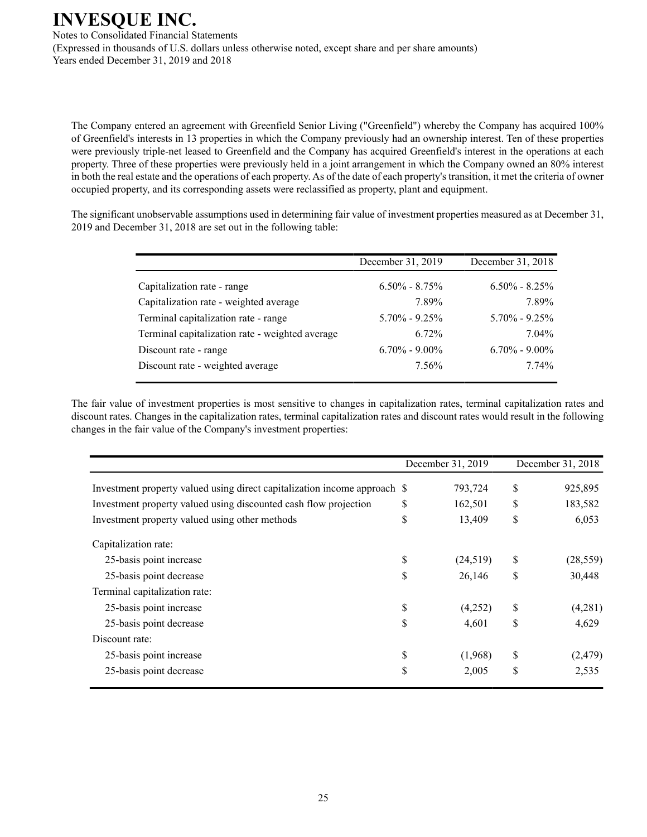Notes to Consolidated Financial Statements (Expressed in thousands of U.S. dollars unless otherwise noted, except share and per share amounts) Years ended December 31, 2019 and 2018

The Company entered an agreement with Greenfield Senior Living ("Greenfield") whereby the Company has acquired 100% of Greenfield's interests in 13 properties in which the Company previously had an ownership interest. Ten of these properties were previously triple-net leased to Greenfield and the Company has acquired Greenfield's interest in the operations at each property. Three of these properties were previously held in a joint arrangement in which the Company owned an 80% interest in both the real estate and the operations of each property. As of the date of each property's transition, it met the criteria of owner occupied property, and its corresponding assets were reclassified as property, plant and equipment.

The significant unobservable assumptions used in determining fair value of investment properties measured as at December 31, 2019 and December 31, 2018 are set out in the following table:

|                                                 | December 31, 2019 | December 31, 2018 |
|-------------------------------------------------|-------------------|-------------------|
| Capitalization rate - range                     | $6.50\% - 8.75\%$ | $6.50\% - 8.25\%$ |
| Capitalization rate - weighted average          | 7.89%             | 7.89%             |
| Terminal capitalization rate - range            | $5.70\% - 9.25\%$ | $5.70\% - 9.25\%$ |
| Terminal capitalization rate - weighted average | 6.72%             | $7.04\%$          |
| Discount rate - range                           | $6.70\% - 9.00\%$ | $6.70\% - 9.00\%$ |
| Discount rate - weighted average                | 7.56%             | 7.74%             |

The fair value of investment properties is most sensitive to changes in capitalization rates, terminal capitalization rates and discount rates. Changes in the capitalization rates, terminal capitalization rates and discount rates would result in the following changes in the fair value of the Company's investment properties:

|                                                                           | December 31, 2019 | December 31, 2018 |           |  |
|---------------------------------------------------------------------------|-------------------|-------------------|-----------|--|
| Investment property valued using direct capitalization income approach \$ | 793,724           | \$                | 925,895   |  |
| Investment property valued using discounted cash flow projection          | \$<br>162,501     | \$                | 183,582   |  |
| Investment property valued using other methods                            | \$<br>13,409      | \$                | 6,053     |  |
| Capitalization rate:                                                      |                   |                   |           |  |
| 25-basis point increase                                                   | \$<br>(24, 519)   | \$                | (28, 559) |  |
| 25-basis point decrease                                                   | \$<br>26,146      | \$                | 30,448    |  |
| Terminal capitalization rate:                                             |                   |                   |           |  |
| 25-basis point increase                                                   | \$<br>(4,252)     | \$                | (4,281)   |  |
| 25-basis point decrease                                                   | \$<br>4,601       | \$                | 4,629     |  |
| Discount rate:                                                            |                   |                   |           |  |
| 25-basis point increase                                                   | \$<br>(1,968)     | \$                | (2, 479)  |  |
| 25-basis point decrease                                                   | \$<br>2,005       | \$                | 2,535     |  |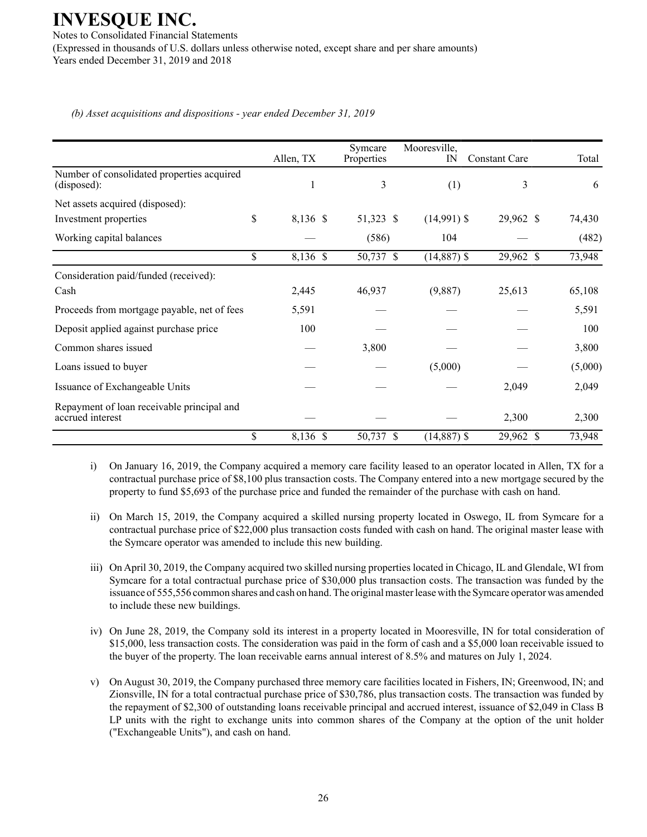**INVESQUE INC.** Notes to Consolidated Financial Statements (Expressed in thousands of U.S. dollars unless otherwise noted, except share and per share amounts) Years ended December 31, 2019 and 2018

*(b) Asset acquisitions and dispositions - year ended December 31, 2019*

|                                                                | Allen, TX      | Symcare<br>Properties | Mooresville,<br>$_{\rm IN}$ | <b>Constant Care</b> | Total   |
|----------------------------------------------------------------|----------------|-----------------------|-----------------------------|----------------------|---------|
| Number of consolidated properties acquired<br>(disposed):      |                | 3                     | (1)                         | 3                    | 6       |
| Net assets acquired (disposed):                                |                |                       |                             |                      |         |
| Investment properties                                          | \$<br>8,136 \$ | 51,323 \$             | $(14,991)$ \$               | 29,962 \$            | 74,430  |
| Working capital balances                                       |                | (586)                 | 104                         |                      | (482)   |
|                                                                | \$<br>8,136 \$ | 50,737 \$             | $(14,887)$ \$               | 29,962 \$            | 73,948  |
| Consideration paid/funded (received):                          |                |                       |                             |                      |         |
| Cash                                                           | 2,445          | 46,937                | (9,887)                     | 25,613               | 65,108  |
| Proceeds from mortgage payable, net of fees                    | 5,591          |                       |                             |                      | 5,591   |
| Deposit applied against purchase price                         | 100            |                       |                             |                      | 100     |
| Common shares issued                                           |                | 3,800                 |                             |                      | 3,800   |
| Loans issued to buyer                                          |                |                       | (5,000)                     |                      | (5,000) |
| Issuance of Exchangeable Units                                 |                |                       |                             | 2,049                | 2,049   |
| Repayment of loan receivable principal and<br>accrued interest |                |                       |                             | 2,300                | 2,300   |
|                                                                | \$<br>8,136 \$ | 50,737 \$             | $(14,887)$ $\overline{\$}$  | 29,962 \$            | 73,948  |

- i) On January 16, 2019, the Company acquired a memory care facility leased to an operator located in Allen, TX for a contractual purchase price of \$8,100 plus transaction costs. The Company entered into a new mortgage secured by the property to fund \$5,693 of the purchase price and funded the remainder of the purchase with cash on hand.
- ii) On March 15, 2019, the Company acquired a skilled nursing property located in Oswego, IL from Symcare for a contractual purchase price of \$22,000 plus transaction costs funded with cash on hand. The original master lease with the Symcare operator was amended to include this new building.
- iii) On April 30, 2019, the Company acquired two skilled nursing properties located in Chicago, IL and Glendale, WI from Symcare for a total contractual purchase price of \$30,000 plus transaction costs. The transaction was funded by the issuance of 555,556 common shares and cash on hand. The original master lease with the Symcare operator was amended to include these new buildings.
- iv) On June 28, 2019, the Company sold its interest in a property located in Mooresville, IN for total consideration of \$15,000, less transaction costs. The consideration was paid in the form of cash and a \$5,000 loan receivable issued to the buyer of the property. The loan receivable earns annual interest of 8.5% and matures on July 1, 2024.
- v) On August 30, 2019, the Company purchased three memory care facilities located in Fishers, IN; Greenwood, IN; and Zionsville, IN for a total contractual purchase price of \$30,786, plus transaction costs. The transaction was funded by the repayment of \$2,300 of outstanding loans receivable principal and accrued interest, issuance of \$2,049 in Class B LP units with the right to exchange units into common shares of the Company at the option of the unit holder ("Exchangeable Units"), and cash on hand.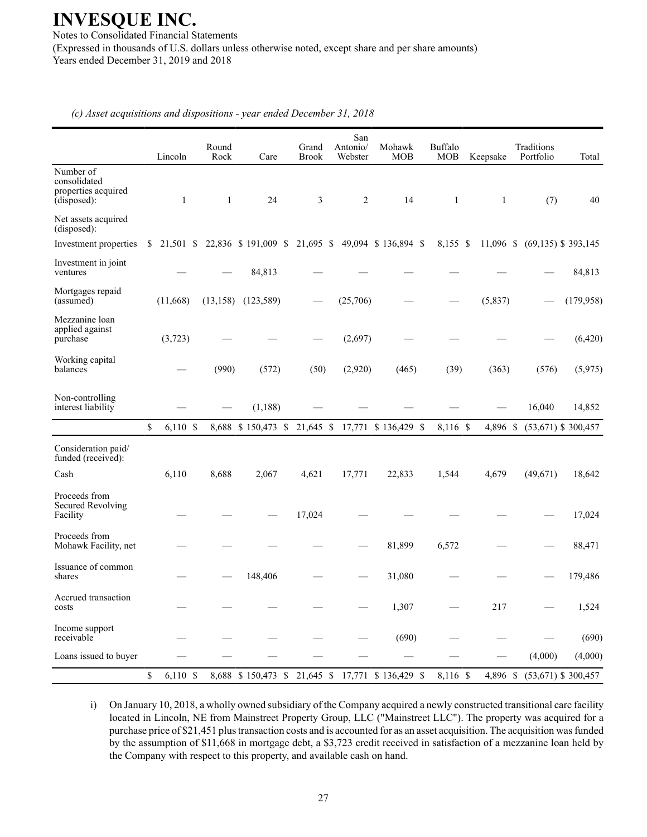Notes to Consolidated Financial Statements (Expressed in thousands of U.S. dollars unless otherwise noted, except share and per share amounts) Years ended December 31, 2019 and 2018

Lincoln Rock Care Brook Webster MOB Buffalo Keepsake Number of consolidated properties acquired (disposed):  $1 \t 1 \t 24 \t 3 \t 2 \t 14 \t 1 \t (7) \t 40$ Net assets acquired (disposed): Investment in joint Mortgages repaid Mezzanine loan applied against Working capital

Grand

San Antonio/

Mohawk

Traditions

Portfolio Total

*(c) Asset acquisitions and dispositions - year ended December 31, 2018*

Round

| Investment properties                                 |                  |           | \$ 21,501 \$ 22,836 \$ 191,009 \$ 21,695 \$ 49,094 \$ 136,894 \$ |        |          |                                | 8,155 \$ |          | 11,096 \$ (69,135) \$ 393,145 |                       |
|-------------------------------------------------------|------------------|-----------|------------------------------------------------------------------|--------|----------|--------------------------------|----------|----------|-------------------------------|-----------------------|
| Investment in joint<br>ventures                       |                  |           | 84,813                                                           |        |          |                                |          |          |                               | 84,813                |
| Mortgages repaid<br>(assumed)                         | (11,668)         | (13, 158) | (123, 589)                                                       |        | (25,706) |                                |          | (5, 837) |                               | (179, 958)            |
| Mezzanine loan<br>applied against<br>purchase         | (3,723)          |           |                                                                  |        | (2,697)  |                                |          |          |                               | (6,420)               |
| Working capital<br>balances                           |                  | (990)     | (572)                                                            | (50)   | (2,920)  | (465)                          | (39)     | (363)    | (576)                         | (5,975)               |
| Non-controlling<br>interest liability                 |                  |           | (1, 188)                                                         |        |          |                                |          |          | 16,040                        | 14,852                |
|                                                       | \$<br>$6,110$ \$ |           | 8,688 \$150,473 \$                                               |        |          | 21,645 \$ 17,771 \$ 136,429 \$ | 8,116 \$ | 4,896 \$ |                               | $(53,671)$ \$ 300,457 |
| Consideration paid/<br>funded (received):             |                  |           |                                                                  |        |          |                                |          |          |                               |                       |
| Cash                                                  | 6,110            | 8,688     | 2,067                                                            | 4,621  | 17,771   | 22,833                         | 1,544    | 4,679    | (49,671)                      | 18,642                |
| Proceeds from<br><b>Secured Revolving</b><br>Facility |                  |           |                                                                  | 17,024 |          |                                |          |          |                               | 17,024                |
| Proceeds from<br>Mohawk Facility, net                 |                  |           |                                                                  |        |          | 81,899                         | 6,572    |          |                               | 88,471                |
| Issuance of common<br>shares                          |                  |           | 148,406                                                          |        |          | 31,080                         |          |          |                               | 179,486               |
| Accrued transaction<br>costs                          |                  |           |                                                                  |        |          | 1,307                          |          | 217      |                               | 1,524                 |
| Income support<br>receivable                          |                  |           |                                                                  |        |          | (690)                          |          |          |                               | (690)                 |
| Loans issued to buyer                                 |                  |           |                                                                  |        |          |                                |          |          | (4,000)                       | (4,000)               |
|                                                       | \$<br>$6,110$ \$ |           | 8,688 \$150,473 \$                                               |        |          | 21,645 \$ 17,771 \$ 136,429 \$ | 8,116 \$ | 4,896 \$ |                               | $(53,671)$ \$ 300,457 |
|                                                       |                  |           |                                                                  |        |          |                                |          |          |                               |                       |

i) On January 10, 2018, a wholly owned subsidiary of the Company acquired a newly constructed transitional care facility located in Lincoln, NE from Mainstreet Property Group, LLC ("Mainstreet LLC"). The property was acquired for a purchase price of \$21,451 plus transaction costs and is accounted for as an asset acquisition. The acquisition was funded by the assumption of \$11,668 in mortgage debt, a \$3,723 credit received in satisfaction of a mezzanine loan held by the Company with respect to this property, and available cash on hand.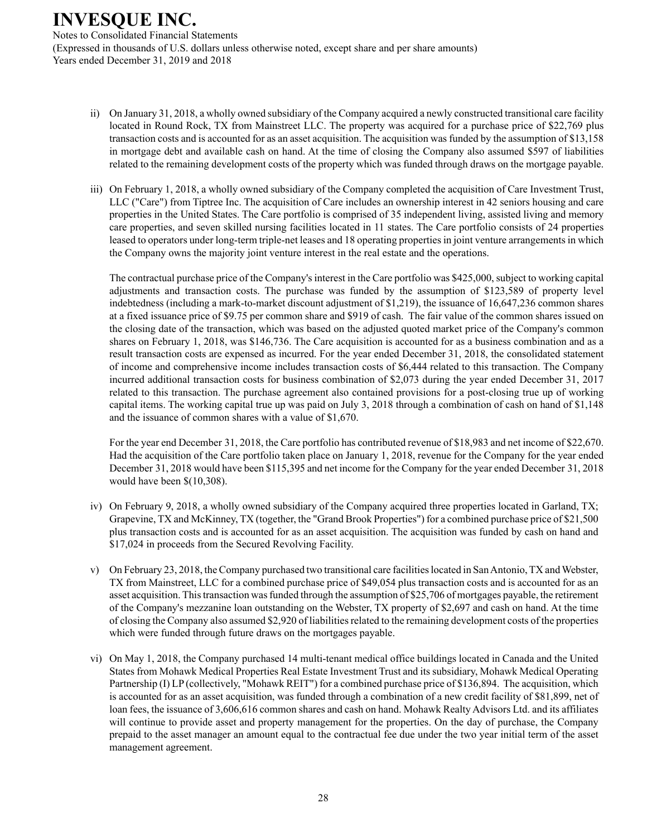Notes to Consolidated Financial Statements (Expressed in thousands of U.S. dollars unless otherwise noted, except share and per share amounts) Years ended December 31, 2019 and 2018

- ii) On January 31, 2018, a wholly owned subsidiary of the Company acquired a newly constructed transitional care facility located in Round Rock, TX from Mainstreet LLC. The property was acquired for a purchase price of \$22,769 plus transaction costs and is accounted for as an asset acquisition. The acquisition was funded by the assumption of \$13,158 in mortgage debt and available cash on hand. At the time of closing the Company also assumed \$597 of liabilities related to the remaining development costs of the property which was funded through draws on the mortgage payable.
- iii) On February 1, 2018, a wholly owned subsidiary of the Company completed the acquisition of Care Investment Trust, LLC ("Care") from Tiptree Inc. The acquisition of Care includes an ownership interest in 42 seniors housing and care properties in the United States. The Care portfolio is comprised of 35 independent living, assisted living and memory care properties, and seven skilled nursing facilities located in 11 states. The Care portfolio consists of 24 properties leased to operators under long-term triple-net leases and 18 operating properties in joint venture arrangements in which the Company owns the majority joint venture interest in the real estate and the operations.

The contractual purchase price of the Company's interest in the Care portfolio was \$425,000, subject to working capital adjustments and transaction costs. The purchase was funded by the assumption of \$123,589 of property level indebtedness (including a mark-to-market discount adjustment of \$1,219), the issuance of 16,647,236 common shares at a fixed issuance price of \$9.75 per common share and \$919 of cash. The fair value of the common shares issued on the closing date of the transaction, which was based on the adjusted quoted market price of the Company's common shares on February 1, 2018, was \$146,736. The Care acquisition is accounted for as a business combination and as a result transaction costs are expensed as incurred. For the year ended December 31, 2018, the consolidated statement of income and comprehensive income includes transaction costs of \$6,444 related to this transaction. The Company incurred additional transaction costs for business combination of \$2,073 during the year ended December 31, 2017 related to this transaction. The purchase agreement also contained provisions for a post-closing true up of working capital items. The working capital true up was paid on July 3, 2018 through a combination of cash on hand of \$1,148 and the issuance of common shares with a value of \$1,670.

For the year end December 31, 2018, the Care portfolio has contributed revenue of \$18,983 and net income of \$22,670. Had the acquisition of the Care portfolio taken place on January 1, 2018, revenue for the Company for the year ended December 31, 2018 would have been \$115,395 and net income for the Company for the year ended December 31, 2018 would have been \$(10,308).

- iv) On February 9, 2018, a wholly owned subsidiary of the Company acquired three properties located in Garland, TX; Grapevine, TX and McKinney, TX (together, the "Grand Brook Properties") for a combined purchase price of \$21,500 plus transaction costs and is accounted for as an asset acquisition. The acquisition was funded by cash on hand and \$17,024 in proceeds from the Secured Revolving Facility.
- v) On February 23, 2018, the Company purchased two transitional care facilities located in San Antonio, TX and Webster, TX from Mainstreet, LLC for a combined purchase price of \$49,054 plus transaction costs and is accounted for as an asset acquisition. This transaction was funded through the assumption of \$25,706 of mortgages payable, the retirement of the Company's mezzanine loan outstanding on the Webster, TX property of \$2,697 and cash on hand. At the time of closing the Company also assumed \$2,920 of liabilities related to the remaining development costs of the properties which were funded through future draws on the mortgages payable.
- vi) On May 1, 2018, the Company purchased 14 multi-tenant medical office buildings located in Canada and the United States from Mohawk Medical Properties Real Estate Investment Trust and its subsidiary, Mohawk Medical Operating Partnership (I) LP (collectively, "Mohawk REIT") for a combined purchase price of \$136,894. The acquisition, which is accounted for as an asset acquisition, was funded through a combination of a new credit facility of \$81,899, net of loan fees, the issuance of 3,606,616 common shares and cash on hand. Mohawk Realty Advisors Ltd. and its affiliates will continue to provide asset and property management for the properties. On the day of purchase, the Company prepaid to the asset manager an amount equal to the contractual fee due under the two year initial term of the asset management agreement.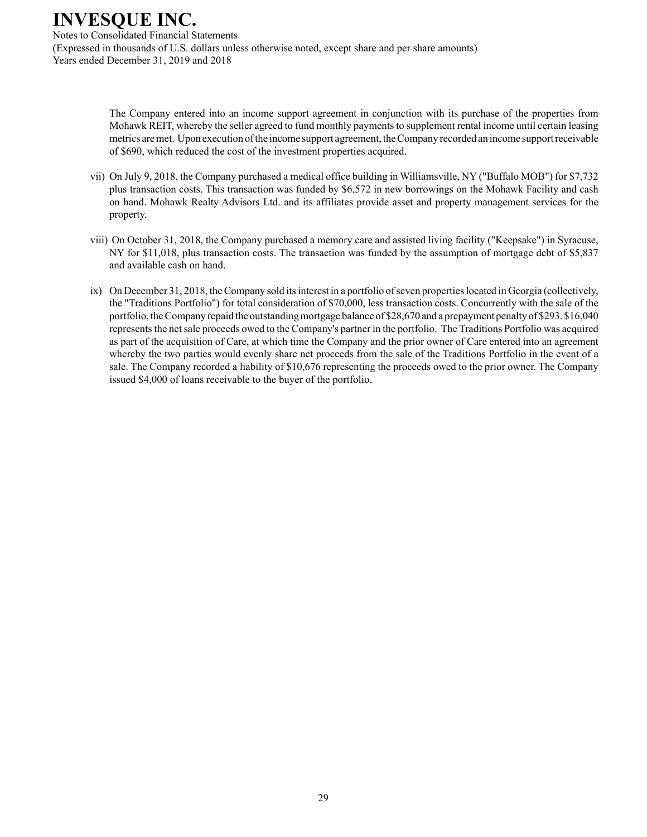Notes to Consolidated Financial Statements (Expressed in thousands of U.S. dollars unless otherwise noted, except share and per share amounts) Years ended December 31, 2019 and 2018

> The Company entered into an income support agreement in conjunction with its purchase of the properties from Mohawk REIT, whereby the seller agreed to fund monthly payments to supplement rental income until certain leasing metrics are met. Upon execution of the income support agreement, the Company recorded an income support receivable of \$690, which reduced the cost of the investment properties acquired.

- vii) On July 9, 2018, the Company purchased a medical office building in Williamsville, NY ("Buffalo MOB") for \$7,732 plus transaction costs. This transaction was funded by \$6,572 in new borrowings on the Mohawk Facility and cash on hand. Mohawk Realty Advisors Ltd. and its affiliates provide asset and property management services for the property.
- viii) On October 31, 2018, the Company purchased a memory care and assisted living facility ("Keepsake") in Syracuse, NY for \$11,018, plus transaction costs. The transaction was funded by the assumption of mortgage debt of \$5,837 and available cash on hand.
- ix) On December 31, 2018, the Company sold its interest in a portfolio of seven properties located in Georgia (collectively, the "Traditions Portfolio") for total consideration of \$70,000, less transaction costs. Concurrently with the sale of the portfolio, the Company repaid the outstanding mortgage balance of \$28,670 and a prepayment penalty of \$293. \$16,040 represents the net sale proceeds owed to the Company's partner in the portfolio. The Traditions Portfolio was acquired as part of the acquisition of Care, at which time the Company and the prior owner of Care entered into an agreement whereby the two parties would evenly share net proceeds from the sale of the Traditions Portfolio in the event of a sale. The Company recorded a liability of \$10,676 representing the proceeds owed to the prior owner. The Company issued \$4,000 of loans receivable to the buyer of the portfolio.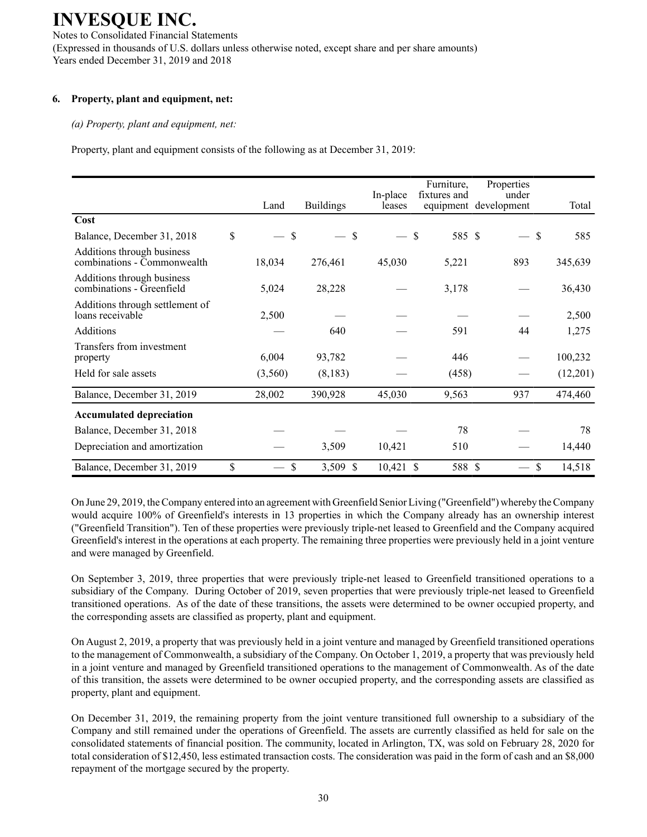Notes to Consolidated Financial Statements (Expressed in thousands of U.S. dollars unless otherwise noted, except share and per share amounts) Years ended December 31, 2019 and 2018

### **6. Property, plant and equipment, net:**

#### *(a) Property, plant and equipment, net:*

Property, plant and equipment consists of the following as at December 31, 2019:

|                                                           |          |                  |          | Furniture,             | Properties            |                      |
|-----------------------------------------------------------|----------|------------------|----------|------------------------|-----------------------|----------------------|
|                                                           |          |                  | In-place | fixtures and           | under                 |                      |
|                                                           | Land     | <b>Buildings</b> | leases   |                        | equipment development | Total                |
| Cost                                                      |          |                  |          |                        |                       |                      |
| Balance, December 31, 2018                                | \$<br>\$ | \$               |          | 585 \$<br>$\mathbb{S}$ | $\qquad \qquad$       | $\mathcal{S}$<br>585 |
| Additions through business<br>combinations - Commonwealth | 18,034   | 276,461          | 45,030   | 5,221                  | 893                   | 345,639              |
| Additions through business<br>combinations - Greenfield   | 5,024    | 28,228           |          | 3,178                  |                       | 36,430               |
| Additions through settlement of<br>loans receivable       | 2,500    |                  |          |                        |                       | 2,500                |
| Additions                                                 |          | 640              |          | 591                    | 44                    | 1,275                |
| Transfers from investment                                 |          |                  |          |                        |                       |                      |
| property                                                  | 6,004    | 93,782           |          | 446                    |                       | 100,232              |
| Held for sale assets                                      | (3,560)  | (8,183)          |          | (458)                  |                       | (12,201)             |
| Balance, December 31, 2019                                | 28,002   | 390,928          | 45,030   | 9,563                  | 937                   | 474,460              |
| <b>Accumulated depreciation</b>                           |          |                  |          |                        |                       |                      |
| Balance, December 31, 2018                                |          |                  |          | 78                     |                       | 78                   |
| Depreciation and amortization                             |          | 3,509            | 10,421   | 510                    |                       | 14,440               |
| Balance, December 31, 2019                                | \$<br>\$ | 3,509<br>-S      | 10,421   | 588 \$<br><sup>S</sup> |                       | \$<br>14,518         |

On June 29, 2019, the Company entered into an agreement with Greenfield Senior Living ("Greenfield") whereby the Company would acquire 100% of Greenfield's interests in 13 properties in which the Company already has an ownership interest ("Greenfield Transition"). Ten of these properties were previously triple-net leased to Greenfield and the Company acquired Greenfield's interest in the operations at each property. The remaining three properties were previously held in a joint venture and were managed by Greenfield.

On September 3, 2019, three properties that were previously triple-net leased to Greenfield transitioned operations to a subsidiary of the Company. During October of 2019, seven properties that were previously triple-net leased to Greenfield transitioned operations. As of the date of these transitions, the assets were determined to be owner occupied property, and the corresponding assets are classified as property, plant and equipment.

On August 2, 2019, a property that was previously held in a joint venture and managed by Greenfield transitioned operations to the management of Commonwealth, a subsidiary of the Company. On October 1, 2019, a property that was previously held in a joint venture and managed by Greenfield transitioned operations to the management of Commonwealth. As of the date of this transition, the assets were determined to be owner occupied property, and the corresponding assets are classified as property, plant and equipment.

On December 31, 2019, the remaining property from the joint venture transitioned full ownership to a subsidiary of the Company and still remained under the operations of Greenfield. The assets are currently classified as held for sale on the consolidated statements of financial position. The community, located in Arlington, TX, was sold on February 28, 2020 for total consideration of \$12,450, less estimated transaction costs. The consideration was paid in the form of cash and an \$8,000 repayment of the mortgage secured by the property.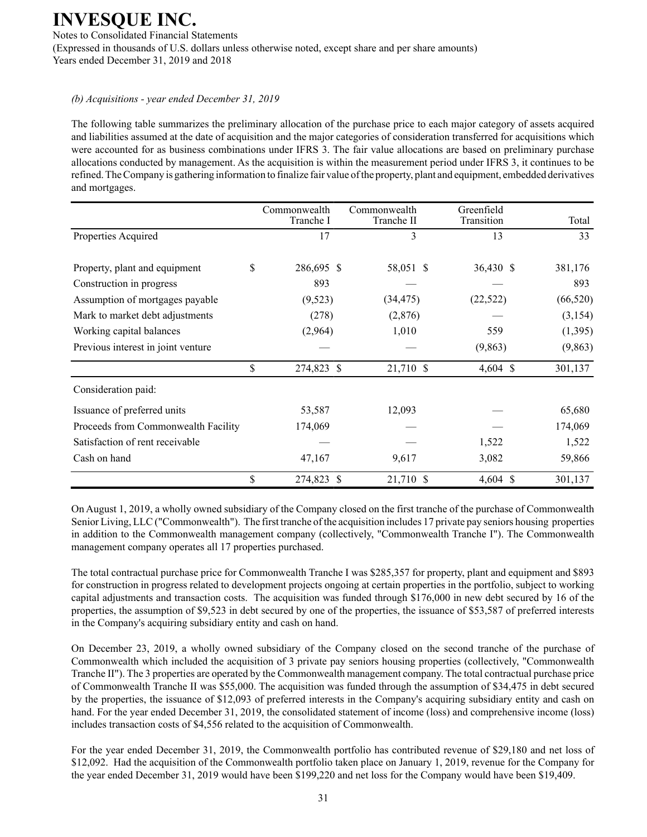Notes to Consolidated Financial Statements (Expressed in thousands of U.S. dollars unless otherwise noted, except share and per share amounts) Years ended December 31, 2019 and 2018

### *(b) Acquisitions - year ended December 31, 2019*

The following table summarizes the preliminary allocation of the purchase price to each major category of assets acquired and liabilities assumed at the date of acquisition and the major categories of consideration transferred for acquisitions which were accounted for as business combinations under IFRS 3. The fair value allocations are based on preliminary purchase allocations conducted by management. As the acquisition is within the measurement period under IFRS 3, it continues to be refined. The Company is gathering information to finalize fair value of the property, plant and equipment, embedded derivatives and mortgages.

|                                     | Commonwealth<br>Tranche I | Commonwealth<br>Tranche II | Greenfield<br>Transition | Total     |
|-------------------------------------|---------------------------|----------------------------|--------------------------|-----------|
| Properties Acquired                 | 17                        | 3                          | 13                       | 33        |
| Property, plant and equipment       | \$<br>286,695 \$          | 58,051 \$                  | 36,430 \$                | 381,176   |
| Construction in progress            | 893                       |                            |                          | 893       |
| Assumption of mortgages payable     | (9,523)                   | (34, 475)                  | (22, 522)                | (66, 520) |
| Mark to market debt adjustments     | (278)                     | (2,876)                    |                          | (3,154)   |
| Working capital balances            | (2,964)                   | 1,010                      | 559                      | (1,395)   |
| Previous interest in joint venture  |                           |                            | (9,863)                  | (9, 863)  |
|                                     | \$<br>274,823 \$          | 21,710 \$                  | $4,604$ \$               | 301,137   |
| Consideration paid:                 |                           |                            |                          |           |
| Issuance of preferred units         | 53,587                    | 12,093                     |                          | 65,680    |
| Proceeds from Commonwealth Facility | 174,069                   |                            |                          | 174,069   |
| Satisfaction of rent receivable     |                           |                            | 1,522                    | 1,522     |
| Cash on hand                        | 47,167                    | 9,617                      | 3,082                    | 59,866    |
|                                     | \$<br>274,823 \$          | 21,710 \$                  | $4,604$ \$               | 301,137   |

On August 1, 2019, a wholly owned subsidiary of the Company closed on the first tranche of the purchase of Commonwealth Senior Living, LLC ("Commonwealth"). The first tranche of the acquisition includes 17 private pay seniors housing properties in addition to the Commonwealth management company (collectively, "Commonwealth Tranche I"). The Commonwealth management company operates all 17 properties purchased.

The total contractual purchase price for Commonwealth Tranche I was \$285,357 for property, plant and equipment and \$893 for construction in progress related to development projects ongoing at certain properties in the portfolio, subject to working capital adjustments and transaction costs. The acquisition was funded through \$176,000 in new debt secured by 16 of the properties, the assumption of \$9,523 in debt secured by one of the properties, the issuance of \$53,587 of preferred interests in the Company's acquiring subsidiary entity and cash on hand.

On December 23, 2019, a wholly owned subsidiary of the Company closed on the second tranche of the purchase of Commonwealth which included the acquisition of 3 private pay seniors housing properties (collectively, "Commonwealth Tranche II"). The 3 properties are operated by the Commonwealth management company. The total contractual purchase price of Commonwealth Tranche II was \$55,000. The acquisition was funded through the assumption of \$34,475 in debt secured by the properties, the issuance of \$12,093 of preferred interests in the Company's acquiring subsidiary entity and cash on hand. For the year ended December 31, 2019, the consolidated statement of income (loss) and comprehensive income (loss) includes transaction costs of \$4,556 related to the acquisition of Commonwealth.

For the year ended December 31, 2019, the Commonwealth portfolio has contributed revenue of \$29,180 and net loss of \$12,092. Had the acquisition of the Commonwealth portfolio taken place on January 1, 2019, revenue for the Company for the year ended December 31, 2019 would have been \$199,220 and net loss for the Company would have been \$19,409.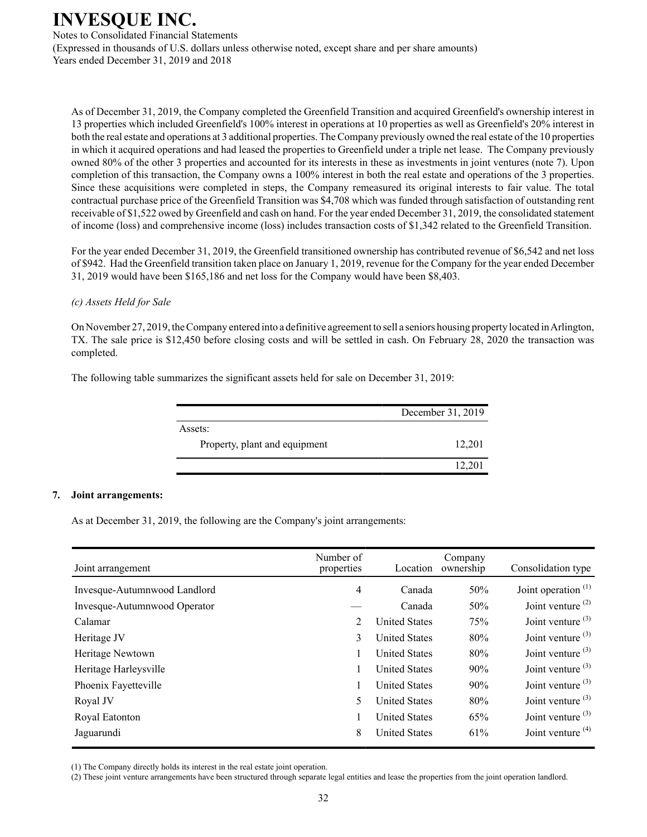Notes to Consolidated Financial Statements (Expressed in thousands of U.S. dollars unless otherwise noted, except share and per share amounts) Years ended December 31, 2019 and 2018

As of December 31, 2019, the Company completed the Greenfield Transition and acquired Greenfield's ownership interest in 13 properties which included Greenfield's 100% interest in operations at 10 properties as well as Greenfield's 20% interest in both the real estate and operations at 3 additional properties. The Company previously owned the real estate of the 10 properties in which it acquired operations and had leased the properties to Greenfield under a triple net lease. The Company previously owned 80% of the other 3 properties and accounted for its interests in these as investments in joint ventures (note 7). Upon completion of this transaction, the Company owns a 100% interest in both the real estate and operations of the 3 properties. Since these acquisitions were completed in steps, the Company remeasured its original interests to fair value. The total contractual purchase price of the Greenfield Transition was \$4,708 which was funded through satisfaction of outstanding rent receivable of \$1,522 owed by Greenfield and cash on hand. For the year ended December 31, 2019, the consolidated statement of income (loss) and comprehensive income (loss) includes transaction costs of \$1,342 related to the Greenfield Transition.

For the year ended December 31, 2019, the Greenfield transitioned ownership has contributed revenue of \$6,542 and net loss of \$942. Had the Greenfield transition taken place on January 1, 2019, revenue for the Company for the year ended December 31, 2019 would have been \$165,186 and net loss for the Company would have been \$8,403.

#### *(c) Assets Held for Sale*

On November 27, 2019, the Company entered into a definitive agreement to sell a seniors housing property located in Arlington, TX. The sale price is \$12,450 before closing costs and will be settled in cash. On February 28, 2020 the transaction was completed.

The following table summarizes the significant assets held for sale on December 31, 2019:

| December 31, 2019 |
|-------------------|
|                   |
| 12,201            |
| 12,201            |
|                   |

#### **7. Joint arrangements:**

As at December 31, 2019, the following are the Company's joint arrangements:

| Joint arrangement            | Number of<br>properties | Location             | Company<br>ownership | Consolidation type    |
|------------------------------|-------------------------|----------------------|----------------------|-----------------------|
| Invesque-Autumnwood Landlord | 4                       | Canada               | 50%                  | Joint operation $(1)$ |
| Invesque-Autumnwood Operator |                         | Canada               | 50%                  | Joint venture $(2)$   |
| Calamar                      | 2                       | <b>United States</b> | 75%                  | Joint venture $(3)$   |
| Heritage JV                  | 3                       | <b>United States</b> | 80%                  | Joint venture $(3)$   |
| Heritage Newtown             |                         | <b>United States</b> | 80%                  | Joint venture $(3)$   |
| Heritage Harleysville        |                         | <b>United States</b> | 90%                  | Joint venture $(3)$   |
| Phoenix Fayetteville         |                         | <b>United States</b> | 90%                  | Joint venture $(3)$   |
| Royal JV                     | 5                       | <b>United States</b> | 80%                  | Joint venture $(3)$   |
| Royal Eatonton               |                         | <b>United States</b> | 65%                  | Joint venture $(3)$   |
| Jaguarundi                   | 8                       | <b>United States</b> | 61%                  | Joint venture $(4)$   |

(1) The Company directly holds its interest in the real estate joint operation.

(2) These joint venture arrangements have been structured through separate legal entities and lease the properties from the joint operation landlord.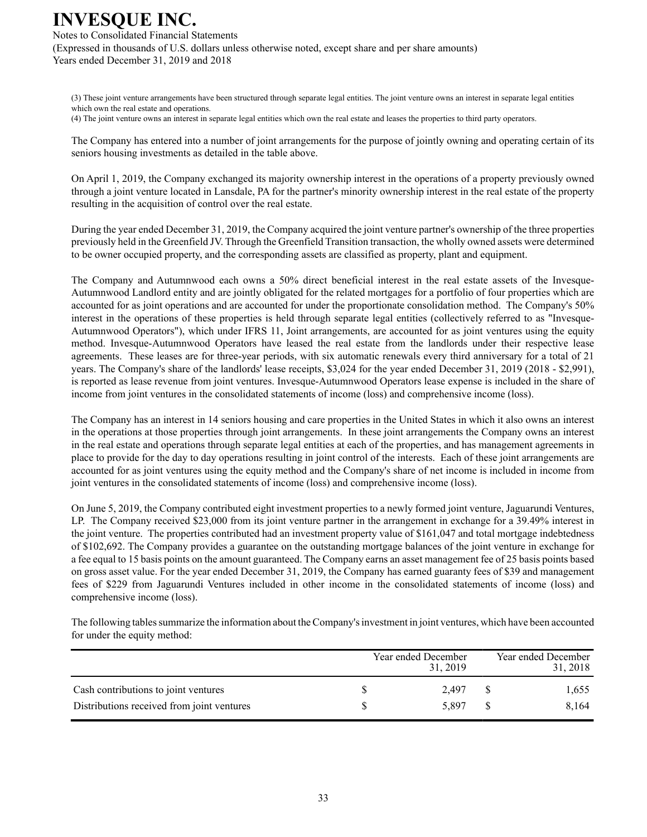Notes to Consolidated Financial Statements (Expressed in thousands of U.S. dollars unless otherwise noted, except share and per share amounts) Years ended December 31, 2019 and 2018

(3) These joint venture arrangements have been structured through separate legal entities. The joint venture owns an interest in separate legal entities which own the real estate and operations.

(4) The joint venture owns an interest in separate legal entities which own the real estate and leases the properties to third party operators.

The Company has entered into a number of joint arrangements for the purpose of jointly owning and operating certain of its seniors housing investments as detailed in the table above.

On April 1, 2019, the Company exchanged its majority ownership interest in the operations of a property previously owned through a joint venture located in Lansdale, PA for the partner's minority ownership interest in the real estate of the property resulting in the acquisition of control over the real estate.

During the year ended December 31, 2019, the Company acquired the joint venture partner's ownership of the three properties previously held in the Greenfield JV. Through the Greenfield Transition transaction, the wholly owned assets were determined to be owner occupied property, and the corresponding assets are classified as property, plant and equipment.

The Company and Autumnwood each owns a 50% direct beneficial interest in the real estate assets of the Invesque-Autumnwood Landlord entity and are jointly obligated for the related mortgages for a portfolio of four properties which are accounted for as joint operations and are accounted for under the proportionate consolidation method. The Company's 50% interest in the operations of these properties is held through separate legal entities (collectively referred to as "Invesque-Autumnwood Operators"), which under IFRS 11, Joint arrangements, are accounted for as joint ventures using the equity method. Invesque-Autumnwood Operators have leased the real estate from the landlords under their respective lease agreements. These leases are for three-year periods, with six automatic renewals every third anniversary for a total of 21 years. The Company's share of the landlords' lease receipts, \$3,024 for the year ended December 31, 2019 (2018 - \$2,991), is reported as lease revenue from joint ventures. Invesque-Autumnwood Operators lease expense is included in the share of income from joint ventures in the consolidated statements of income (loss) and comprehensive income (loss).

The Company has an interest in 14 seniors housing and care properties in the United States in which it also owns an interest in the operations at those properties through joint arrangements. In these joint arrangements the Company owns an interest in the real estate and operations through separate legal entities at each of the properties, and has management agreements in place to provide for the day to day operations resulting in joint control of the interests. Each of these joint arrangements are accounted for as joint ventures using the equity method and the Company's share of net income is included in income from joint ventures in the consolidated statements of income (loss) and comprehensive income (loss).

On June 5, 2019, the Company contributed eight investment properties to a newly formed joint venture, Jaguarundi Ventures, LP. The Company received \$23,000 from its joint venture partner in the arrangement in exchange for a 39.49% interest in the joint venture. The properties contributed had an investment property value of \$161,047 and total mortgage indebtedness of \$102,692. The Company provides a guarantee on the outstanding mortgage balances of the joint venture in exchange for a fee equal to 15 basis points on the amount guaranteed. The Company earns an asset management fee of 25 basis points based on gross asset value. For the year ended December 31, 2019, the Company has earned guaranty fees of \$39 and management fees of \$229 from Jaguarundi Ventures included in other income in the consolidated statements of income (loss) and comprehensive income (loss).

The following tables summarize the information about the Company's investment in joint ventures, which have been accounted for under the equity method:

|                                            | Year ended December | 31.2019 |    | Year ended December<br>31, 2018 |
|--------------------------------------------|---------------------|---------|----|---------------------------------|
| Cash contributions to joint ventures       |                     | 2.497   | -8 | 1,655                           |
| Distributions received from joint ventures |                     | 5.897   | -8 | 8.164                           |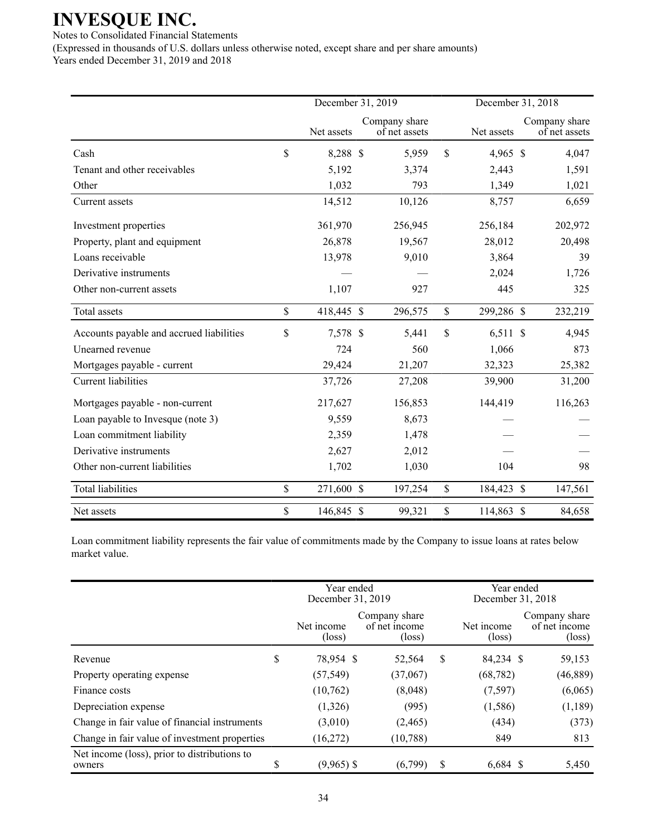Notes to Consolidated Financial Statements

(Expressed in thousands of U.S. dollars unless otherwise noted, except share and per share amounts) Years ended December 31, 2019 and 2018

|                                          | December 31, 2019 |            |  |                                |                           | December 31, 2018 |  |                                |  |
|------------------------------------------|-------------------|------------|--|--------------------------------|---------------------------|-------------------|--|--------------------------------|--|
|                                          |                   | Net assets |  | Company share<br>of net assets |                           | Net assets        |  | Company share<br>of net assets |  |
| Cash                                     | \$                | 8,288 \$   |  | 5,959                          | $\mathbf S$               | 4,965 \$          |  | 4,047                          |  |
| Tenant and other receivables             |                   | 5,192      |  | 3,374                          |                           | 2,443             |  | 1,591                          |  |
| Other                                    |                   | 1,032      |  | 793                            |                           | 1,349             |  | 1,021                          |  |
| Current assets                           |                   | 14,512     |  | 10,126                         |                           | 8,757             |  | 6,659                          |  |
| Investment properties                    |                   | 361,970    |  | 256,945                        |                           | 256,184           |  | 202,972                        |  |
| Property, plant and equipment            |                   | 26,878     |  | 19,567                         |                           | 28,012            |  | 20,498                         |  |
| Loans receivable                         |                   | 13,978     |  | 9,010                          |                           | 3,864             |  | 39                             |  |
| Derivative instruments                   |                   |            |  |                                |                           | 2,024             |  | 1,726                          |  |
| Other non-current assets                 |                   | 1,107      |  | 927                            |                           | 445               |  | 325                            |  |
| Total assets                             | \$                | 418,445 \$ |  | 296,575                        | $\mathsf{\$}$             | 299,286 \$        |  | 232,219                        |  |
| Accounts payable and accrued liabilities | \$                | 7,578 \$   |  | 5,441                          | $\boldsymbol{\mathsf{S}}$ | $6,511$ \$        |  | 4,945                          |  |
| Unearned revenue                         |                   | 724        |  | 560                            |                           | 1,066             |  | 873                            |  |
| Mortgages payable - current              |                   | 29,424     |  | 21,207                         |                           | 32,323            |  | 25,382                         |  |
| <b>Current liabilities</b>               |                   | 37,726     |  | 27,208                         |                           | 39,900            |  | 31,200                         |  |
| Mortgages payable - non-current          |                   | 217,627    |  | 156,853                        |                           | 144,419           |  | 116,263                        |  |
| Loan payable to Invesque (note 3)        |                   | 9,559      |  | 8,673                          |                           |                   |  |                                |  |
| Loan commitment liability                |                   | 2,359      |  | 1,478                          |                           |                   |  |                                |  |
| Derivative instruments                   |                   | 2,627      |  | 2,012                          |                           |                   |  |                                |  |
| Other non-current liabilities            |                   | 1,702      |  | 1,030                          |                           | 104               |  | 98                             |  |
| <b>Total liabilities</b>                 | \$                | 271,600 \$ |  | 197,254                        | \$                        | 184,423 \$        |  | 147,561                        |  |
| Net assets                               | \$                | 146,845 \$ |  | 99,321                         | $\$$                      | 114,863 \$        |  | 84,658                         |  |

Loan commitment liability represents the fair value of commitments made by the Company to issue loans at rates below market value.

|                                                        |    | Year ended<br>December 31, 2019 |                                                   |   | Year ended<br>December 31, 2018 |                                                   |  |
|--------------------------------------------------------|----|---------------------------------|---------------------------------------------------|---|---------------------------------|---------------------------------------------------|--|
|                                                        |    | Net income<br>$(\text{loss})$   | Company share<br>of net income<br>$(\text{loss})$ |   | Net income<br>$(\text{loss})$   | Company share<br>of net income<br>$(\text{loss})$ |  |
| Revenue                                                | \$ | 78,954 \$                       | 52,564                                            | S | 84,234 \$                       | 59,153                                            |  |
| Property operating expense                             |    | (57, 549)                       | (37,067)                                          |   | (68, 782)                       | (46, 889)                                         |  |
| Finance costs                                          |    | (10,762)                        | (8,048)                                           |   | (7,597)                         | (6,065)                                           |  |
| Depreciation expense                                   |    | (1,326)                         | (995)                                             |   | (1,586)                         | (1,189)                                           |  |
| Change in fair value of financial instruments          |    | (3,010)                         | (2,465)                                           |   | (434)                           | (373)                                             |  |
| Change in fair value of investment properties          |    | (16,272)                        | (10, 788)                                         |   | 849                             | 813                                               |  |
| Net income (loss), prior to distributions to<br>owners | S  | $(9,965)$ \$                    | (6,799)                                           | S | $6,684$ \$                      | 5,450                                             |  |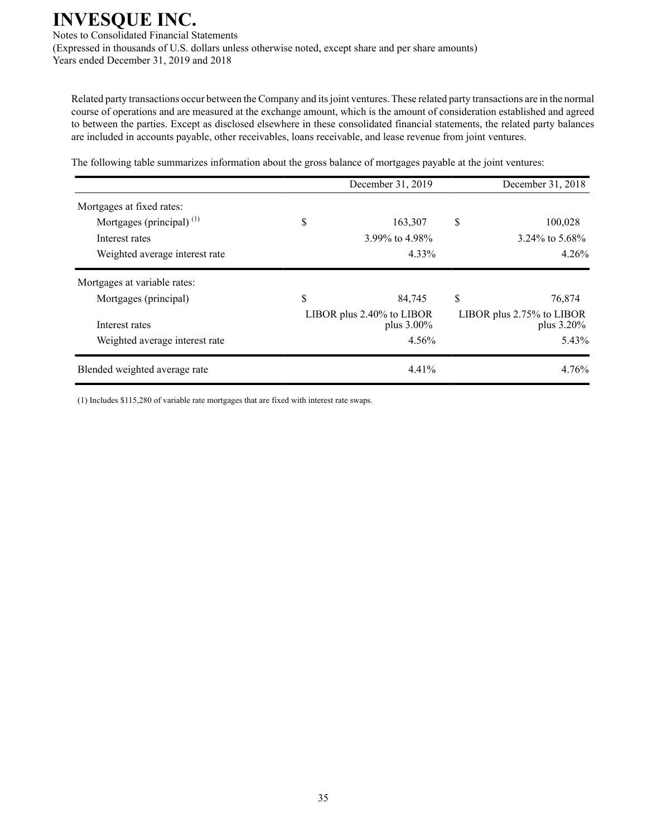Notes to Consolidated Financial Statements (Expressed in thousands of U.S. dollars unless otherwise noted, except share and per share amounts) Years ended December 31, 2019 and 2018

Related party transactions occur between the Company and its joint ventures. These related party transactions are in the normal course of operations and are measured at the exchange amount, which is the amount of consideration established and agreed to between the parties. Except as disclosed elsewhere in these consolidated financial statements, the related party balances are included in accounts payable, other receivables, loans receivable, and lease revenue from joint ventures.

The following table summarizes information about the gross balance of mortgages payable at the joint ventures:

|                                |    | December 31, 2018                          |    |                                            |
|--------------------------------|----|--------------------------------------------|----|--------------------------------------------|
| Mortgages at fixed rates:      |    |                                            |    |                                            |
| Mortgages (principal) $^{(1)}$ | \$ | 163,307                                    | \$ | 100,028                                    |
| Interest rates                 |    | 3.99% to 4.98%                             |    | 3.24\% to 5.68\%                           |
| Weighted average interest rate |    | 4.33%                                      |    | 4.26%                                      |
| Mortgages at variable rates:   |    |                                            |    |                                            |
| Mortgages (principal)          | \$ | 84,745                                     | \$ | 76.874                                     |
| Interest rates                 |    | LIBOR plus 2.40% to LIBOR<br>plus $3.00\%$ |    | LIBOR plus 2.75% to LIBOR<br>plus $3.20\%$ |
| Weighted average interest rate |    | 4.56%                                      |    | 5.43%                                      |
| Blended weighted average rate  |    | 4.41%                                      |    | 4.76%                                      |

(1) Includes \$115,280 of variable rate mortgages that are fixed with interest rate swaps.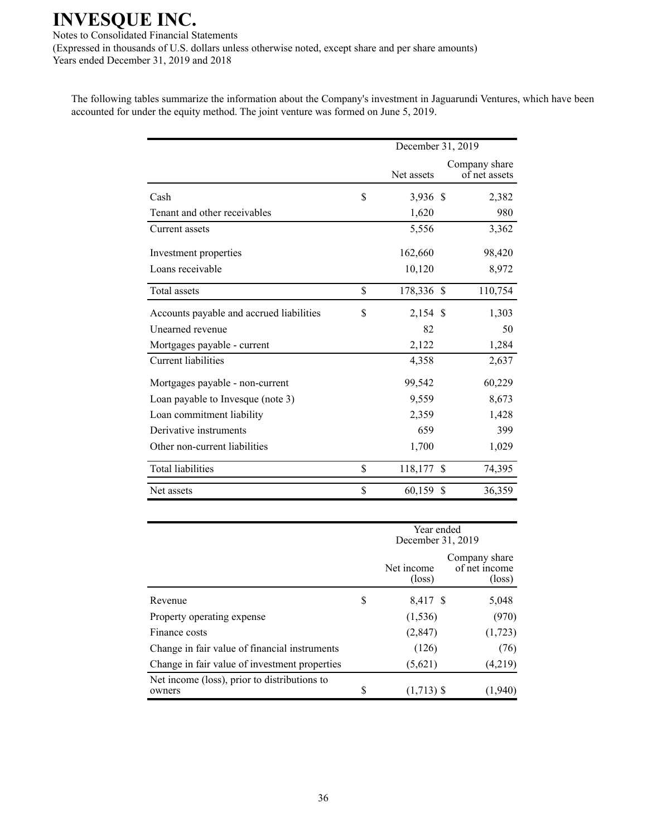Notes to Consolidated Financial Statements (Expressed in thousands of U.S. dollars unless otherwise noted, except share and per share amounts) Years ended December 31, 2019 and 2018

The following tables summarize the information about the Company's investment in Jaguarundi Ventures, which have been accounted for under the equity method. The joint venture was formed on June 5, 2019.

|                                          | December 31, 2019 |    |                                |  |  |
|------------------------------------------|-------------------|----|--------------------------------|--|--|
|                                          | Net assets        |    | Company share<br>of net assets |  |  |
| Cash                                     | \$<br>3,936 \$    |    | 2,382                          |  |  |
| Tenant and other receivables             | 1,620             |    | 980                            |  |  |
| Current assets                           | 5,556             |    | 3,362                          |  |  |
| Investment properties                    | 162,660           |    | 98,420                         |  |  |
| Loans receivable                         | 10,120            |    | 8,972                          |  |  |
| Total assets                             | \$<br>178,336 \$  |    | 110,754                        |  |  |
| Accounts payable and accrued liabilities | \$<br>$2,154$ \$  |    | 1,303                          |  |  |
| Unearned revenue                         | 82                |    | 50                             |  |  |
| Mortgages payable - current              | 2,122             |    | 1,284                          |  |  |
| <b>Current liabilities</b>               | 4,358             |    | 2,637                          |  |  |
| Mortgages payable - non-current          | 99,542            |    | 60,229                         |  |  |
| Loan payable to Invesque (note 3)        | 9,559             |    | 8,673                          |  |  |
| Loan commitment liability                | 2,359             |    | 1,428                          |  |  |
| Derivative instruments                   | 659               |    | 399                            |  |  |
| Other non-current liabilities            | 1,700             |    | 1,029                          |  |  |
| <b>Total liabilities</b>                 | \$<br>118,177     | \$ | 74,395                         |  |  |
| Net assets                               | \$<br>60,159      | \$ | 36,359                         |  |  |

|                                                        |   | Year ended<br>December 31, 2019 |                                                   |  |  |
|--------------------------------------------------------|---|---------------------------------|---------------------------------------------------|--|--|
|                                                        |   | Net income<br>$(\text{loss})$   | Company share<br>of net income<br>$(\text{loss})$ |  |  |
| Revenue                                                | S | 8,417 \$                        | 5,048                                             |  |  |
| Property operating expense                             |   | (1, 536)                        | (970)                                             |  |  |
| Finance costs                                          |   | (2,847)                         | (1, 723)                                          |  |  |
| Change in fair value of financial instruments          |   | (126)                           | (76)                                              |  |  |
| Change in fair value of investment properties          |   | (5,621)                         | (4,219)                                           |  |  |
| Net income (loss), prior to distributions to<br>owners | S | $(1,713)$ \$                    | (1,940                                            |  |  |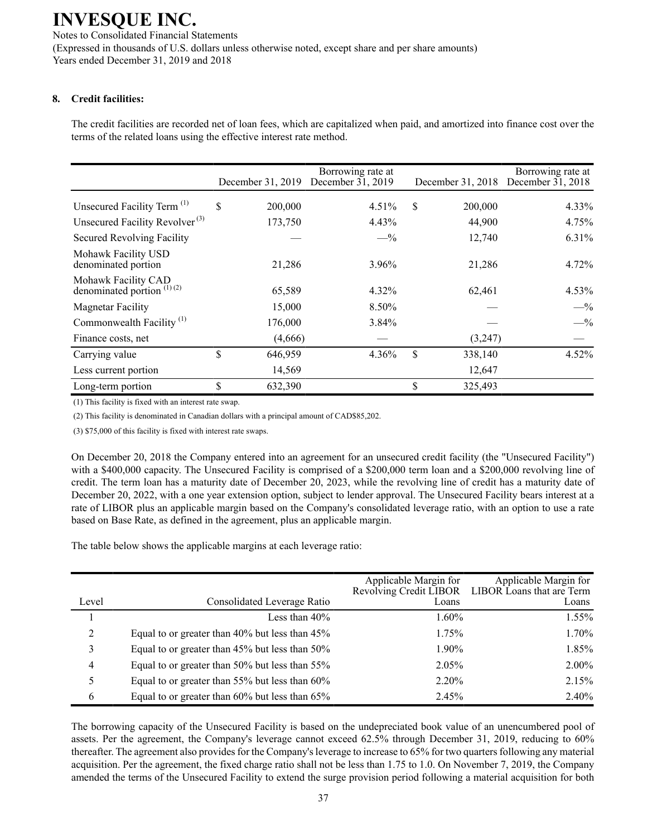Notes to Consolidated Financial Statements (Expressed in thousands of U.S. dollars unless otherwise noted, except share and per share amounts) Years ended December 31, 2019 and 2018

### **8. Credit facilities:**

The credit facilities are recorded net of loan fees, which are capitalized when paid, and amortized into finance cost over the terms of the related loans using the effective interest rate method.

|                                                     | December 31, 2019 | Borrowing rate at<br>December $31, 2019$ | December 31, 2018 | Borrowing rate at<br>December $31, 2018$ |
|-----------------------------------------------------|-------------------|------------------------------------------|-------------------|------------------------------------------|
| Unsecured Facility Term <sup>(1)</sup>              | \$<br>200,000     | $4.51\%$                                 | \$<br>200,000     | 4.33%                                    |
| Unsecured Facility Revolver <sup>(3)</sup>          | 173,750           | 4.43%                                    | 44,900            | 4.75%                                    |
| Secured Revolving Facility                          |                   | $-$ %                                    | 12,740            | 6.31%                                    |
| Mohawk Facility USD<br>denominated portion          | 21,286            | 3.96%                                    | 21,286            | 4.72%                                    |
| Mohawk Facility CAD<br>denominated portion $(1)(2)$ | 65,589            | 4.32%                                    | 62,461            | 4.53%                                    |
| <b>Magnetar Facility</b>                            | 15,000            | 8.50%                                    |                   | $-$ %                                    |
| Commonwealth Facility <sup>(1)</sup>                | 176,000           | 3.84%                                    |                   | $-$ %                                    |
| Finance costs, net                                  | (4,666)           |                                          | (3,247)           |                                          |
| Carrying value                                      | \$<br>646,959     | 4.36%                                    | \$<br>338,140     | 4.52%                                    |
| Less current portion                                | 14,569            |                                          | 12,647            |                                          |
| Long-term portion                                   | \$<br>632,390     |                                          | \$<br>325,493     |                                          |

(1) This facility is fixed with an interest rate swap.

(2) This facility is denominated in Canadian dollars with a principal amount of CAD\$85,202.

(3) \$75,000 of this facility is fixed with interest rate swaps.

On December 20, 2018 the Company entered into an agreement for an unsecured credit facility (the "Unsecured Facility") with a \$400,000 capacity. The Unsecured Facility is comprised of a \$200,000 term loan and a \$200,000 revolving line of credit. The term loan has a maturity date of December 20, 2023, while the revolving line of credit has a maturity date of December 20, 2022, with a one year extension option, subject to lender approval. The Unsecured Facility bears interest at a rate of LIBOR plus an applicable margin based on the Company's consolidated leverage ratio, with an option to use a rate based on Base Rate, as defined in the agreement, plus an applicable margin.

The table below shows the applicable margins at each leverage ratio:

|                |                                                | Applicable Margin for | Applicable Margin for<br>Revolving Credit LIBOR LIBOR Loans that are Term |
|----------------|------------------------------------------------|-----------------------|---------------------------------------------------------------------------|
| Level          | Consolidated Leverage Ratio                    | Loans                 | Loans                                                                     |
|                | Less than $40\%$                               | 1.60%                 | 1.55%                                                                     |
| 2              | Equal to or greater than 40% but less than 45% | 1.75%                 | 1.70%                                                                     |
| 3              | Equal to or greater than 45% but less than 50% | 1.90%                 | 1.85%                                                                     |
| $\overline{4}$ | Equal to or greater than 50% but less than 55% | 2.05%                 | $2.00\%$                                                                  |
| 5.             | Equal to or greater than 55% but less than 60% | $2.20\%$              | 2.15%                                                                     |
| 6              | Equal to or greater than 60% but less than 65% | 2.45%                 | 2.40%                                                                     |

The borrowing capacity of the Unsecured Facility is based on the undepreciated book value of an unencumbered pool of assets. Per the agreement, the Company's leverage cannot exceed 62.5% through December 31, 2019, reducing to 60% thereafter. The agreement also provides for the Company's leverage to increase to 65% for two quarters following any material acquisition. Per the agreement, the fixed charge ratio shall not be less than 1.75 to 1.0. On November 7, 2019, the Company amended the terms of the Unsecured Facility to extend the surge provision period following a material acquisition for both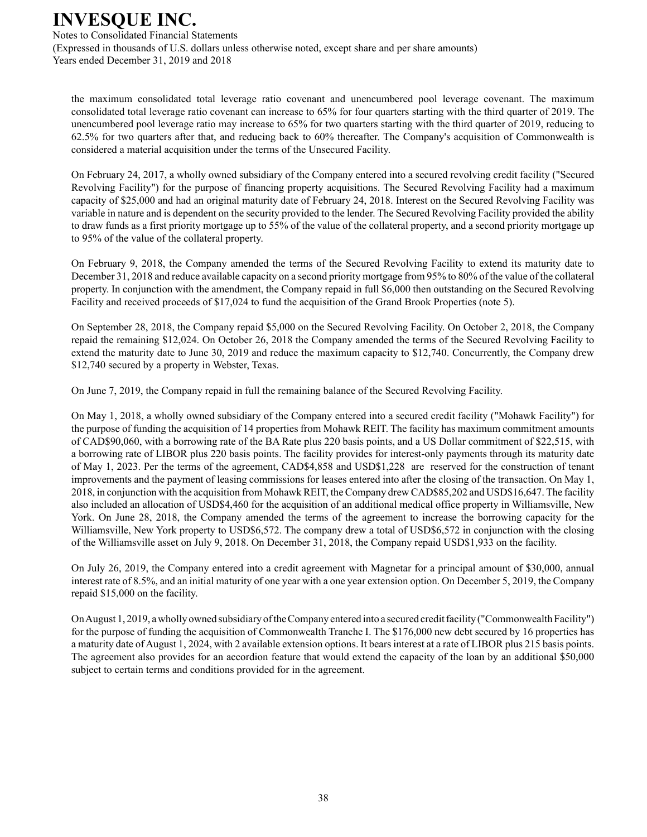Notes to Consolidated Financial Statements (Expressed in thousands of U.S. dollars unless otherwise noted, except share and per share amounts) Years ended December 31, 2019 and 2018

the maximum consolidated total leverage ratio covenant and unencumbered pool leverage covenant. The maximum consolidated total leverage ratio covenant can increase to 65% for four quarters starting with the third quarter of 2019. The unencumbered pool leverage ratio may increase to 65% for two quarters starting with the third quarter of 2019, reducing to 62.5% for two quarters after that, and reducing back to 60% thereafter. The Company's acquisition of Commonwealth is considered a material acquisition under the terms of the Unsecured Facility.

On February 24, 2017, a wholly owned subsidiary of the Company entered into a secured revolving credit facility ("Secured Revolving Facility") for the purpose of financing property acquisitions. The Secured Revolving Facility had a maximum capacity of \$25,000 and had an original maturity date of February 24, 2018. Interest on the Secured Revolving Facility was variable in nature and is dependent on the security provided to the lender. The Secured Revolving Facility provided the ability to draw funds as a first priority mortgage up to 55% of the value of the collateral property, and a second priority mortgage up to 95% of the value of the collateral property.

On February 9, 2018, the Company amended the terms of the Secured Revolving Facility to extend its maturity date to December 31, 2018 and reduce available capacity on a second priority mortgage from 95% to 80% of the value of the collateral property. In conjunction with the amendment, the Company repaid in full \$6,000 then outstanding on the Secured Revolving Facility and received proceeds of \$17,024 to fund the acquisition of the Grand Brook Properties (note 5).

On September 28, 2018, the Company repaid \$5,000 on the Secured Revolving Facility. On October 2, 2018, the Company repaid the remaining \$12,024. On October 26, 2018 the Company amended the terms of the Secured Revolving Facility to extend the maturity date to June 30, 2019 and reduce the maximum capacity to \$12,740. Concurrently, the Company drew \$12,740 secured by a property in Webster, Texas.

On June 7, 2019, the Company repaid in full the remaining balance of the Secured Revolving Facility.

On May 1, 2018, a wholly owned subsidiary of the Company entered into a secured credit facility ("Mohawk Facility") for the purpose of funding the acquisition of 14 properties from Mohawk REIT. The facility has maximum commitment amounts of CAD\$90,060, with a borrowing rate of the BA Rate plus 220 basis points, and a US Dollar commitment of \$22,515, with a borrowing rate of LIBOR plus 220 basis points. The facility provides for interest-only payments through its maturity date of May 1, 2023. Per the terms of the agreement, CAD\$4,858 and USD\$1,228 are reserved for the construction of tenant improvements and the payment of leasing commissions for leases entered into after the closing of the transaction. On May 1, 2018, in conjunction with the acquisition from Mohawk REIT, the Company drew CAD\$85,202 and USD\$16,647. The facility also included an allocation of USD\$4,460 for the acquisition of an additional medical office property in Williamsville, New York. On June 28, 2018, the Company amended the terms of the agreement to increase the borrowing capacity for the Williamsville, New York property to USD\$6,572. The company drew a total of USD\$6,572 in conjunction with the closing of the Williamsville asset on July 9, 2018. On December 31, 2018, the Company repaid USD\$1,933 on the facility.

On July 26, 2019, the Company entered into a credit agreement with Magnetar for a principal amount of \$30,000, annual interest rate of 8.5%, and an initial maturity of one year with a one year extension option. On December 5, 2019, the Company repaid \$15,000 on the facility.

On August 1, 2019, a wholly owned subsidiary of the Company entered into a secured credit facility ("Commonwealth Facility") for the purpose of funding the acquisition of Commonwealth Tranche I. The \$176,000 new debt secured by 16 properties has a maturity date of August 1, 2024, with 2 available extension options. It bears interest at a rate of LIBOR plus 215 basis points. The agreement also provides for an accordion feature that would extend the capacity of the loan by an additional \$50,000 subject to certain terms and conditions provided for in the agreement.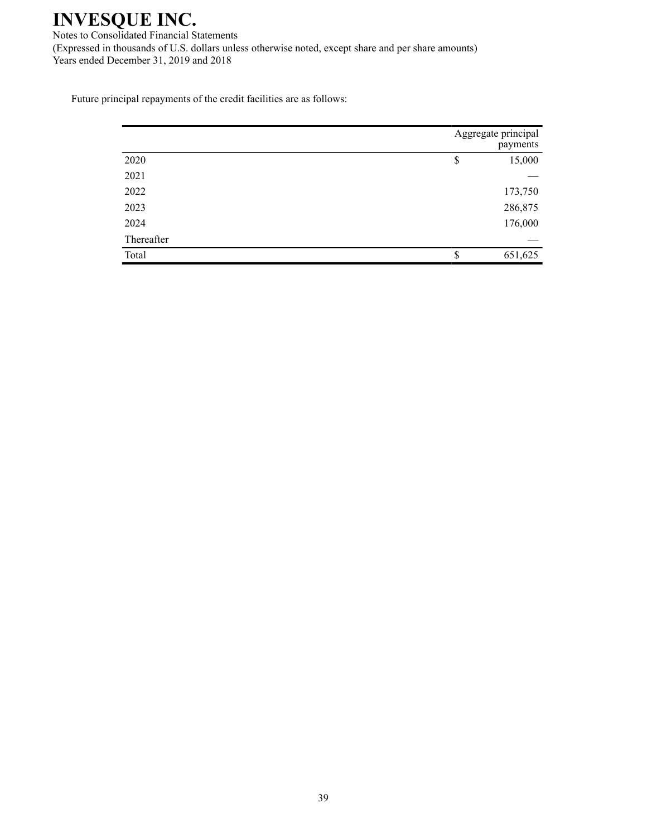Notes to Consolidated Financial Statements (Expressed in thousands of U.S. dollars unless otherwise noted, except share and per share amounts) Years ended December 31, 2019 and 2018

Future principal repayments of the credit facilities are as follows:

|            | Aggregate principal<br>payments |
|------------|---------------------------------|
| 2020       | \$<br>15,000                    |
| 2021       |                                 |
| 2022       | 173,750                         |
| 2023       | 286,875                         |
| 2024       | 176,000                         |
| Thereafter |                                 |
| Total      | \$<br>651,625                   |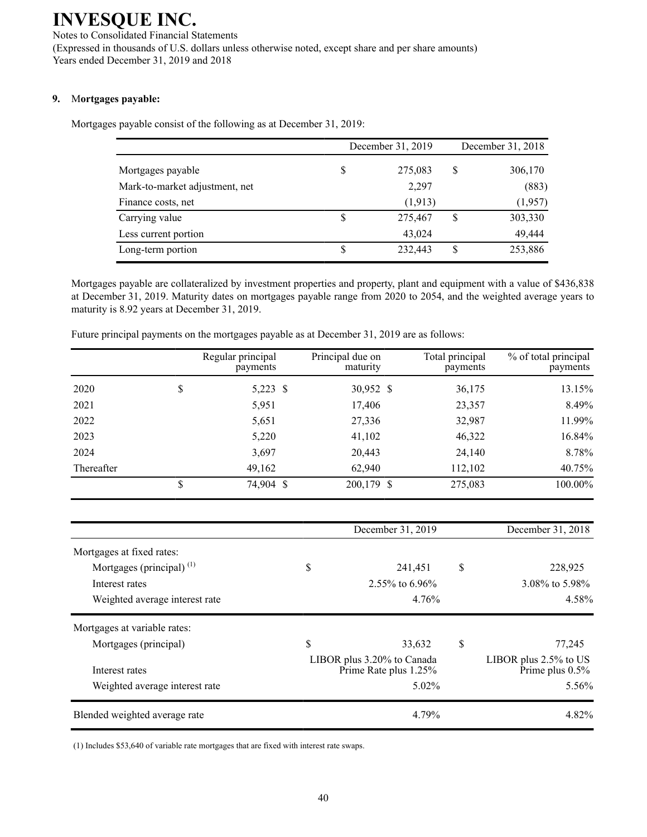Notes to Consolidated Financial Statements (Expressed in thousands of U.S. dollars unless otherwise noted, except share and per share amounts) Years ended December 31, 2019 and 2018

### **9.** M**ortgages payable:**

Mortgages payable consist of the following as at December 31, 2019:

|                                |   | December 31, 2019 | December 31, 2018 |         |
|--------------------------------|---|-------------------|-------------------|---------|
| Mortgages payable              | S | 275,083           | \$                | 306,170 |
| Mark-to-market adjustment, net |   | 2,297             |                   | (883)   |
| Finance costs, net             |   | (1, 913)          |                   | (1,957) |
| Carrying value                 | S | 275,467           | S                 | 303,330 |
| Less current portion           |   | 43,024            |                   | 49,444  |
| Long-term portion              | S | 232,443           | S                 | 253,886 |

Mortgages payable are collateralized by investment properties and property, plant and equipment with a value of \$436,838 at December 31, 2019. Maturity dates on mortgages payable range from 2020 to 2054, and the weighted average years to maturity is 8.92 years at December 31, 2019.

|            | Regular principal<br>payments | Principal due on<br>maturity | Total principal<br>payments | % of total principal<br>payments |
|------------|-------------------------------|------------------------------|-----------------------------|----------------------------------|
| 2020       | \$<br>5,223 \$                | 30,952 \$                    | 36,175                      | 13.15%                           |
| 2021       | 5,951                         | 17,406                       | 23,357                      | 8.49%                            |
| 2022       | 5,651                         | 27,336                       | 32,987                      | 11.99%                           |
| 2023       | 5,220                         | 41,102                       | 46,322                      | 16.84%                           |
| 2024       | 3,697                         | 20,443                       | 24,140                      | 8.78%                            |
| Thereafter | 49,162                        | 62,940                       | 112,102                     | 40.75%                           |
|            | \$<br>74,904 \$               | 200,179 \$                   | 275,083                     | 100.00%                          |

Future principal payments on the mortgages payable as at December 31, 2019 are as follows:

|                                | December 31, 2019                                   | December 31, 2018                              |
|--------------------------------|-----------------------------------------------------|------------------------------------------------|
| Mortgages at fixed rates:      |                                                     |                                                |
| Mortgages (principal) $^{(1)}$ | \$<br>241,451                                       | \$<br>228,925                                  |
| Interest rates                 | 2.55% to 6.96%                                      | 3.08% to 5.98%                                 |
| Weighted average interest rate | 4.76%                                               | 4.58%                                          |
| Mortgages at variable rates:   |                                                     |                                                |
| Mortgages (principal)          | \$<br>33.632                                        | \$<br>77,245                                   |
| Interest rates                 | LIBOR plus 3.20% to Canada<br>Prime Rate plus 1.25% | LIBOR plus $2.5\%$ to US<br>Prime plus $0.5\%$ |
| Weighted average interest rate | $5.02\%$                                            | 5.56%                                          |
| Blended weighted average rate  | 4.79%                                               | 4.82%                                          |

(1) Includes \$53,640 of variable rate mortgages that are fixed with interest rate swaps.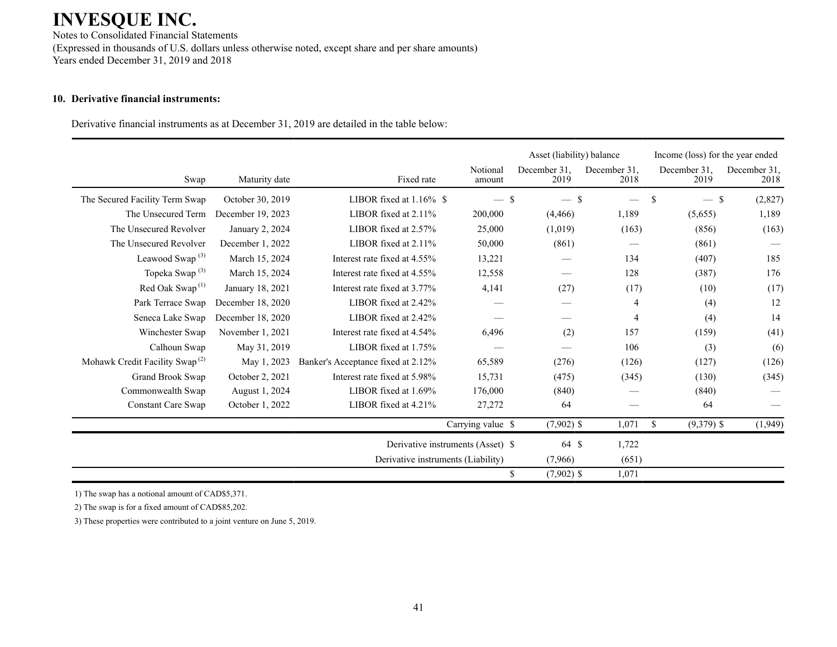Notes to Consolidated Financial Statements (Expressed in thousands of U.S. dollars unless otherwise noted, except share and per share amounts) Years ended December 31, 2019 and 2018

### **10. Derivative financial instruments:**

Derivative financial instruments as at December 31, 2019 are detailed in the table below:

|                                            |                    |                                    |                                   | Asset (liability) balance |                      | Income (loss) for the year ended |                      |
|--------------------------------------------|--------------------|------------------------------------|-----------------------------------|---------------------------|----------------------|----------------------------------|----------------------|
| Swap                                       | Maturity date      | Fixed rate                         | Notional<br>amount                | December 31.<br>2019      | December 31.<br>2018 | December 31.<br>2019             | December 31.<br>2018 |
| The Secured Facility Term Swap             | October 30, 2019   | LIBOR fixed at 1.16% \$            | $-$ \$                            | \$                        |                      | \$<br>— \$                       | (2,827)              |
| The Unsecured Term                         | December 19, 2023  | LIBOR fixed at $2.11\%$            | 200,000                           | (4,466)                   | 1,189                | (5,655)                          | 1,189                |
| The Unsecured Revolver                     | January 2, 2024    | LIBOR fixed at 2.57%               | 25,000                            | (1,019)                   | (163)                | (856)                            | (163)                |
| The Unsecured Revolver                     | December 1, 2022   | LIBOR fixed at $2.11\%$            | 50,000                            | (861)                     |                      | (861)                            |                      |
| Leawood Swap <sup>(3)</sup>                | March 15, 2024     | Interest rate fixed at 4.55%       | 13,221                            |                           | 134                  | (407)                            | 185                  |
| Topeka Swap <sup>(3)</sup>                 | March 15, 2024     | Interest rate fixed at 4.55%       | 12,558                            |                           | 128                  | (387)                            | 176                  |
| Red Oak Swap <sup>(1)</sup>                | January 18, 2021   | Interest rate fixed at 3.77%       | 4,141                             | (27)                      | (17)                 | (10)                             | (17)                 |
| Park Terrace Swap                          | December 18, 2020  | LIBOR fixed at 2.42%               |                                   |                           | 4                    | (4)                              | 12                   |
| Seneca Lake Swap                           | December 18, 2020  | LIBOR fixed at 2.42%               |                                   |                           | $\overline{4}$       | (4)                              | 14                   |
| Winchester Swap                            | November $1, 2021$ | Interest rate fixed at 4.54%       | 6,496                             | (2)                       | 157                  | (159)                            | (41)                 |
| Calhoun Swap                               | May 31, 2019       | LIBOR fixed at 1.75%               |                                   |                           | 106                  | (3)                              | (6)                  |
| Mohawk Credit Facility Swap <sup>(2)</sup> | May 1, 2023        | Banker's Acceptance fixed at 2.12% | 65,589                            | (276)                     | (126)                | (127)                            | (126)                |
| Grand Brook Swap                           | October 2, 2021    | Interest rate fixed at 5.98%       | 15,731                            | (475)                     | (345)                | (130)                            | (345)                |
| Commonwealth Swap                          | August 1, 2024     | LIBOR fixed at 1.69%               | 176,000                           | (840)                     |                      | (840)                            |                      |
| <b>Constant Care Swap</b>                  | October 1, 2022    | LIBOR fixed at 4.21%               | 27,272                            | 64                        |                      | 64                               |                      |
|                                            |                    |                                    | Carrying value \$                 | $(7,902)$ \$              | 1,071                | \$<br>$(9,379)$ \$               | (1,949)              |
|                                            |                    |                                    | Derivative instruments (Asset) \$ | 64 \$                     | 1,722                |                                  |                      |
|                                            |                    | Derivative instruments (Liability) |                                   | (7,966)                   | (651)                |                                  |                      |
|                                            |                    |                                    |                                   | \$<br>$(7,902)$ \$        | 1,071                |                                  |                      |

1) The swap has a notional amount of CAD\$5,371.

2) The swap is for a fixed amount of CAD\$85,202.

3) These properties were contributed to a joint venture on June 5, 2019.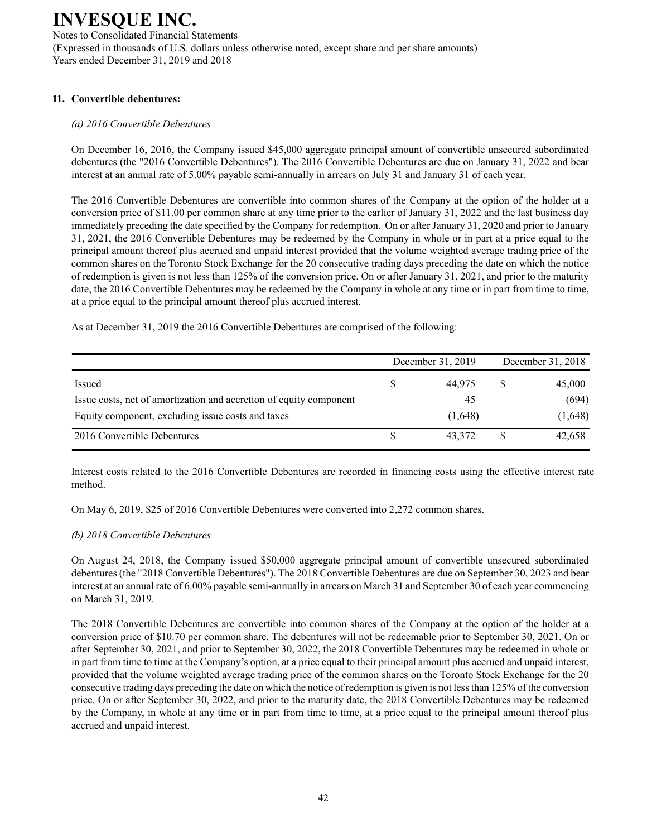Notes to Consolidated Financial Statements (Expressed in thousands of U.S. dollars unless otherwise noted, except share and per share amounts) Years ended December 31, 2019 and 2018

### **11. Convertible debentures:**

### *(a) 2016 Convertible Debentures*

On December 16, 2016, the Company issued \$45,000 aggregate principal amount of convertible unsecured subordinated debentures (the "2016 Convertible Debentures"). The 2016 Convertible Debentures are due on January 31, 2022 and bear interest at an annual rate of 5.00% payable semi-annually in arrears on July 31 and January 31 of each year.

The 2016 Convertible Debentures are convertible into common shares of the Company at the option of the holder at a conversion price of \$11.00 per common share at any time prior to the earlier of January 31, 2022 and the last business day immediately preceding the date specified by the Company for redemption. On or after January 31, 2020 and prior to January 31, 2021, the 2016 Convertible Debentures may be redeemed by the Company in whole or in part at a price equal to the principal amount thereof plus accrued and unpaid interest provided that the volume weighted average trading price of the common shares on the Toronto Stock Exchange for the 20 consecutive trading days preceding the date on which the notice of redemption is given is not less than 125% of the conversion price. On or after January 31, 2021, and prior to the maturity date, the 2016 Convertible Debentures may be redeemed by the Company in whole at any time or in part from time to time, at a price equal to the principal amount thereof plus accrued interest.

As at December 31, 2019 the 2016 Convertible Debentures are comprised of the following:

|                                                                    | December 31, 2019 | December 31, 2018 |
|--------------------------------------------------------------------|-------------------|-------------------|
| Issued                                                             | 44.975            | 45,000            |
| Issue costs, net of amortization and accretion of equity component | 45                | (694)             |
| Equity component, excluding issue costs and taxes                  | (1,648)           | (1,648)           |
| 2016 Convertible Debentures                                        | 43.372            | 42,658            |

Interest costs related to the 2016 Convertible Debentures are recorded in financing costs using the effective interest rate method.

On May 6, 2019, \$25 of 2016 Convertible Debentures were converted into 2,272 common shares.

### *(b) 2018 Convertible Debentures*

On August 24, 2018, the Company issued \$50,000 aggregate principal amount of convertible unsecured subordinated debentures (the "2018 Convertible Debentures"). The 2018 Convertible Debentures are due on September 30, 2023 and bear interest at an annual rate of 6.00% payable semi-annually in arrears on March 31 and September 30 of each year commencing on March 31, 2019.

The 2018 Convertible Debentures are convertible into common shares of the Company at the option of the holder at a conversion price of \$10.70 per common share. The debentures will not be redeemable prior to September 30, 2021. On or after September 30, 2021, and prior to September 30, 2022, the 2018 Convertible Debentures may be redeemed in whole or in part from time to time at the Company's option, at a price equal to their principal amount plus accrued and unpaid interest, provided that the volume weighted average trading price of the common shares on the Toronto Stock Exchange for the 20 consecutive trading days preceding the date on which the notice of redemption is given is not less than 125% of the conversion price. On or after September 30, 2022, and prior to the maturity date, the 2018 Convertible Debentures may be redeemed by the Company, in whole at any time or in part from time to time, at a price equal to the principal amount thereof plus accrued and unpaid interest.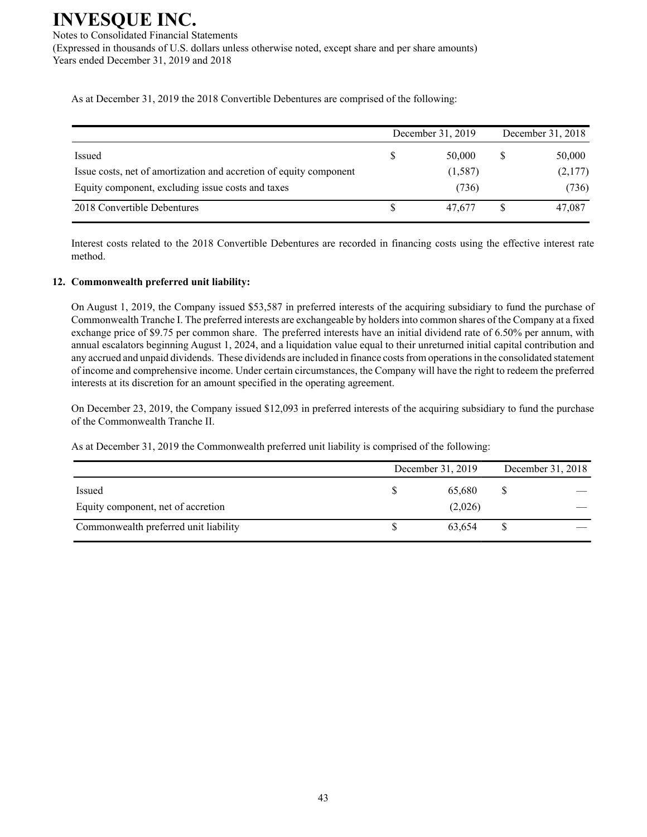Notes to Consolidated Financial Statements (Expressed in thousands of U.S. dollars unless otherwise noted, except share and per share amounts) Years ended December 31, 2019 and 2018

As at December 31, 2019 the 2018 Convertible Debentures are comprised of the following:

|                                                                    |   | December 31, 2019 | December 31, 2018 |
|--------------------------------------------------------------------|---|-------------------|-------------------|
| Issued                                                             | S | 50,000            | 50,000            |
| Issue costs, net of amortization and accretion of equity component |   | (1,587)           | (2,177)           |
| Equity component, excluding issue costs and taxes                  |   | (736)             | (736)             |
| 2018 Convertible Debentures                                        |   | 47.677            | 47,087            |

Interest costs related to the 2018 Convertible Debentures are recorded in financing costs using the effective interest rate method.

### **12. Commonwealth preferred unit liability:**

On August 1, 2019, the Company issued \$53,587 in preferred interests of the acquiring subsidiary to fund the purchase of Commonwealth Tranche I. The preferred interests are exchangeable by holders into common shares of the Company at a fixed exchange price of \$9.75 per common share. The preferred interests have an initial dividend rate of 6.50% per annum, with annual escalators beginning August 1, 2024, and a liquidation value equal to their unreturned initial capital contribution and any accrued and unpaid dividends. These dividends are included in finance costs from operations in the consolidated statement of income and comprehensive income. Under certain circumstances, the Company will have the right to redeem the preferred interests at its discretion for an amount specified in the operating agreement.

On December 23, 2019, the Company issued \$12,093 in preferred interests of the acquiring subsidiary to fund the purchase of the Commonwealth Tranche II.

As at December 31, 2019 the Commonwealth preferred unit liability is comprised of the following:

|                                       | December 31, 2019 |         | December 31, 2018 |  |
|---------------------------------------|-------------------|---------|-------------------|--|
| Issued                                |                   | 65,680  | S                 |  |
| Equity component, net of accretion    |                   | (2,026) |                   |  |
| Commonwealth preferred unit liability |                   | 63.654  |                   |  |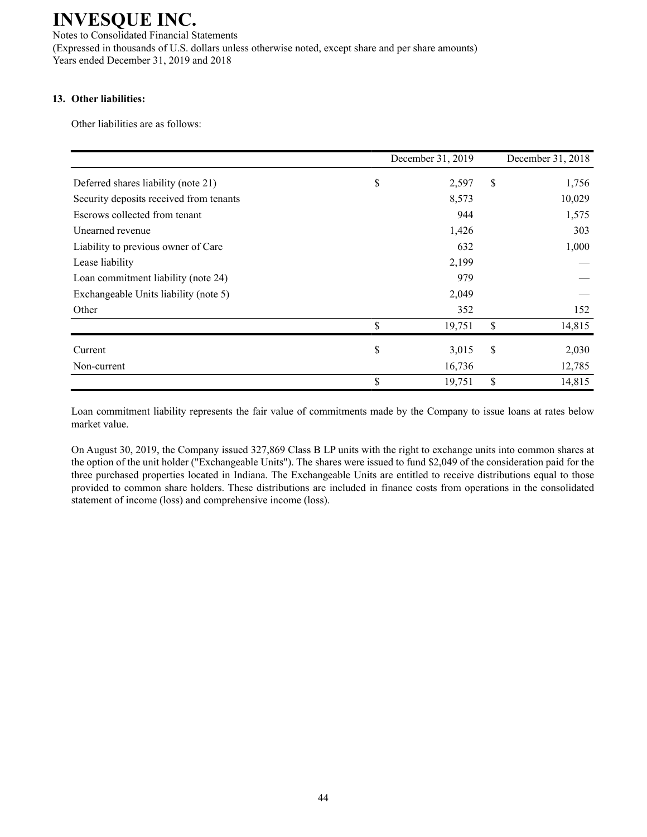Notes to Consolidated Financial Statements (Expressed in thousands of U.S. dollars unless otherwise noted, except share and per share amounts) Years ended December 31, 2019 and 2018

### **13. Other liabilities:**

Other liabilities are as follows:

|                                         | December 31, 2019 | December 31, 2018 |
|-----------------------------------------|-------------------|-------------------|
| Deferred shares liability (note 21)     | \$<br>2,597       | \$<br>1,756       |
| Security deposits received from tenants | 8,573             | 10,029            |
| Escrows collected from tenant           | 944               | 1,575             |
| Unearned revenue                        | 1,426             | 303               |
| Liability to previous owner of Care     | 632               | 1,000             |
| Lease liability                         | 2,199             |                   |
| Loan commitment liability (note 24)     | 979               |                   |
| Exchangeable Units liability (note 5)   | 2,049             |                   |
| Other                                   | 352               | 152               |
|                                         | \$<br>19,751      | \$<br>14,815      |
| Current                                 | \$<br>3,015       | \$<br>2,030       |
| Non-current                             | 16,736            | 12,785            |
|                                         | \$<br>19,751      | \$<br>14,815      |

Loan commitment liability represents the fair value of commitments made by the Company to issue loans at rates below market value.

On August 30, 2019, the Company issued 327,869 Class B LP units with the right to exchange units into common shares at the option of the unit holder ("Exchangeable Units"). The shares were issued to fund \$2,049 of the consideration paid for the three purchased properties located in Indiana. The Exchangeable Units are entitled to receive distributions equal to those provided to common share holders. These distributions are included in finance costs from operations in the consolidated statement of income (loss) and comprehensive income (loss).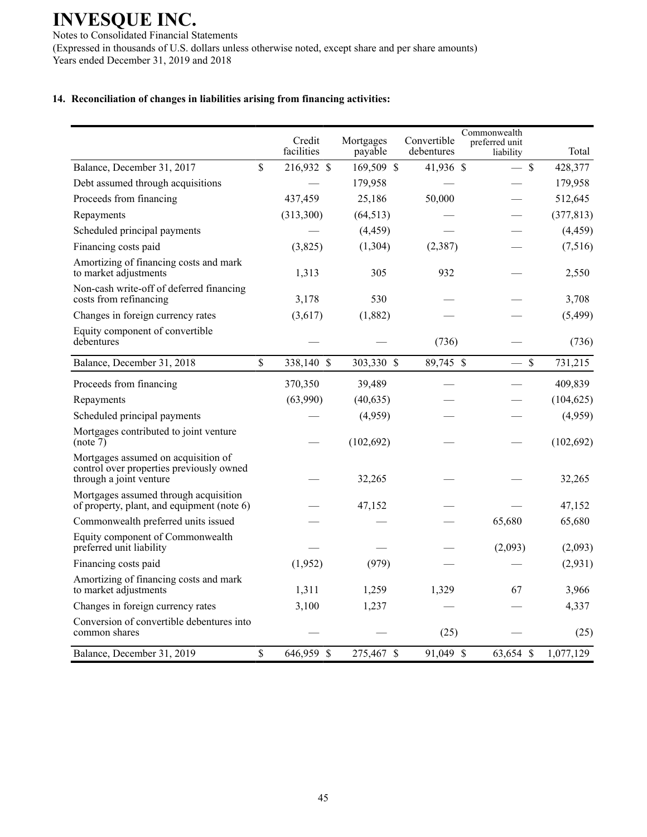Notes to Consolidated Financial Statements (Expressed in thousands of U.S. dollars unless otherwise noted, except share and per share amounts) Years ended December 31, 2019 and 2018

### **14. Reconciliation of changes in liabilities arising from financing activities:**

|                                                                                                            |               | Credit<br>facilities | Mortgages<br>payable | Convertible<br>debentures | Commonwealth<br>preferred unit<br>liability | Total                  |
|------------------------------------------------------------------------------------------------------------|---------------|----------------------|----------------------|---------------------------|---------------------------------------------|------------------------|
| Balance, December 31, 2017                                                                                 | $\mathsf{\$}$ | 216,932 \$           | 169,509 \$           | 41,936 \$                 | $-$ \$                                      | 428,377                |
| Debt assumed through acquisitions                                                                          |               |                      | 179,958              |                           |                                             | 179,958                |
| Proceeds from financing                                                                                    |               | 437,459              | 25,186               | 50,000                    |                                             | 512,645                |
| Repayments                                                                                                 |               | (313,300)            | (64, 513)            |                           |                                             | (377, 813)             |
| Scheduled principal payments                                                                               |               |                      | (4, 459)             |                           |                                             | (4, 459)               |
| Financing costs paid                                                                                       |               | (3,825)              | (1,304)              | (2,387)                   |                                             | (7,516)                |
| Amortizing of financing costs and mark<br>to market adjustments                                            |               | 1,313                | 305                  | 932                       |                                             | 2,550                  |
| Non-cash write-off of deferred financing<br>costs from refinancing                                         |               | 3,178                | 530                  |                           |                                             | 3,708                  |
| Changes in foreign currency rates                                                                          |               | (3,617)              | (1,882)              |                           |                                             | (5,499)                |
| Equity component of convertible<br>debentures                                                              |               |                      |                      | (736)                     |                                             | (736)                  |
| Balance, December 31, 2018                                                                                 | $\mathbf S$   | 338,140 \$           | 303,330 \$           | 89,745 \$                 |                                             | $\mathbf S$<br>731,215 |
| Proceeds from financing                                                                                    |               | 370,350              | 39,489               |                           |                                             | 409,839                |
| Repayments                                                                                                 |               | (63,990)             | (40, 635)            |                           |                                             | (104, 625)             |
| Scheduled principal payments                                                                               |               |                      | (4,959)              |                           |                                             | (4,959)                |
| Mortgages contributed to joint venture<br>(note 7)                                                         |               |                      | (102, 692)           |                           |                                             | (102, 692)             |
| Mortgages assumed on acquisition of<br>control over properties previously owned<br>through a joint venture |               |                      | 32,265               |                           |                                             | 32,265                 |
| Mortgages assumed through acquisition<br>of property, plant, and equipment (note 6)                        |               |                      | 47,152               |                           |                                             | 47,152                 |
| Commonwealth preferred units issued                                                                        |               |                      |                      |                           | 65,680                                      | 65,680                 |
| Equity component of Commonwealth<br>preferred unit liability                                               |               |                      |                      |                           | (2,093)                                     | (2,093)                |
| Financing costs paid                                                                                       |               | (1,952)              | (979)                |                           |                                             | (2,931)                |
| Amortizing of financing costs and mark<br>to market adjustments                                            |               | 1,311                | 1,259                | 1,329                     | 67                                          | 3,966                  |
| Changes in foreign currency rates                                                                          |               | 3,100                | 1,237                |                           |                                             | 4,337                  |
| Conversion of convertible debentures into<br>common shares                                                 |               |                      |                      | (25)                      |                                             | (25)                   |
| Balance, December 31, 2019                                                                                 | \$            | 646,959 \$           | 275,467 \$           | 91,049 \$                 | 63,654 \$                                   | 1,077,129              |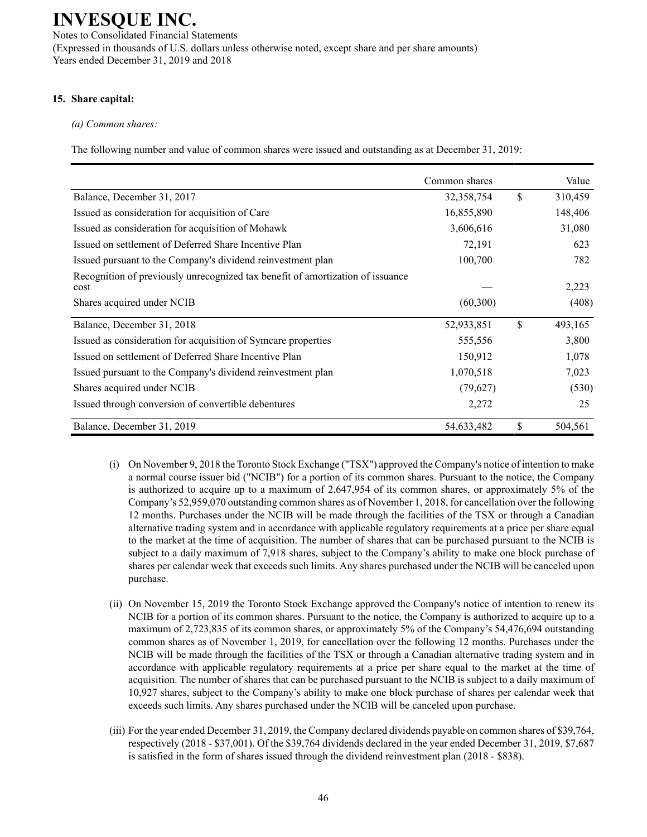Notes to Consolidated Financial Statements (Expressed in thousands of U.S. dollars unless otherwise noted, except share and per share amounts) Years ended December 31, 2019 and 2018

### **15. Share capital:**

### *(a) Common shares:*

The following number and value of common shares were issued and outstanding as at December 31, 2019:

|                                                                                        | Common shares |              | Value   |
|----------------------------------------------------------------------------------------|---------------|--------------|---------|
| Balance, December 31, 2017                                                             | 32,358,754    | $\mathbb{S}$ | 310,459 |
| Issued as consideration for acquisition of Care                                        | 16,855,890    |              | 148,406 |
| Issued as consideration for acquisition of Mohawk                                      | 3,606,616     |              | 31,080  |
| Issued on settlement of Deferred Share Incentive Plan                                  | 72,191        |              | 623     |
| Issued pursuant to the Company's dividend reinvestment plan                            | 100,700       |              | 782     |
| Recognition of previously unrecognized tax benefit of amortization of issuance<br>cost |               |              | 2,223   |
| Shares acquired under NCIB                                                             | (60, 300)     |              | (408)   |
| Balance, December 31, 2018                                                             | 52,933,851    | $\mathbb{S}$ | 493,165 |
| Issued as consideration for acquisition of Symcare properties                          | 555,556       |              | 3,800   |
| Issued on settlement of Deferred Share Incentive Plan                                  | 150,912       |              | 1,078   |
| Issued pursuant to the Company's dividend reinvestment plan                            | 1,070,518     |              | 7,023   |
| Shares acquired under NCIB                                                             | (79, 627)     |              | (530)   |
| Issued through conversion of convertible debentures                                    | 2,272         |              | 25      |
| Balance, December 31, 2019                                                             | 54,633,482    | $\mathbb{S}$ | 504,561 |

- (i) On November 9, 2018 the Toronto Stock Exchange ("TSX") approved the Company's notice of intention to make a normal course issuer bid ("NCIB") for a portion of its common shares. Pursuant to the notice, the Company is authorized to acquire up to a maximum of 2,647,954 of its common shares, or approximately 5% of the Company's 52,959,070 outstanding common shares as of November 1, 2018, for cancellation over the following 12 months. Purchases under the NCIB will be made through the facilities of the TSX or through a Canadian alternative trading system and in accordance with applicable regulatory requirements at a price per share equal to the market at the time of acquisition. The number of shares that can be purchased pursuant to the NCIB is subject to a daily maximum of 7,918 shares, subject to the Company's ability to make one block purchase of shares per calendar week that exceeds such limits. Any shares purchased under the NCIB will be canceled upon purchase.
- (ii) On November 15, 2019 the Toronto Stock Exchange approved the Company's notice of intention to renew its NCIB for a portion of its common shares. Pursuant to the notice, the Company is authorized to acquire up to a maximum of 2,723,835 of its common shares, or approximately 5% of the Company's 54,476,694 outstanding common shares as of November 1, 2019, for cancellation over the following 12 months. Purchases under the NCIB will be made through the facilities of the TSX or through a Canadian alternative trading system and in accordance with applicable regulatory requirements at a price per share equal to the market at the time of acquisition. The number of shares that can be purchased pursuant to the NCIB is subject to a daily maximum of 10,927 shares, subject to the Company's ability to make one block purchase of shares per calendar week that exceeds such limits. Any shares purchased under the NCIB will be canceled upon purchase.
- (iii) For the year ended December 31, 2019, the Company declared dividends payable on common shares of \$39,764, respectively (2018 - \$37,001). Of the \$39,764 dividends declared in the year ended December 31, 2019, \$7,687 is satisfied in the form of shares issued through the dividend reinvestment plan (2018 - \$838).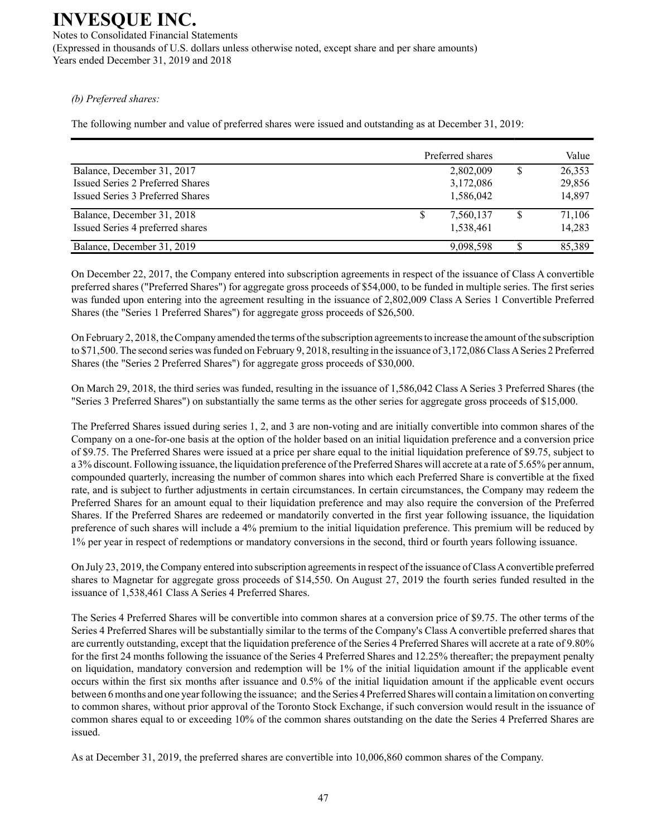Notes to Consolidated Financial Statements (Expressed in thousands of U.S. dollars unless otherwise noted, except share and per share amounts) Years ended December 31, 2019 and 2018

#### *(b) Preferred shares:*

The following number and value of preferred shares were issued and outstanding as at December 31, 2019:

|                                  | Preferred shares | Value  |
|----------------------------------|------------------|--------|
| Balance, December 31, 2017       | 2,802,009        | 26,353 |
| Issued Series 2 Preferred Shares | 3,172,086        | 29,856 |
| Issued Series 3 Preferred Shares | 1,586,042        | 14,897 |
| Balance, December 31, 2018       | 7,560,137        | 71,106 |
| Issued Series 4 preferred shares | 1,538,461        | 14,283 |
| Balance, December 31, 2019       | 9,098,598        | 85.389 |

On December 22, 2017, the Company entered into subscription agreements in respect of the issuance of Class A convertible preferred shares ("Preferred Shares") for aggregate gross proceeds of \$54,000, to be funded in multiple series. The first series was funded upon entering into the agreement resulting in the issuance of 2,802,009 Class A Series 1 Convertible Preferred Shares (the "Series 1 Preferred Shares") for aggregate gross proceeds of \$26,500.

On February 2, 2018, the Company amended the terms of the subscription agreements to increase the amount of the subscription to \$71,500. The second series was funded on February 9, 2018, resulting in the issuance of 3,172,086 Class ASeries 2 Preferred Shares (the "Series 2 Preferred Shares") for aggregate gross proceeds of \$30,000.

On March 29, 2018, the third series was funded, resulting in the issuance of 1,586,042 Class A Series 3 Preferred Shares (the "Series 3 Preferred Shares") on substantially the same terms as the other series for aggregate gross proceeds of \$15,000.

The Preferred Shares issued during series 1, 2, and 3 are non-voting and are initially convertible into common shares of the Company on a one-for-one basis at the option of the holder based on an initial liquidation preference and a conversion price of \$9.75. The Preferred Shares were issued at a price per share equal to the initial liquidation preference of \$9.75, subject to a 3% discount. Following issuance, the liquidation preference of the Preferred Shares will accrete at a rate of 5.65% per annum, compounded quarterly, increasing the number of common shares into which each Preferred Share is convertible at the fixed rate, and is subject to further adjustments in certain circumstances. In certain circumstances, the Company may redeem the Preferred Shares for an amount equal to their liquidation preference and may also require the conversion of the Preferred Shares. If the Preferred Shares are redeemed or mandatorily converted in the first year following issuance, the liquidation preference of such shares will include a 4% premium to the initial liquidation preference. This premium will be reduced by 1% per year in respect of redemptions or mandatory conversions in the second, third or fourth years following issuance.

On July 23, 2019, the Company entered into subscription agreements in respect of the issuance of Class Aconvertible preferred shares to Magnetar for aggregate gross proceeds of \$14,550. On August 27, 2019 the fourth series funded resulted in the issuance of 1,538,461 Class A Series 4 Preferred Shares.

The Series 4 Preferred Shares will be convertible into common shares at a conversion price of \$9.75. The other terms of the Series 4 Preferred Shares will be substantially similar to the terms of the Company's Class A convertible preferred shares that are currently outstanding, except that the liquidation preference of the Series 4 Preferred Shares will accrete at a rate of 9.80% for the first 24 months following the issuance of the Series 4 Preferred Shares and 12.25% thereafter; the prepayment penalty on liquidation, mandatory conversion and redemption will be 1% of the initial liquidation amount if the applicable event occurs within the first six months after issuance and 0.5% of the initial liquidation amount if the applicable event occurs between 6 months and one year following the issuance; and the Series 4 Preferred Shares will contain a limitation on converting to common shares, without prior approval of the Toronto Stock Exchange, if such conversion would result in the issuance of common shares equal to or exceeding 10% of the common shares outstanding on the date the Series 4 Preferred Shares are issued.

As at December 31, 2019, the preferred shares are convertible into 10,006,860 common shares of the Company.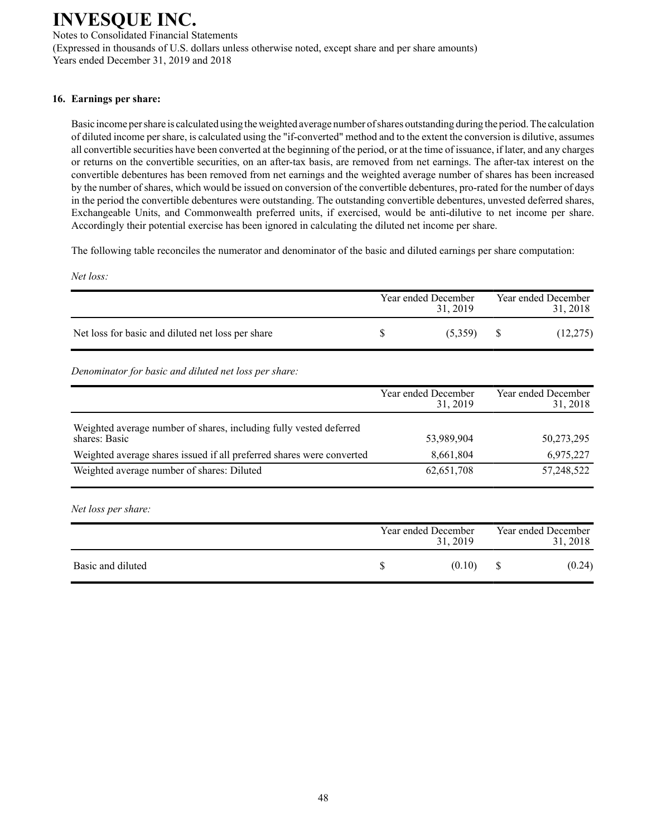Notes to Consolidated Financial Statements (Expressed in thousands of U.S. dollars unless otherwise noted, except share and per share amounts) Years ended December 31, 2019 and 2018

### **16. Earnings per share:**

Basic income per share is calculated using the weighted average number of shares outstanding during the period. The calculation of diluted income per share, is calculated using the "if-converted" method and to the extent the conversion is dilutive, assumes all convertible securities have been converted at the beginning of the period, or at the time of issuance, if later, and any charges or returns on the convertible securities, on an after-tax basis, are removed from net earnings. The after-tax interest on the convertible debentures has been removed from net earnings and the weighted average number of shares has been increased by the number of shares, which would be issued on conversion of the convertible debentures, pro-rated for the number of days in the period the convertible debentures were outstanding. The outstanding convertible debentures, unvested deferred shares, Exchangeable Units, and Commonwealth preferred units, if exercised, would be anti-dilutive to net income per share. Accordingly their potential exercise has been ignored in calculating the diluted net income per share.

The following table reconciles the numerator and denominator of the basic and diluted earnings per share computation:

*Net loss:*

|                                                   | Year ended December<br>31.2019 | Year ended December<br>31, 2018 |
|---------------------------------------------------|--------------------------------|---------------------------------|
| Net loss for basic and diluted net loss per share | (5,359)                        | (12,275)                        |

*Denominator for basic and diluted net loss per share:*

|                                                                                     | Year ended December<br>31, 2019 | Year ended December<br>31, 2018 |
|-------------------------------------------------------------------------------------|---------------------------------|---------------------------------|
| Weighted average number of shares, including fully vested deferred<br>shares: Basic | 53,989,904                      | 50,273,295                      |
| Weighted average shares issued if all preferred shares were converted               | 8,661,804                       | 6,975,227                       |
| Weighted average number of shares: Diluted                                          | 62,651,708                      | 57,248,522                      |

*Net loss per share:*

|                   | Year ended December<br>31, 2019 | Year ended December<br>31, 2018 |
|-------------------|---------------------------------|---------------------------------|
| Basic and diluted | (0.10)                          | (0.24)                          |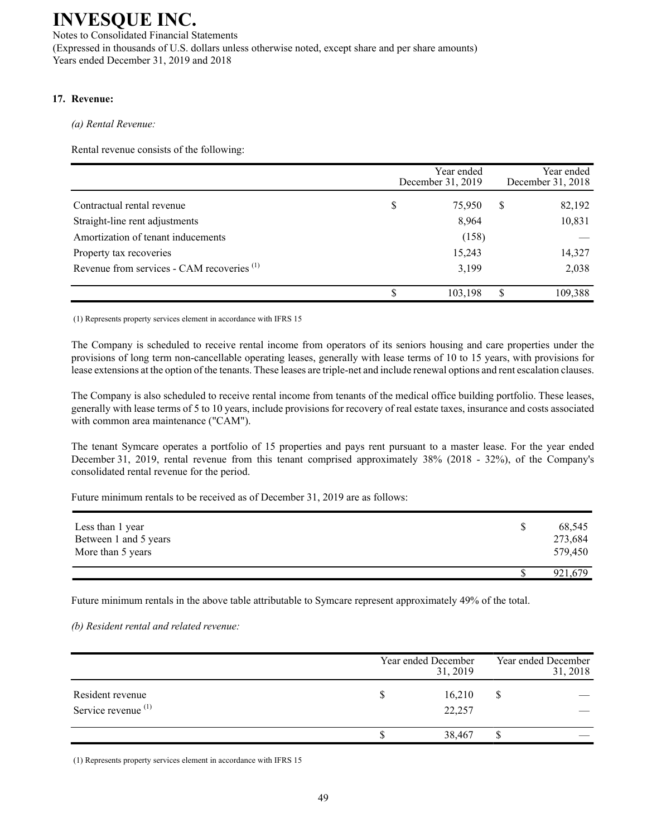Notes to Consolidated Financial Statements (Expressed in thousands of U.S. dollars unless otherwise noted, except share and per share amounts) Years ended December 31, 2019 and 2018

### **17. Revenue:**

*(a) Rental Revenue:*

Rental revenue consists of the following:

|                                                       | Year ended<br>December 31, 2019 |         |   | Year ended<br>December 31, 2018 |
|-------------------------------------------------------|---------------------------------|---------|---|---------------------------------|
| Contractual rental revenue                            | \$                              | 75,950  | S | 82,192                          |
| Straight-line rent adjustments                        |                                 | 8,964   |   | 10,831                          |
| Amortization of tenant inducements                    |                                 | (158)   |   |                                 |
| Property tax recoveries                               |                                 | 15,243  |   | 14,327                          |
| Revenue from services - CAM recoveries <sup>(1)</sup> |                                 | 3,199   |   | 2,038                           |
|                                                       | S                               | 103,198 | S | 109,388                         |

(1) Represents property services element in accordance with IFRS 15

The Company is scheduled to receive rental income from operators of its seniors housing and care properties under the provisions of long term non-cancellable operating leases, generally with lease terms of 10 to 15 years, with provisions for lease extensions at the option of the tenants. These leases are triple-net and include renewal options and rent escalation clauses.

The Company is also scheduled to receive rental income from tenants of the medical office building portfolio. These leases, generally with lease terms of 5 to 10 years, include provisions for recovery of real estate taxes, insurance and costs associated with common area maintenance ("CAM").

The tenant Symcare operates a portfolio of 15 properties and pays rent pursuant to a master lease. For the year ended December 31, 2019, rental revenue from this tenant comprised approximately 38% (2018 - 32%), of the Company's consolidated rental revenue for the period.

Future minimum rentals to be received as of December 31, 2019 are as follows:

| Less than 1 year<br>Between 1 and 5 years<br>More than 5 years | 68,545<br>273,684<br>579,450 |
|----------------------------------------------------------------|------------------------------|
|                                                                | 921,679                      |

Future minimum rentals in the above table attributable to Symcare represent approximately 49% of the total.

*(b) Resident rental and related revenue:*

|                                                    | Year ended December |                  |  |  |
|----------------------------------------------------|---------------------|------------------|--|--|
| Resident revenue<br>Service revenue <sup>(1)</sup> | D                   | 16,210<br>22,257 |  |  |
|                                                    |                     | 38,467           |  |  |

(1) Represents property services element in accordance with IFRS 15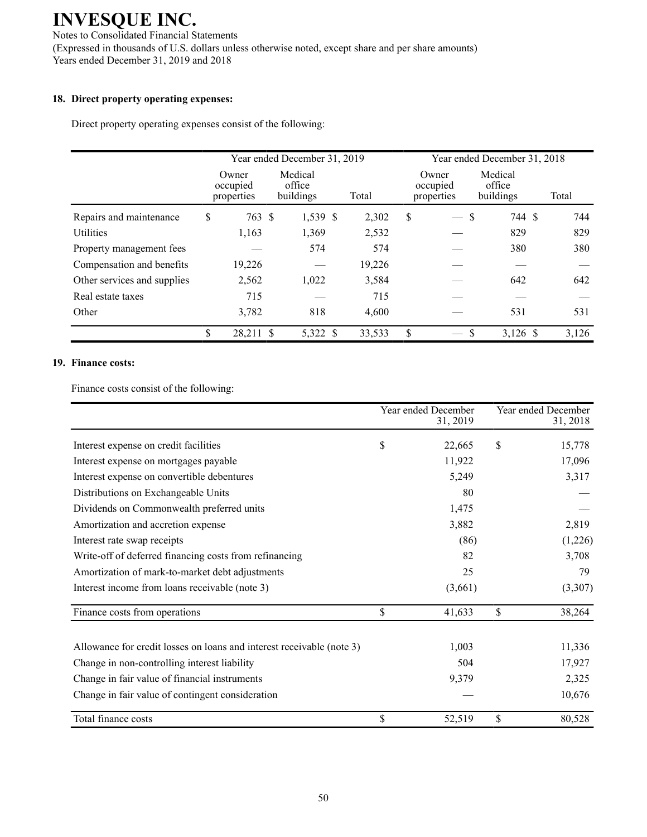Notes to Consolidated Financial Statements (Expressed in thousands of U.S. dollars unless otherwise noted, except share and per share amounts) Years ended December 31, 2019 and 2018

### **18. Direct property operating expenses:**

Direct property operating expenses consist of the following:

|                             | Year ended December 31, 2019    |  |                                |  |        | Year ended December 31, 2018 |                                 |                                |  |       |
|-----------------------------|---------------------------------|--|--------------------------------|--|--------|------------------------------|---------------------------------|--------------------------------|--|-------|
|                             | Owner<br>occupied<br>properties |  | Medical<br>office<br>buildings |  | Total  |                              | Owner<br>occupied<br>properties | Medical<br>office<br>buildings |  | Total |
| Repairs and maintenance     | \$<br>763 \$                    |  | 1,539 \$                       |  | 2,302  | \$                           | $\overline{\phantom{0}}$        | 744 \$<br>\$                   |  | 744   |
| <b>Utilities</b>            | 1,163                           |  | 1,369                          |  | 2,532  |                              |                                 | 829                            |  | 829   |
| Property management fees    |                                 |  | 574                            |  | 574    |                              |                                 | 380                            |  | 380   |
| Compensation and benefits   | 19,226                          |  |                                |  | 19,226 |                              |                                 |                                |  |       |
| Other services and supplies | 2,562                           |  | 1,022                          |  | 3,584  |                              |                                 | 642                            |  | 642   |
| Real estate taxes           | 715                             |  |                                |  | 715    |                              |                                 |                                |  |       |
| Other                       | 3,782                           |  | 818                            |  | 4,600  |                              |                                 | 531                            |  | 531   |
|                             | \$<br>28,211 \$                 |  | 5,322 \$                       |  | 33,533 | \$                           |                                 | $3,126$ \$<br><sup>\$</sup>    |  | 3,126 |

#### **19. Finance costs:**

Finance costs consist of the following:

|                                                                       | Year ended December<br>31, 2019 | Year ended December<br>31, 2018 |
|-----------------------------------------------------------------------|---------------------------------|---------------------------------|
| Interest expense on credit facilities                                 | \$<br>22,665                    | \$<br>15,778                    |
| Interest expense on mortgages payable                                 | 11,922                          | 17,096                          |
| Interest expense on convertible debentures                            | 5,249                           | 3,317                           |
| Distributions on Exchangeable Units                                   | 80                              |                                 |
| Dividends on Commonwealth preferred units                             | 1,475                           |                                 |
| Amortization and accretion expense                                    | 3,882                           | 2,819                           |
| Interest rate swap receipts                                           | (86)                            | (1,226)                         |
| Write-off of deferred financing costs from refinancing                | 82                              | 3,708                           |
| Amortization of mark-to-market debt adjustments                       | 25                              | 79                              |
| Interest income from loans receivable (note 3)                        | (3,661)                         | (3,307)                         |
| Finance costs from operations                                         | \$<br>41,633                    | \$<br>38,264                    |
| Allowance for credit losses on loans and interest receivable (note 3) | 1,003                           | 11,336                          |
| Change in non-controlling interest liability                          | 504                             | 17,927                          |
| Change in fair value of financial instruments                         | 9,379                           | 2,325                           |
| Change in fair value of contingent consideration                      |                                 | 10,676                          |
| Total finance costs                                                   | \$<br>52,519                    | \$<br>80,528                    |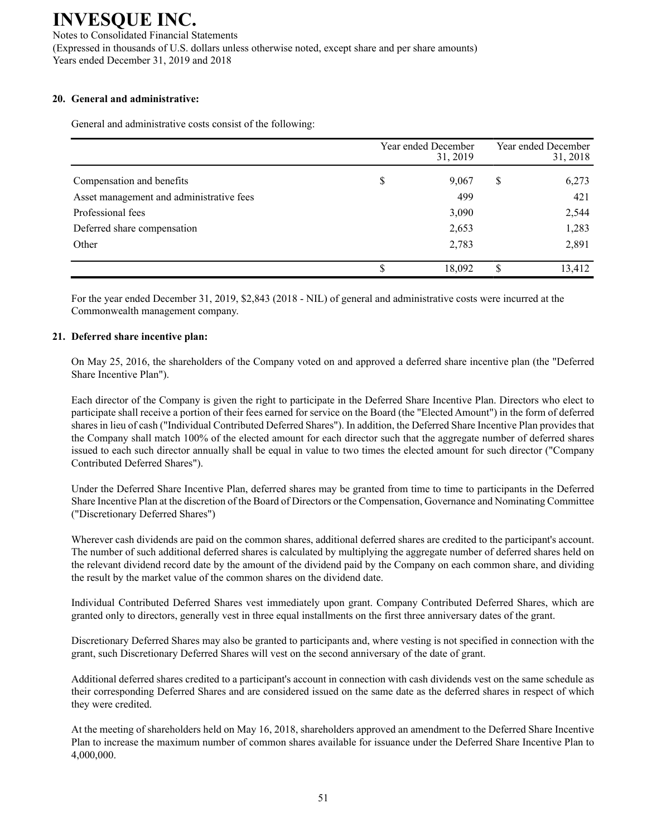Notes to Consolidated Financial Statements (Expressed in thousands of U.S. dollars unless otherwise noted, except share and per share amounts) Years ended December 31, 2019 and 2018

### **20. General and administrative:**

General and administrative costs consist of the following:

|                                          | Year ended December |        | Year ended December<br>31, 2018 |        |
|------------------------------------------|---------------------|--------|---------------------------------|--------|
| Compensation and benefits                | \$                  | 9,067  | S                               | 6,273  |
| Asset management and administrative fees |                     | 499    |                                 | 421    |
| Professional fees                        |                     | 3,090  |                                 | 2,544  |
| Deferred share compensation              |                     | 2,653  |                                 | 1,283  |
| Other                                    |                     | 2,783  |                                 | 2,891  |
|                                          | \$                  | 18,092 | S                               | 13,412 |

For the year ended December 31, 2019, \$2,843 (2018 - NIL) of general and administrative costs were incurred at the Commonwealth management company.

### **21. Deferred share incentive plan:**

On May 25, 2016, the shareholders of the Company voted on and approved a deferred share incentive plan (the "Deferred Share Incentive Plan").

Each director of the Company is given the right to participate in the Deferred Share Incentive Plan. Directors who elect to participate shall receive a portion of their fees earned for service on the Board (the "Elected Amount") in the form of deferred shares in lieu of cash ("Individual Contributed Deferred Shares"). In addition, the Deferred Share Incentive Plan provides that the Company shall match 100% of the elected amount for each director such that the aggregate number of deferred shares issued to each such director annually shall be equal in value to two times the elected amount for such director ("Company Contributed Deferred Shares").

Under the Deferred Share Incentive Plan, deferred shares may be granted from time to time to participants in the Deferred Share Incentive Plan at the discretion of the Board of Directors or the Compensation, Governance and Nominating Committee ("Discretionary Deferred Shares")

Wherever cash dividends are paid on the common shares, additional deferred shares are credited to the participant's account. The number of such additional deferred shares is calculated by multiplying the aggregate number of deferred shares held on the relevant dividend record date by the amount of the dividend paid by the Company on each common share, and dividing the result by the market value of the common shares on the dividend date.

Individual Contributed Deferred Shares vest immediately upon grant. Company Contributed Deferred Shares, which are granted only to directors, generally vest in three equal installments on the first three anniversary dates of the grant.

Discretionary Deferred Shares may also be granted to participants and, where vesting is not specified in connection with the grant, such Discretionary Deferred Shares will vest on the second anniversary of the date of grant.

Additional deferred shares credited to a participant's account in connection with cash dividends vest on the same schedule as their corresponding Deferred Shares and are considered issued on the same date as the deferred shares in respect of which they were credited.

At the meeting of shareholders held on May 16, 2018, shareholders approved an amendment to the Deferred Share Incentive Plan to increase the maximum number of common shares available for issuance under the Deferred Share Incentive Plan to 4,000,000.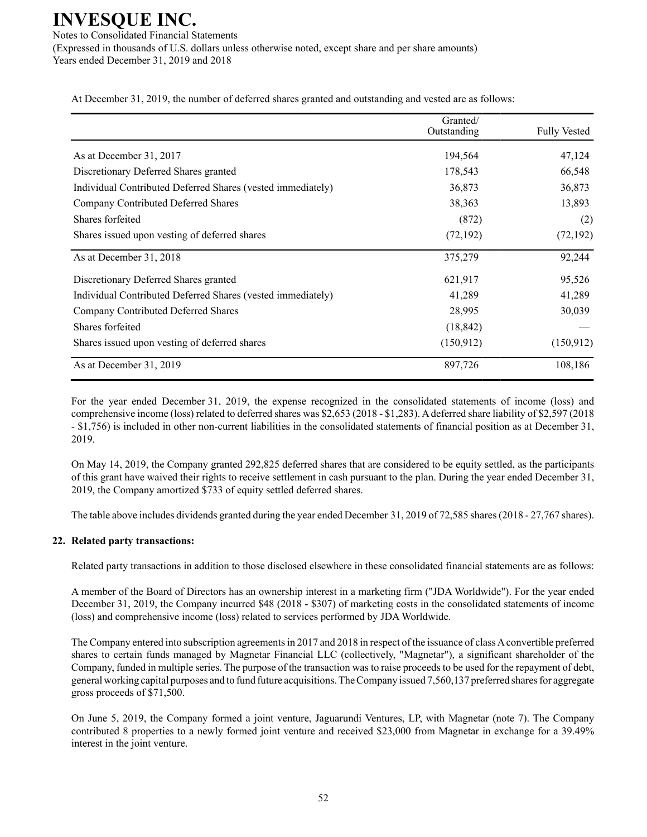Notes to Consolidated Financial Statements (Expressed in thousands of U.S. dollars unless otherwise noted, except share and per share amounts) Years ended December 31, 2019 and 2018

At December 31, 2019, the number of deferred shares granted and outstanding and vested are as follows:

|                                                             | Granted/<br>Outstanding | <b>Fully Vested</b> |
|-------------------------------------------------------------|-------------------------|---------------------|
| As at December 31, 2017                                     | 194,564                 | 47,124              |
| Discretionary Deferred Shares granted                       | 178,543                 | 66,548              |
| Individual Contributed Deferred Shares (vested immediately) | 36,873                  | 36,873              |
| Company Contributed Deferred Shares                         | 38,363                  | 13,893              |
| Shares forfeited                                            | (872)                   | (2)                 |
| Shares issued upon vesting of deferred shares               | (72, 192)               | (72, 192)           |
| As at December 31, 2018                                     | 375,279                 | 92,244              |
| Discretionary Deferred Shares granted                       | 621,917                 | 95,526              |
| Individual Contributed Deferred Shares (vested immediately) | 41,289                  | 41,289              |
| Company Contributed Deferred Shares                         | 28,995                  | 30,039              |
| Shares forfeited                                            | (18, 842)               |                     |
| Shares issued upon vesting of deferred shares               | (150, 912)              | (150, 912)          |
| As at December 31, 2019                                     | 897,726                 | 108,186             |

For the year ended December 31, 2019, the expense recognized in the consolidated statements of income (loss) and comprehensive income (loss) related to deferred shares was \$2,653 (2018 - \$1,283). Adeferred share liability of \$2,597 (2018 - \$1,756) is included in other non-current liabilities in the consolidated statements of financial position as at December 31, 2019.

On May 14, 2019, the Company granted 292,825 deferred shares that are considered to be equity settled, as the participants of this grant have waived their rights to receive settlement in cash pursuant to the plan. During the year ended December 31, 2019, the Company amortized \$733 of equity settled deferred shares.

The table above includes dividends granted during the year ended December 31, 2019 of 72,585 shares (2018 - 27,767 shares).

#### **22. Related party transactions:**

Related party transactions in addition to those disclosed elsewhere in these consolidated financial statements are as follows:

A member of the Board of Directors has an ownership interest in a marketing firm ("JDA Worldwide"). For the year ended December 31, 2019, the Company incurred \$48 (2018 - \$307) of marketing costs in the consolidated statements of income (loss) and comprehensive income (loss) related to services performed by JDA Worldwide.

The Company entered into subscription agreements in 2017 and 2018 in respect of the issuance of class Aconvertible preferred shares to certain funds managed by Magnetar Financial LLC (collectively, "Magnetar"), a significant shareholder of the Company, funded in multiple series. The purpose of the transaction was to raise proceeds to be used for the repayment of debt, general working capital purposes and to fund future acquisitions. The Company issued 7,560,137 preferred shares for aggregate gross proceeds of \$71,500.

On June 5, 2019, the Company formed a joint venture, Jaguarundi Ventures, LP, with Magnetar (note 7). The Company contributed 8 properties to a newly formed joint venture and received \$23,000 from Magnetar in exchange for a 39.49% interest in the joint venture.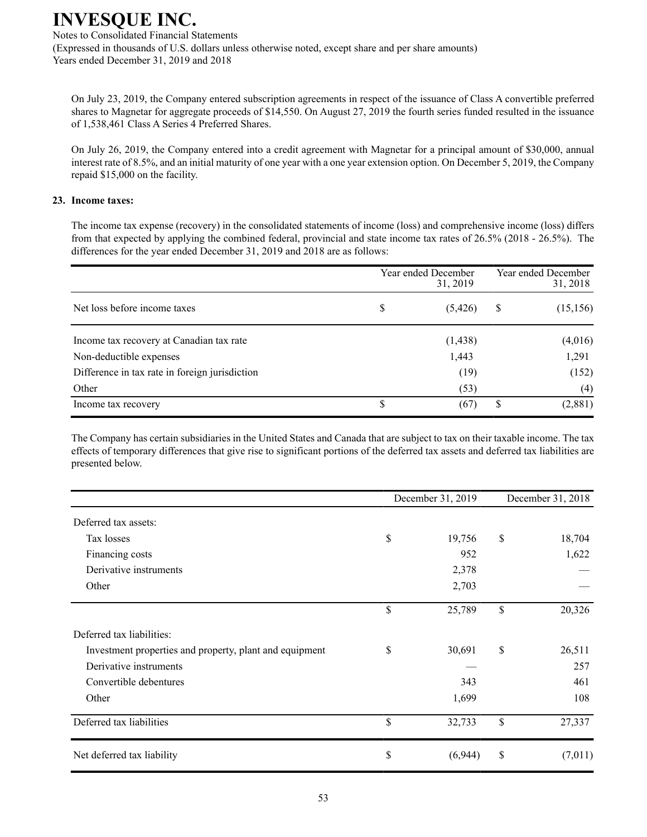Notes to Consolidated Financial Statements (Expressed in thousands of U.S. dollars unless otherwise noted, except share and per share amounts) Years ended December 31, 2019 and 2018

On July 23, 2019, the Company entered subscription agreements in respect of the issuance of Class A convertible preferred shares to Magnetar for aggregate proceeds of \$14,550. On August 27, 2019 the fourth series funded resulted in the issuance of 1,538,461 Class A Series 4 Preferred Shares.

On July 26, 2019, the Company entered into a credit agreement with Magnetar for a principal amount of \$30,000, annual interest rate of 8.5%, and an initial maturity of one year with a one year extension option. On December 5, 2019, the Company repaid \$15,000 on the facility.

### **23. Income taxes:**

The income tax expense (recovery) in the consolidated statements of income (loss) and comprehensive income (loss) differs from that expected by applying the combined federal, provincial and state income tax rates of 26.5% (2018 - 26.5%). The differences for the year ended December 31, 2019 and 2018 are as follows:

|                                                | Year ended December<br>31, 2019 | Year ended December<br>31, 2018 |           |  |
|------------------------------------------------|---------------------------------|---------------------------------|-----------|--|
| Net loss before income taxes                   | \$<br>(5, 426)                  | \$                              | (15, 156) |  |
| Income tax recovery at Canadian tax rate       | (1, 438)                        |                                 | (4,016)   |  |
| Non-deductible expenses                        | 1,443                           |                                 | 1,291     |  |
| Difference in tax rate in foreign jurisdiction | (19)                            |                                 | (152)     |  |
| Other                                          | (53)                            |                                 | (4)       |  |
| Income tax recovery                            | \$<br>(67)                      | S                               | (2,881)   |  |

The Company has certain subsidiaries in the United States and Canada that are subject to tax on their taxable income. The tax effects of temporary differences that give rise to significant portions of the deferred tax assets and deferred tax liabilities are presented below.

|                                                         | December 31, 2019 |      | December 31, 2018 |  |  |
|---------------------------------------------------------|-------------------|------|-------------------|--|--|
| Deferred tax assets:                                    |                   |      |                   |  |  |
| Tax losses                                              | \$<br>19,756      | $\$$ | 18,704            |  |  |
| Financing costs                                         | 952               |      | 1,622             |  |  |
| Derivative instruments                                  | 2,378             |      |                   |  |  |
| Other                                                   | 2,703             |      |                   |  |  |
|                                                         | \$<br>25,789      | \$   | 20,326            |  |  |
| Deferred tax liabilities:                               |                   |      |                   |  |  |
| Investment properties and property, plant and equipment | \$<br>30,691      | \$   | 26,511            |  |  |
| Derivative instruments                                  |                   |      | 257               |  |  |
| Convertible debentures                                  | 343               |      | 461               |  |  |
| Other                                                   | 1,699             |      | 108               |  |  |
| Deferred tax liabilities                                | \$<br>32,733      | \$   | 27,337            |  |  |
| Net deferred tax liability                              | \$<br>(6,944)     | \$   | (7,011)           |  |  |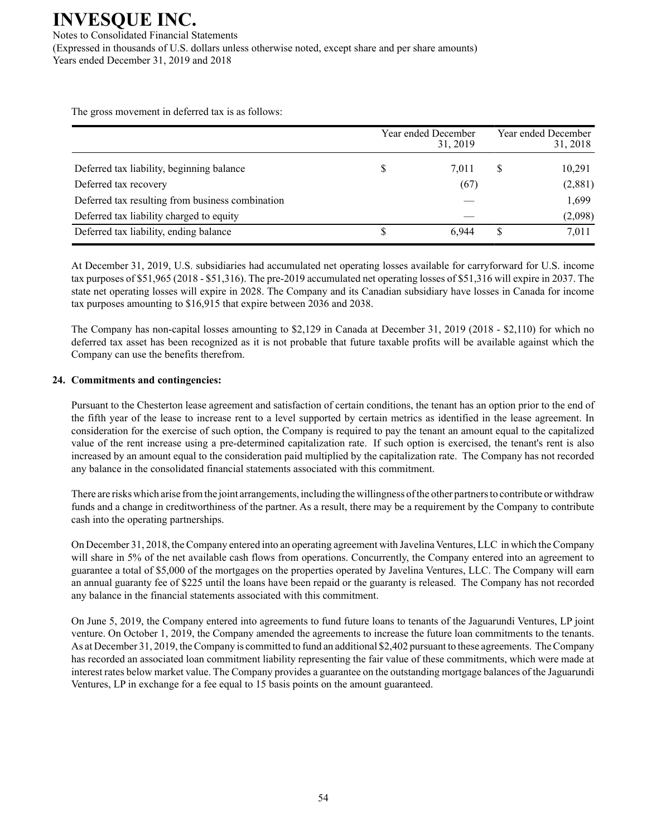Notes to Consolidated Financial Statements (Expressed in thousands of U.S. dollars unless otherwise noted, except share and per share amounts) Years ended December 31, 2019 and 2018

The gross movement in deferred tax is as follows:

|                                                  | Year ended December<br>31, 2019 |   | Year ended December<br>31, 2018 |
|--------------------------------------------------|---------------------------------|---|---------------------------------|
| Deferred tax liability, beginning balance        | \$<br>7.011                     | S | 10,291                          |
| Deferred tax recovery                            | (67)                            |   | (2,881)                         |
| Deferred tax resulting from business combination |                                 |   | 1,699                           |
| Deferred tax liability charged to equity         |                                 |   | (2,098)                         |
| Deferred tax liability, ending balance           | 6.944                           | S | 7,011                           |

At December 31, 2019, U.S. subsidiaries had accumulated net operating losses available for carryforward for U.S. income tax purposes of \$51,965 (2018 - \$51,316). The pre-2019 accumulated net operating losses of \$51,316 will expire in 2037. The state net operating losses will expire in 2028. The Company and its Canadian subsidiary have losses in Canada for income tax purposes amounting to \$16,915 that expire between 2036 and 2038.

The Company has non-capital losses amounting to \$2,129 in Canada at December 31, 2019 (2018 - \$2,110) for which no deferred tax asset has been recognized as it is not probable that future taxable profits will be available against which the Company can use the benefits therefrom.

### **24. Commitments and contingencies:**

Pursuant to the Chesterton lease agreement and satisfaction of certain conditions, the tenant has an option prior to the end of the fifth year of the lease to increase rent to a level supported by certain metrics as identified in the lease agreement. In consideration for the exercise of such option, the Company is required to pay the tenant an amount equal to the capitalized value of the rent increase using a pre-determined capitalization rate. If such option is exercised, the tenant's rent is also increased by an amount equal to the consideration paid multiplied by the capitalization rate. The Company has not recorded any balance in the consolidated financial statements associated with this commitment.

There are risks which arise from the joint arrangements, including the willingness of the other partners to contribute or withdraw funds and a change in creditworthiness of the partner. As a result, there may be a requirement by the Company to contribute cash into the operating partnerships.

On December 31, 2018, the Company entered into an operating agreement with Javelina Ventures, LLC in which the Company will share in 5% of the net available cash flows from operations. Concurrently, the Company entered into an agreement to guarantee a total of \$5,000 of the mortgages on the properties operated by Javelina Ventures, LLC. The Company will earn an annual guaranty fee of \$225 until the loans have been repaid or the guaranty is released. The Company has not recorded any balance in the financial statements associated with this commitment.

On June 5, 2019, the Company entered into agreements to fund future loans to tenants of the Jaguarundi Ventures, LP joint venture. On October 1, 2019, the Company amended the agreements to increase the future loan commitments to the tenants. As at December 31, 2019, the Company is committed to fund an additional \$2,402 pursuant to these agreements. The Company has recorded an associated loan commitment liability representing the fair value of these commitments, which were made at interest rates below market value. The Company provides a guarantee on the outstanding mortgage balances of the Jaguarundi Ventures, LP in exchange for a fee equal to 15 basis points on the amount guaranteed.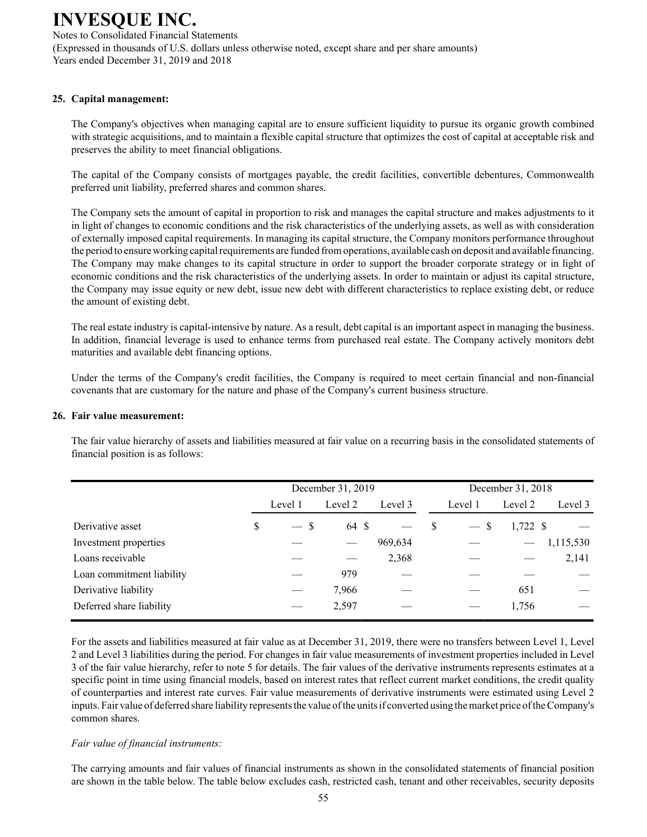Notes to Consolidated Financial Statements (Expressed in thousands of U.S. dollars unless otherwise noted, except share and per share amounts) Years ended December 31, 2019 and 2018

### **25. Capital management:**

The Company's objectives when managing capital are to ensure sufficient liquidity to pursue its organic growth combined with strategic acquisitions, and to maintain a flexible capital structure that optimizes the cost of capital at acceptable risk and preserves the ability to meet financial obligations.

The capital of the Company consists of mortgages payable, the credit facilities, convertible debentures, Commonwealth preferred unit liability, preferred shares and common shares.

The Company sets the amount of capital in proportion to risk and manages the capital structure and makes adjustments to it in light of changes to economic conditions and the risk characteristics of the underlying assets, as well as with consideration of externally imposed capital requirements. In managing its capital structure, the Company monitors performance throughout the period to ensure working capital requirements are funded from operations, available cash on deposit and available financing. The Company may make changes to its capital structure in order to support the broader corporate strategy or in light of economic conditions and the risk characteristics of the underlying assets. In order to maintain or adjust its capital structure, the Company may issue equity or new debt, issue new debt with different characteristics to replace existing debt, or reduce the amount of existing debt.

The real estate industry is capital-intensive by nature. As a result, debt capital is an important aspect in managing the business. In addition, financial leverage is used to enhance terms from purchased real estate. The Company actively monitors debt maturities and available debt financing options.

Under the terms of the Company's credit facilities, the Company is required to meet certain financial and non-financial covenants that are customary for the nature and phase of the Company's current business structure.

#### **26. Fair value measurement:**

The fair value hierarchy of assets and liabilities measured at fair value on a recurring basis in the consolidated statements of financial position is as follows:

|                           |              | December 31, 2019 |         |   |         | December 31, 2018 |           |
|---------------------------|--------------|-------------------|---------|---|---------|-------------------|-----------|
|                           | Level 1      | Level 2           | Level 3 |   | Level 1 | Level 2           | Level 3   |
| Derivative asset          | \$<br>$-$ \$ | 64 \$             |         | S | $-$ \$  | $1,722$ \$        |           |
| Investment properties     |              |                   | 969,634 |   |         |                   | 1,115,530 |
| Loans receivable          |              |                   | 2,368   |   |         |                   | 2,141     |
| Loan commitment liability |              | 979               |         |   |         |                   |           |
| Derivative liability      |              | 7,966             |         |   |         | 651               |           |
| Deferred share liability  |              | 2,597             |         |   |         | 1,756             |           |

For the assets and liabilities measured at fair value as at December 31, 2019, there were no transfers between Level 1, Level 2 and Level 3 liabilities during the period. For changes in fair value measurements of investment properties included in Level 3 of the fair value hierarchy, refer to note 5 for details. The fair values of the derivative instruments represents estimates at a specific point in time using financial models, based on interest rates that reflect current market conditions, the credit quality of counterparties and interest rate curves. Fair value measurements of derivative instruments were estimated using Level 2 inputs. Fair value of deferred share liability represents the value of the units if converted using the market price of the Company's common shares.

#### *Fair value of financial instruments:*

The carrying amounts and fair values of financial instruments as shown in the consolidated statements of financial position are shown in the table below. The table below excludes cash, restricted cash, tenant and other receivables, security deposits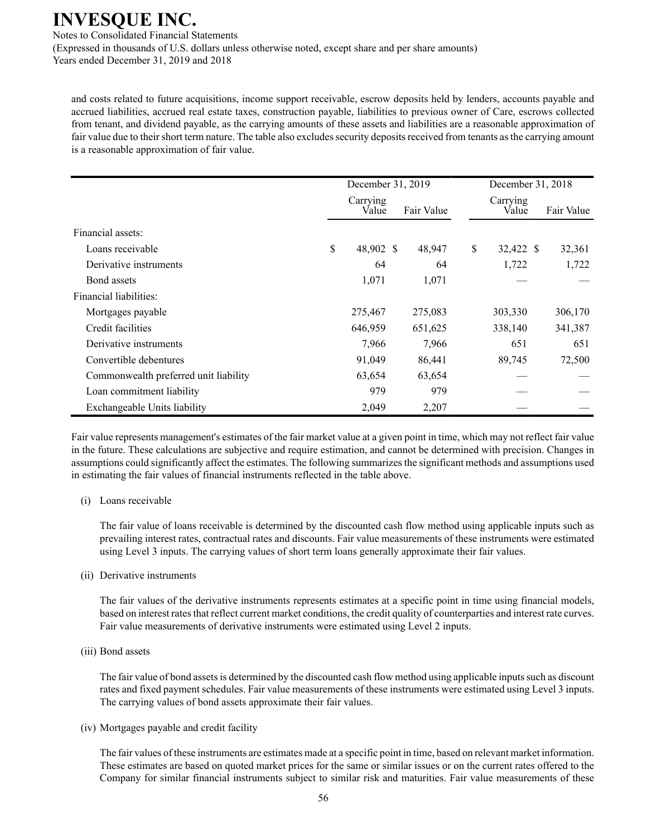Notes to Consolidated Financial Statements (Expressed in thousands of U.S. dollars unless otherwise noted, except share and per share amounts) Years ended December 31, 2019 and 2018

and costs related to future acquisitions, income support receivable, escrow deposits held by lenders, accounts payable and accrued liabilities, accrued real estate taxes, construction payable, liabilities to previous owner of Care, escrows collected from tenant, and dividend payable, as the carrying amounts of these assets and liabilities are a reasonable approximation of fair value due to their short term nature. The table also excludes security deposits received from tenants as the carrying amount is a reasonable approximation of fair value.

|                                       | December 31, 2019 |                   |  |            |    | December 31, 2018 |  |            |
|---------------------------------------|-------------------|-------------------|--|------------|----|-------------------|--|------------|
|                                       |                   | Carrying<br>Value |  | Fair Value |    | Carrying<br>Value |  | Fair Value |
| Financial assets:                     |                   |                   |  |            |    |                   |  |            |
| Loans receivable                      | \$                | 48,902 \$         |  | 48,947     | \$ | 32,422 \$         |  | 32,361     |
| Derivative instruments                |                   | 64                |  | 64         |    | 1,722             |  | 1,722      |
| Bond assets                           |                   | 1,071             |  | 1,071      |    |                   |  |            |
| Financial liabilities:                |                   |                   |  |            |    |                   |  |            |
| Mortgages payable                     |                   | 275,467           |  | 275,083    |    | 303,330           |  | 306,170    |
| Credit facilities                     |                   | 646,959           |  | 651,625    |    | 338,140           |  | 341,387    |
| Derivative instruments                |                   | 7,966             |  | 7,966      |    | 651               |  | 651        |
| Convertible debentures                |                   | 91,049            |  | 86,441     |    | 89,745            |  | 72,500     |
| Commonwealth preferred unit liability |                   | 63,654            |  | 63,654     |    |                   |  |            |
| Loan commitment liability             |                   | 979               |  | 979        |    |                   |  |            |
| Exchangeable Units liability          |                   | 2,049             |  | 2,207      |    |                   |  |            |

Fair value represents management's estimates of the fair market value at a given point in time, which may not reflect fair value in the future. These calculations are subjective and require estimation, and cannot be determined with precision. Changes in assumptions could significantly affect the estimates. The following summarizes the significant methods and assumptions used in estimating the fair values of financial instruments reflected in the table above.

#### (i) Loans receivable

The fair value of loans receivable is determined by the discounted cash flow method using applicable inputs such as prevailing interest rates, contractual rates and discounts. Fair value measurements of these instruments were estimated using Level 3 inputs. The carrying values of short term loans generally approximate their fair values.

#### (ii) Derivative instruments

The fair values of the derivative instruments represents estimates at a specific point in time using financial models, based on interest rates that reflect current market conditions, the credit quality of counterparties and interest rate curves. Fair value measurements of derivative instruments were estimated using Level 2 inputs.

#### (iii) Bond assets

The fair value of bond assets is determined by the discounted cash flow method using applicable inputs such as discount rates and fixed payment schedules. Fair value measurements of these instruments were estimated using Level 3 inputs. The carrying values of bond assets approximate their fair values.

(iv) Mortgages payable and credit facility

The fair values of these instruments are estimates made at a specific point in time, based on relevant market information. These estimates are based on quoted market prices for the same or similar issues or on the current rates offered to the Company for similar financial instruments subject to similar risk and maturities. Fair value measurements of these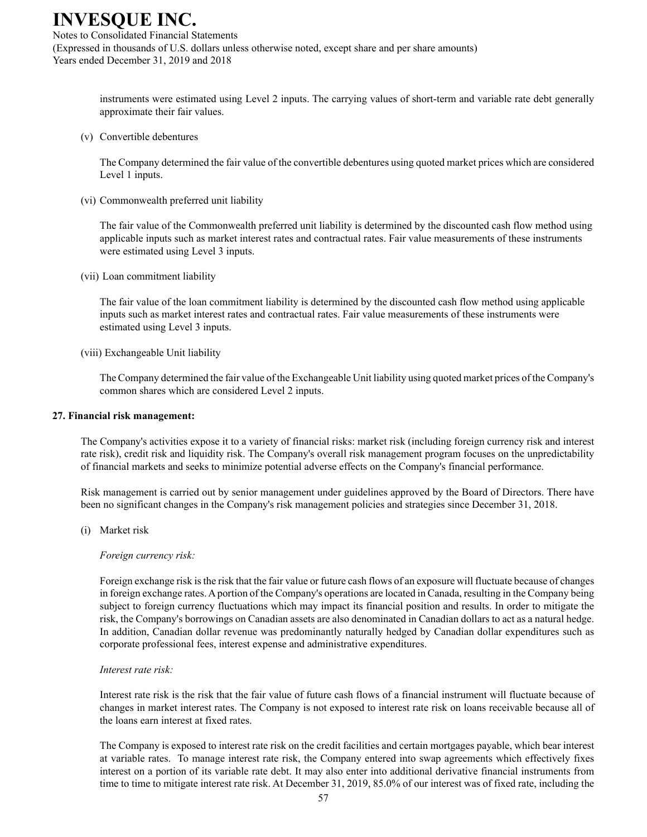Notes to Consolidated Financial Statements (Expressed in thousands of U.S. dollars unless otherwise noted, except share and per share amounts) Years ended December 31, 2019 and 2018

> instruments were estimated using Level 2 inputs. The carrying values of short-term and variable rate debt generally approximate their fair values.

(v) Convertible debentures

The Company determined the fair value of the convertible debentures using quoted market prices which are considered Level 1 inputs.

(vi) Commonwealth preferred unit liability

The fair value of the Commonwealth preferred unit liability is determined by the discounted cash flow method using applicable inputs such as market interest rates and contractual rates. Fair value measurements of these instruments were estimated using Level 3 inputs.

(vii) Loan commitment liability

The fair value of the loan commitment liability is determined by the discounted cash flow method using applicable inputs such as market interest rates and contractual rates. Fair value measurements of these instruments were estimated using Level 3 inputs.

(viii) Exchangeable Unit liability

The Company determined the fair value of the Exchangeable Unit liability using quoted market prices of the Company's common shares which are considered Level 2 inputs.

#### **27. Financial risk management:**

The Company's activities expose it to a variety of financial risks: market risk (including foreign currency risk and interest rate risk), credit risk and liquidity risk. The Company's overall risk management program focuses on the unpredictability of financial markets and seeks to minimize potential adverse effects on the Company's financial performance.

Risk management is carried out by senior management under guidelines approved by the Board of Directors. There have been no significant changes in the Company's risk management policies and strategies since December 31, 2018.

(i) Market risk

*Foreign currency risk:*

Foreign exchange risk is the risk that the fair value or future cash flows of an exposure will fluctuate because of changes in foreign exchange rates. Aportion of the Company's operations are located in Canada, resulting in the Company being subject to foreign currency fluctuations which may impact its financial position and results. In order to mitigate the risk, the Company's borrowings on Canadian assets are also denominated in Canadian dollars to act as a natural hedge. In addition, Canadian dollar revenue was predominantly naturally hedged by Canadian dollar expenditures such as corporate professional fees, interest expense and administrative expenditures.

#### *Interest rate risk:*

Interest rate risk is the risk that the fair value of future cash flows of a financial instrument will fluctuate because of changes in market interest rates. The Company is not exposed to interest rate risk on loans receivable because all of the loans earn interest at fixed rates.

The Company is exposed to interest rate risk on the credit facilities and certain mortgages payable, which bear interest at variable rates. To manage interest rate risk, the Company entered into swap agreements which effectively fixes interest on a portion of its variable rate debt. It may also enter into additional derivative financial instruments from time to time to mitigate interest rate risk. At December 31, 2019, 85.0% of our interest was of fixed rate, including the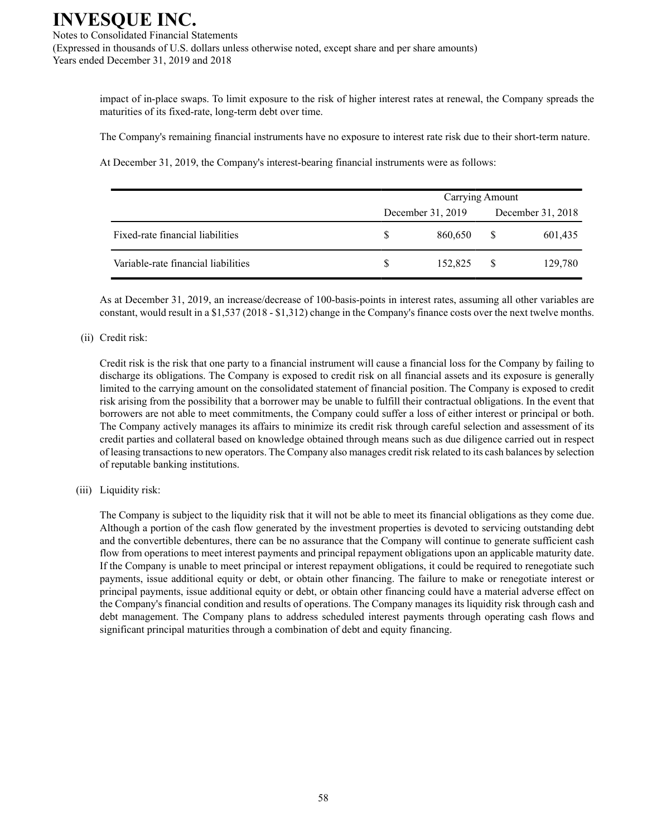Notes to Consolidated Financial Statements (Expressed in thousands of U.S. dollars unless otherwise noted, except share and per share amounts) Years ended December 31, 2019 and 2018

> impact of in-place swaps. To limit exposure to the risk of higher interest rates at renewal, the Company spreads the maturities of its fixed-rate, long-term debt over time.

The Company's remaining financial instruments have no exposure to interest rate risk due to their short-term nature.

At December 31, 2019, the Company's interest-bearing financial instruments were as follows:

|                                     | Carrying Amount   |         |              |                   |  |  |  |
|-------------------------------------|-------------------|---------|--------------|-------------------|--|--|--|
|                                     | December 31, 2019 |         |              | December 31, 2018 |  |  |  |
| Fixed-rate financial liabilities    | S.                | 860,650 | -S           | 601,435           |  |  |  |
| Variable-rate financial liabilities |                   | 152.825 | <sup>S</sup> | 129,780           |  |  |  |

As at December 31, 2019, an increase/decrease of 100-basis-points in interest rates, assuming all other variables are constant, would result in a \$1,537 (2018 - \$1,312) change in the Company's finance costs over the next twelve months.

#### (ii) Credit risk:

Credit risk is the risk that one party to a financial instrument will cause a financial loss for the Company by failing to discharge its obligations. The Company is exposed to credit risk on all financial assets and its exposure is generally limited to the carrying amount on the consolidated statement of financial position. The Company is exposed to credit risk arising from the possibility that a borrower may be unable to fulfill their contractual obligations. In the event that borrowers are not able to meet commitments, the Company could suffer a loss of either interest or principal or both. The Company actively manages its affairs to minimize its credit risk through careful selection and assessment of its credit parties and collateral based on knowledge obtained through means such as due diligence carried out in respect of leasing transactions to new operators. The Company also manages credit risk related to its cash balances by selection of reputable banking institutions.

#### (iii) Liquidity risk:

The Company is subject to the liquidity risk that it will not be able to meet its financial obligations as they come due. Although a portion of the cash flow generated by the investment properties is devoted to servicing outstanding debt and the convertible debentures, there can be no assurance that the Company will continue to generate sufficient cash flow from operations to meet interest payments and principal repayment obligations upon an applicable maturity date. If the Company is unable to meet principal or interest repayment obligations, it could be required to renegotiate such payments, issue additional equity or debt, or obtain other financing. The failure to make or renegotiate interest or principal payments, issue additional equity or debt, or obtain other financing could have a material adverse effect on the Company's financial condition and results of operations. The Company manages its liquidity risk through cash and debt management. The Company plans to address scheduled interest payments through operating cash flows and significant principal maturities through a combination of debt and equity financing.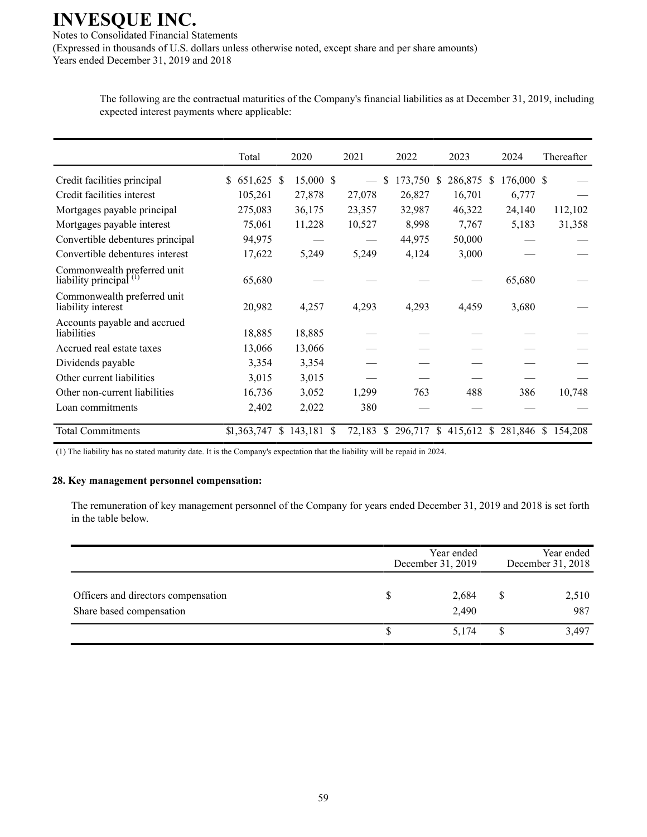Notes to Consolidated Financial Statements (Expressed in thousands of U.S. dollars unless otherwise noted, except share and per share amounts) Years ended December 31, 2019 and 2018

Total 2020 2021 2022 2023 2024 Thereafter Credit facilities principal \$ 651,625 \$ 15,000 \$ — \$ 173,750 \$ 286,875 \$ 176,000 \$ — Credit facilities interest 105,261 27,878 27,078 26,827 16,701 6,777 Mortgages payable principal 275,083 36,175 23,357 32,987 46,322 24,140 112,102 Mortgages payable interest 75,061 11,228 10,527 8,998 7,767 5,183 31,358 Convertible debentures principal 94,975 —  $-$  44,975 50,000 Convertible debentures interest  $17,622$   $5,249$   $5,249$   $4,124$   $3,000$ Commonwealth preferred unit liability principal<sup>(1)</sup> 65,680 — — — 65,680 Commonwealth preferred unit liability interest 20,982 4,257 4,293 4,293 4,459 3,680 Accounts payable and accrued liabilities 18,885 18,885 — — — — — — Accrued real estate taxes 13,066 13,066  $Dividends \text{ payable}$   $3.354$   $3.354$ Other current liabilities 3,015 3,015 Other non-current liabilities 16,736 3,052 1,299 763 488 386 10,748 Loan commitments  $2,402$   $2,022$   $380$ Total Commitments \$1,363,747 \$ 143,181 \$ 72,183 \$ 296,717 \$ 415,612 \$ 281,846 \$ 154,208

The following are the contractual maturities of the Company's financial liabilities as at December 31, 2019, including expected interest payments where applicable:

(1) The liability has no stated maturity date. It is the Company's expectation that the liability will be repaid in 2024.

#### **28. Key management personnel compensation:**

The remuneration of key management personnel of the Company for years ended December 31, 2019 and 2018 is set forth in the table below.

|                                                                 | Year ended<br>December 31, 2019 | Year ended<br>December 31, 2018 |              |  |
|-----------------------------------------------------------------|---------------------------------|---------------------------------|--------------|--|
| Officers and directors compensation<br>Share based compensation | 2,684<br>2,490                  |                                 | 2,510<br>987 |  |
|                                                                 | 5.174                           |                                 | 3,497        |  |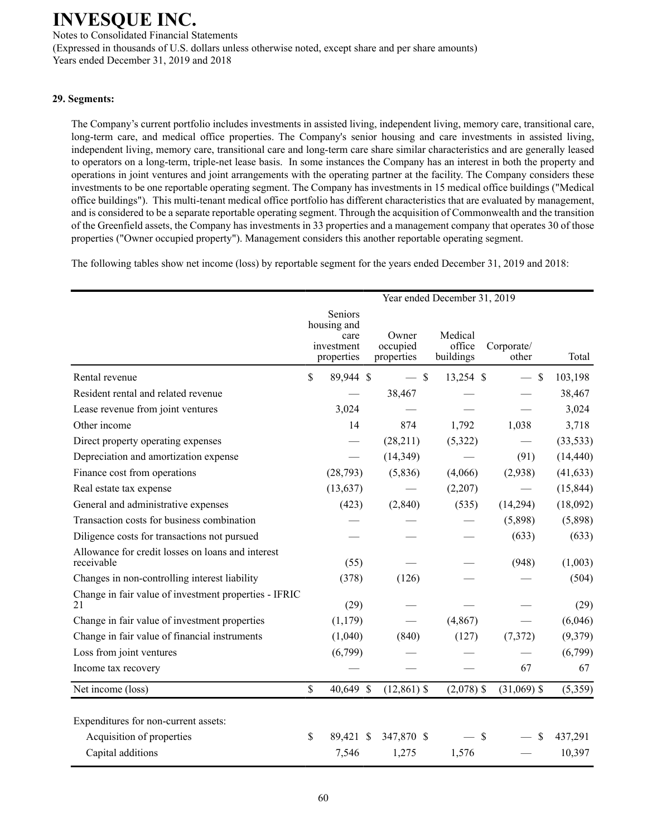Notes to Consolidated Financial Statements (Expressed in thousands of U.S. dollars unless otherwise noted, except share and per share amounts) Years ended December 31, 2019 and 2018

### **29. Segments:**

The Company's current portfolio includes investments in assisted living, independent living, memory care, transitional care, long-term care, and medical office properties. The Company's senior housing and care investments in assisted living, independent living, memory care, transitional care and long-term care share similar characteristics and are generally leased to operators on a long-term, triple-net lease basis. In some instances the Company has an interest in both the property and operations in joint ventures and joint arrangements with the operating partner at the facility. The Company considers these investments to be one reportable operating segment. The Company has investments in 15 medical office buildings ("Medical office buildings"). This multi-tenant medical office portfolio has different characteristics that are evaluated by management, and is considered to be a separate reportable operating segment. Through the acquisition of Commonwealth and the transition of the Greenfield assets, the Company has investments in 33 properties and a management company that operates 30 of those properties ("Owner occupied property"). Management considers this another reportable operating segment.

The following tables show net income (loss) by reportable segment for the years ended December 31, 2019 and 2018:

|                                                                                        |                                                            | Year ended December 31, 2019    |                                |                     |                   |
|----------------------------------------------------------------------------------------|------------------------------------------------------------|---------------------------------|--------------------------------|---------------------|-------------------|
|                                                                                        | Seniors<br>housing and<br>care<br>investment<br>properties | Owner<br>occupied<br>properties | Medical<br>office<br>buildings | Corporate/<br>other | Total             |
| Rental revenue                                                                         | \$<br>89,944 \$                                            | $-$ \$                          | 13,254 \$                      | $\mathcal{S}$       | 103,198           |
| Resident rental and related revenue                                                    |                                                            | 38,467                          |                                |                     | 38,467            |
| Lease revenue from joint ventures                                                      | 3,024                                                      |                                 |                                |                     | 3,024             |
| Other income                                                                           | 14                                                         | 874                             | 1,792                          | 1,038               | 3,718             |
| Direct property operating expenses                                                     |                                                            | (28,211)                        | (5,322)                        |                     | (33, 533)         |
| Depreciation and amortization expense                                                  |                                                            | (14, 349)                       |                                | (91)                | (14, 440)         |
| Finance cost from operations                                                           | (28, 793)                                                  | (5,836)                         | (4,066)                        | (2,938)             | (41, 633)         |
| Real estate tax expense                                                                | (13, 637)                                                  |                                 | (2,207)                        |                     | (15, 844)         |
| General and administrative expenses                                                    | (423)                                                      | (2,840)                         | (535)                          | (14,294)            | (18,092)          |
| Transaction costs for business combination                                             |                                                            |                                 |                                | (5,898)             | (5,898)           |
| Diligence costs for transactions not pursued                                           |                                                            |                                 |                                | (633)               | (633)             |
| Allowance for credit losses on loans and interest<br>receivable                        | (55)                                                       |                                 |                                | (948)               | (1,003)           |
| Changes in non-controlling interest liability                                          | (378)                                                      | (126)                           |                                |                     | (504)             |
| Change in fair value of investment properties - IFRIC<br>21                            | (29)                                                       |                                 |                                |                     | (29)              |
| Change in fair value of investment properties                                          | (1,179)                                                    |                                 | (4, 867)                       |                     | (6,046)           |
| Change in fair value of financial instruments                                          | (1,040)                                                    | (840)                           | (127)                          | (7,372)             | (9,379)           |
| Loss from joint ventures                                                               | (6,799)                                                    |                                 |                                |                     | (6,799)           |
| Income tax recovery                                                                    |                                                            |                                 |                                | 67                  | 67                |
| Net income (loss)                                                                      | \$<br>40,649 \$                                            | $(12, 861)$ \$                  | $(2,078)$ \$                   | $(31,069)$ \$       | (5,359)           |
| Expenditures for non-current assets:<br>Acquisition of properties<br>Capital additions | \$<br>89,421 \$<br>7,546                                   | 347,870 \$<br>1,275             | $-$ \$<br>1,576                | \$                  | 437,291<br>10,397 |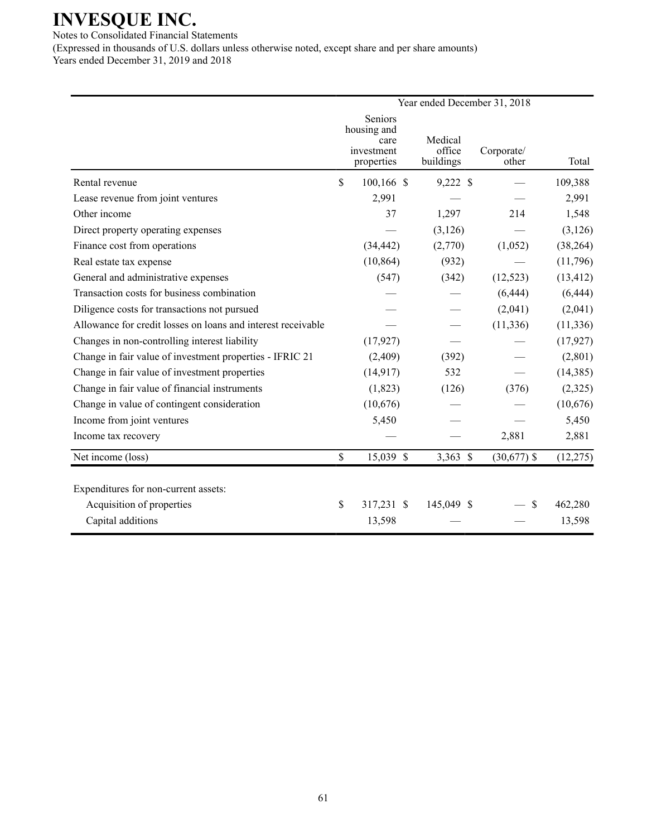Notes to Consolidated Financial Statements (Expressed in thousands of U.S. dollars unless otherwise noted, except share and per share amounts) Years ended December 31, 2019 and 2018

| Year ended December 31, 2018 |                               |                                         |                     |           |  |  |
|------------------------------|-------------------------------|-----------------------------------------|---------------------|-----------|--|--|
|                              | Seniors<br>care<br>properties | Medical<br>office<br>buildings          | Corporate/<br>other | Total     |  |  |
| \$                           | $100, 166$ \$                 | 9,222 \$                                |                     | 109,388   |  |  |
|                              | 2,991                         |                                         |                     | 2,991     |  |  |
|                              | 37                            | 1,297                                   | 214                 | 1,548     |  |  |
|                              |                               | (3, 126)                                |                     | (3, 126)  |  |  |
|                              | (34, 442)                     | (2,770)                                 | (1,052)             | (38, 264) |  |  |
|                              | (10, 864)                     | (932)                                   |                     | (11,796)  |  |  |
|                              | (547)                         | (342)                                   | (12, 523)           | (13, 412) |  |  |
|                              |                               |                                         | (6, 444)            | (6, 444)  |  |  |
|                              |                               |                                         | (2,041)             | (2,041)   |  |  |
|                              |                               |                                         | (11, 336)           | (11, 336) |  |  |
|                              | (17, 927)                     |                                         |                     | (17, 927) |  |  |
|                              | (2,409)                       | (392)                                   |                     | (2,801)   |  |  |
|                              | (14, 917)                     | 532                                     |                     | (14, 385) |  |  |
|                              | (1, 823)                      | (126)                                   | (376)               | (2,325)   |  |  |
|                              | (10,676)                      |                                         |                     | (10,676)  |  |  |
|                              | 5,450                         |                                         |                     | 5,450     |  |  |
|                              |                               |                                         | 2,881               | 2,881     |  |  |
| $\mathbb{S}$                 | 15,039 \$                     | $3,363$ \$                              | $(30,677)$ \$       | (12, 275) |  |  |
|                              |                               |                                         |                     | 462,280   |  |  |
|                              | 13,598                        |                                         |                     | 13,598    |  |  |
|                              | \$                            | housing and<br>investment<br>317,231 \$ | 145,049 \$          | \$        |  |  |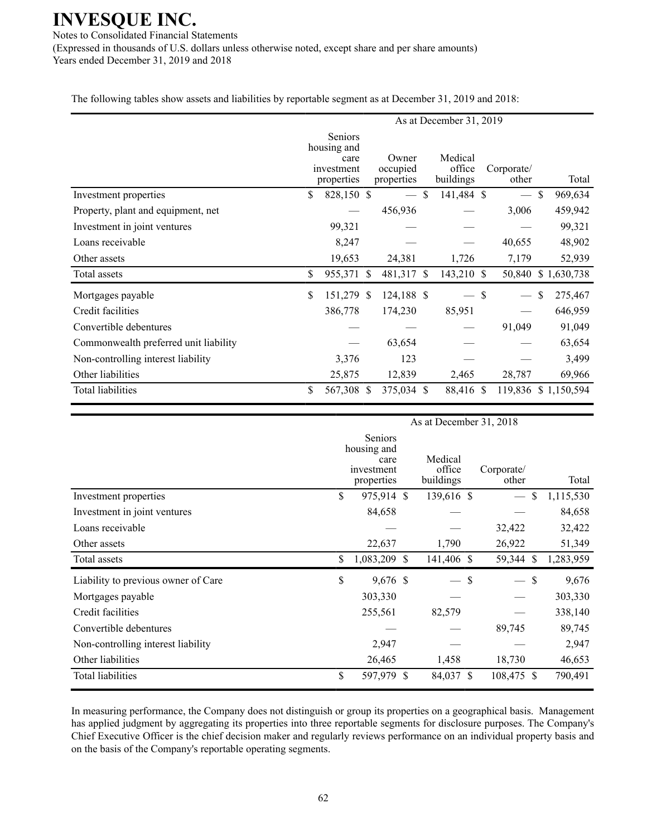Notes to Consolidated Financial Statements (Expressed in thousands of U.S. dollars unless otherwise noted, except share and per share amounts) Years ended December 31, 2019 and 2018

The following tables show assets and liabilities by reportable segment as at December 31, 2019 and 2018:

|                                       |                                                            |            | As at December 31, 2019         |            |                                |            |                     |        |    |                     |  |
|---------------------------------------|------------------------------------------------------------|------------|---------------------------------|------------|--------------------------------|------------|---------------------|--------|----|---------------------|--|
|                                       | Seniors<br>housing and<br>care<br>investment<br>properties |            | Owner<br>occupied<br>properties |            | Medical<br>office<br>buildings |            | Corporate/<br>other |        |    | Total               |  |
| Investment properties                 | \$                                                         | 828,150 \$ |                                 |            | \$                             | 141,484 \$ |                     |        | \$ | 969,634             |  |
| Property, plant and equipment, net    |                                                            |            |                                 | 456,936    |                                |            |                     | 3,006  |    | 459,942             |  |
| Investment in joint ventures          |                                                            | 99,321     |                                 |            |                                |            |                     |        |    | 99,321              |  |
| Loans receivable                      |                                                            | 8,247      |                                 |            |                                |            |                     | 40,655 |    | 48,902              |  |
| Other assets                          |                                                            | 19,653     |                                 | 24,381     |                                | 1,726      |                     | 7,179  |    | 52,939              |  |
| Total assets                          | \$                                                         | 955,371 \$ |                                 | 481,317 \$ |                                | 143,210    | <sup>\$</sup>       | 50,840 |    | \$1,630,738         |  |
| Mortgages payable                     | \$                                                         | 151,279 \$ |                                 | 124,188 \$ |                                | $-$ \$     |                     |        | \$ | 275,467             |  |
| Credit facilities                     |                                                            | 386,778    |                                 | 174,230    |                                | 85,951     |                     |        |    | 646,959             |  |
| Convertible debentures                |                                                            |            |                                 |            |                                |            |                     | 91,049 |    | 91,049              |  |
| Commonwealth preferred unit liability |                                                            |            |                                 | 63,654     |                                |            |                     |        |    | 63,654              |  |
| Non-controlling interest liability    |                                                            | 3,376      |                                 | 123        |                                |            |                     |        |    | 3,499               |  |
| Other liabilities                     |                                                            | 25,875     |                                 | 12,839     |                                | 2,465      |                     | 28,787 |    | 69,966              |  |
| Total liabilities                     | \$                                                         | 567,308 \$ |                                 | 375,034 \$ |                                | 88,416 \$  |                     |        |    | 119,836 \$1,150,594 |  |

|                                     | As at December 31, 2018 |                                                            |  |                                |               |                     |    |           |  |  |
|-------------------------------------|-------------------------|------------------------------------------------------------|--|--------------------------------|---------------|---------------------|----|-----------|--|--|
|                                     |                         | Seniors<br>housing and<br>care<br>investment<br>properties |  | Medical<br>office<br>buildings |               | Corporate/<br>other |    | Total     |  |  |
| Investment properties               | \$                      | 975,914 \$                                                 |  | 139,616 \$                     |               |                     | \$ | 1,115,530 |  |  |
| Investment in joint ventures        |                         | 84,658                                                     |  |                                |               |                     |    | 84,658    |  |  |
| Loans receivable                    |                         |                                                            |  |                                |               | 32,422              |    | 32,422    |  |  |
| Other assets                        |                         | 22,637                                                     |  | 1,790                          |               | 26,922              |    | 51,349    |  |  |
| Total assets                        | \$                      | 1,083,209 \$                                               |  | 141,406 \$                     |               | 59,344 \$           |    | 1,283,959 |  |  |
| Liability to previous owner of Care | \$                      | 9,676 \$                                                   |  |                                | S             | $-$ \$              |    | 9,676     |  |  |
| Mortgages payable                   |                         | 303,330                                                    |  |                                |               |                     |    | 303,330   |  |  |
| Credit facilities                   |                         | 255,561                                                    |  | 82,579                         |               |                     |    | 338,140   |  |  |
| Convertible debentures              |                         |                                                            |  |                                |               | 89,745              |    | 89,745    |  |  |
| Non-controlling interest liability  |                         | 2,947                                                      |  |                                |               |                     |    | 2,947     |  |  |
| Other liabilities                   |                         | 26,465                                                     |  | 1,458                          |               | 18,730              |    | 46,653    |  |  |
| <b>Total liabilities</b>            | \$                      | 597,979 \$                                                 |  | 84,037                         | <sup>\$</sup> | 108,475 \$          |    | 790,491   |  |  |

In measuring performance, the Company does not distinguish or group its properties on a geographical basis. Management has applied judgment by aggregating its properties into three reportable segments for disclosure purposes. The Company's Chief Executive Officer is the chief decision maker and regularly reviews performance on an individual property basis and on the basis of the Company's reportable operating segments.